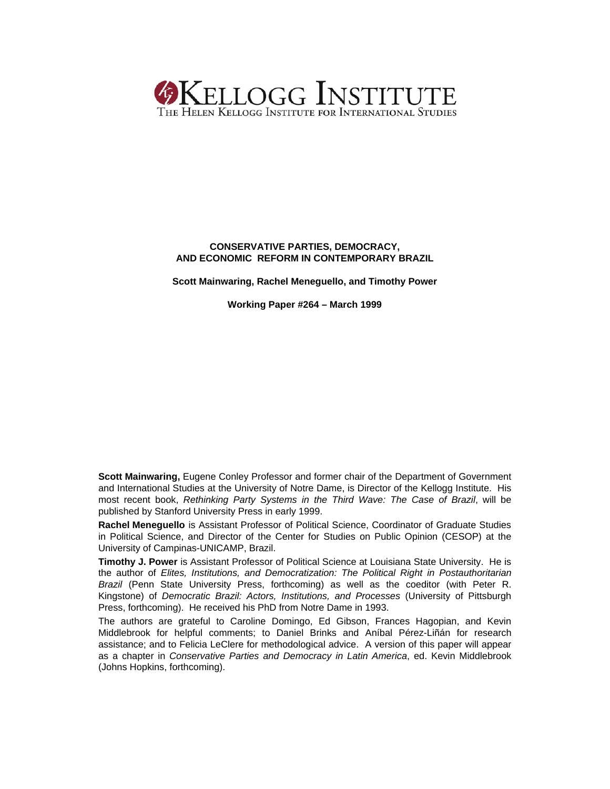

# **CONSERVATIVE PARTIES, DEMOCRACY, AND ECONOMIC REFORM IN CONTEMPORARY BRAZIL**

**Scott Mainwaring, Rachel Meneguello, and Timothy Power**

**Working Paper #264 – March 1999**

**Scott Mainwaring,** Eugene Conley Professor and former chair of the Department of Government and International Studies at the University of Notre Dame, is Director of the Kellogg Institute. His most recent book, *Rethinking Party Systems in the Third Wave: The Case of Brazil*, will be published by Stanford University Press in early 1999.

**Rachel Meneguello** is Assistant Professor of Political Science, Coordinator of Graduate Studies in Political Science, and Director of the Center for Studies on Public Opinion (CESOP) at the University of Campinas-UNICAMP, Brazil.

**Timothy J. Power** is Assistant Professor of Political Science at Louisiana State University. He is the author of *Elites, Institutions, and Democratization: The Political Right in Postauthoritarian Brazil* (Penn State University Press, forthcoming) as well as the coeditor (with Peter R. Kingstone) of *Democratic Brazil: Actors, Institutions, and Processes* (University of Pittsburgh Press, forthcoming). He received his PhD from Notre Dame in 1993.

The authors are grateful to Caroline Domingo, Ed Gibson, Frances Hagopian, and Kevin Middlebrook for helpful comments; to Daniel Brinks and Aníbal Pérez-Liñán for research assistance; and to Felicia LeClere for methodological advice. A version of this paper will appear as a chapter in *Conservative Parties and Democracy in Latin America*, ed. Kevin Middlebrook (Johns Hopkins, forthcoming).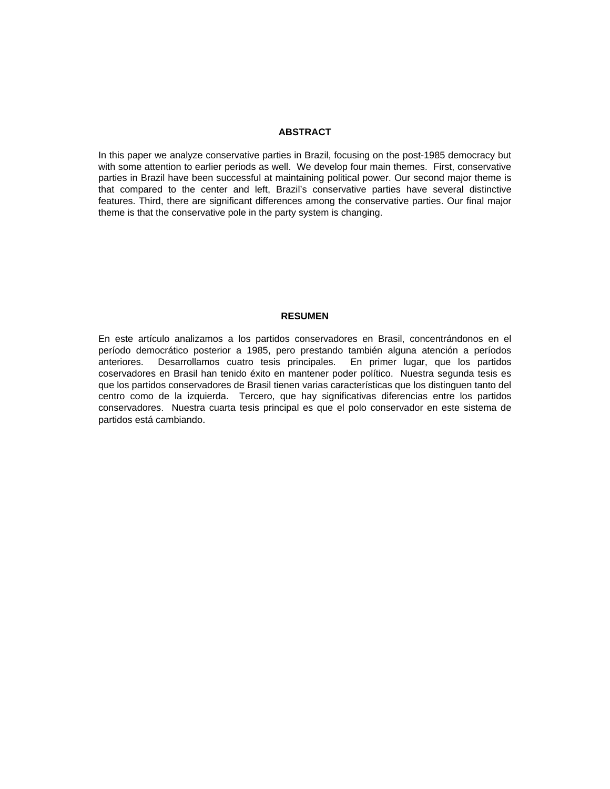# **ABSTRACT**

In this paper we analyze conservative parties in Brazil, focusing on the post-1985 democracy but with some attention to earlier periods as well. We develop four main themes. First, conservative parties in Brazil have been successful at maintaining political power. Our second major theme is that compared to the center and left, Brazil's conservative parties have several distinctive features. Third, there are significant differences among the conservative parties. Our final major theme is that the conservative pole in the party system is changing.

### **RESUMEN**

En este artículo analizamos a los partidos conservadores en Brasil, concentrándonos en el período democrático posterior a 1985, pero prestando también alguna atención a períodos anteriores. Desarrollamos cuatro tesis principales. En primer lugar, que los partidos coservadores en Brasil han tenido éxito en mantener poder político. Nuestra segunda tesis es que los partidos conservadores de Brasil tienen varias características que los distinguen tanto del centro como de la izquierda. Tercero, que hay significativas diferencias entre los partidos conservadores. Nuestra cuarta tesis principal es que el polo conservador en este sistema de partidos está cambiando.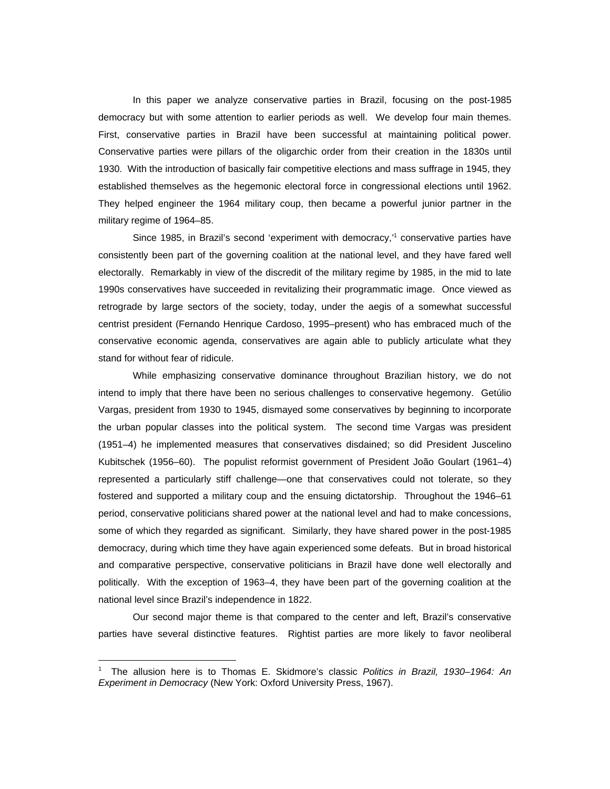In this paper we analyze conservative parties in Brazil, focusing on the post-1985 democracy but with some attention to earlier periods as well. We develop four main themes. First, conservative parties in Brazil have been successful at maintaining political power. Conservative parties were pillars of the oligarchic order from their creation in the 1830s until 1930. With the introduction of basically fair competitive elections and mass suffrage in 1945, they established themselves as the hegemonic electoral force in congressional elections until 1962. They helped engineer the 1964 military coup, then became a powerful junior partner in the military regime of 1964–85.

Since 1985, in Brazil's second 'experiment with democracy,<sup>11</sup> conservative parties have consistently been part of the governing coalition at the national level, and they have fared well electorally. Remarkably in view of the discredit of the military regime by 1985, in the mid to late 1990s conservatives have succeeded in revitalizing their programmatic image. Once viewed as retrograde by large sectors of the society, today, under the aegis of a somewhat successful centrist president (Fernando Henrique Cardoso, 1995–present) who has embraced much of the conservative economic agenda, conservatives are again able to publicly articulate what they stand for without fear of ridicule.

While emphasizing conservative dominance throughout Brazilian history, we do not intend to imply that there have been no serious challenges to conservative hegemony. Getúlio Vargas, president from 1930 to 1945, dismayed some conservatives by beginning to incorporate the urban popular classes into the political system. The second time Vargas was president (1951–4) he implemented measures that conservatives disdained; so did President Juscelino Kubitschek (1956–60). The populist reformist government of President João Goulart (1961–4) represented a particularly stiff challenge—one that conservatives could not tolerate, so they fostered and supported a military coup and the ensuing dictatorship. Throughout the 1946–61 period, conservative politicians shared power at the national level and had to make concessions, some of which they regarded as significant. Similarly, they have shared power in the post-1985 democracy, during which time they have again experienced some defeats. But in broad historical and comparative perspective, conservative politicians in Brazil have done well electorally and politically. With the exception of 1963–4, they have been part of the governing coalition at the national level since Brazil's independence in 1822.

Our second major theme is that compared to the center and left, Brazil's conservative parties have several distinctive features. Rightist parties are more likely to favor neoliberal

<sup>1</sup> The allusion here is to Thomas E. Skidmore's classic *Politics in Brazil, 1930–1964: An Experiment in Democracy* (New York: Oxford University Press, 1967).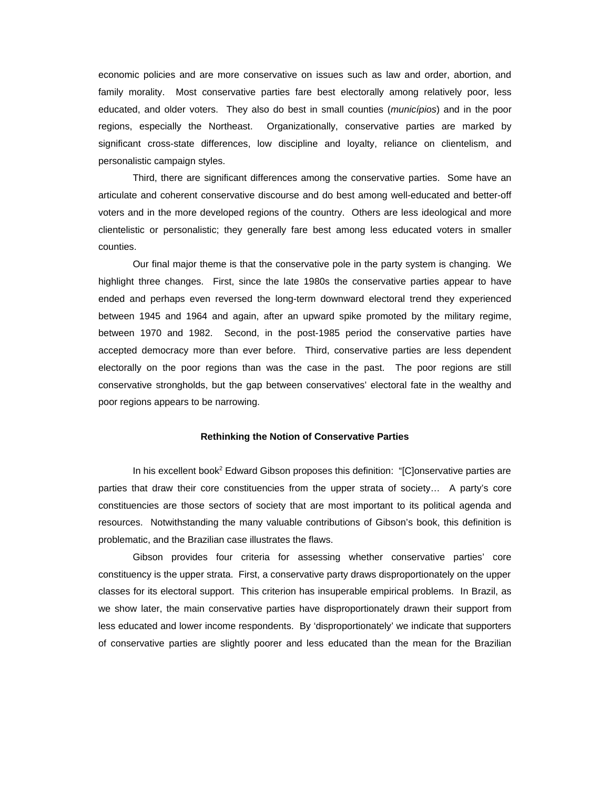economic policies and are more conservative on issues such as law and order, abortion, and family morality. Most conservative parties fare best electorally among relatively poor, less educated, and older voters. They also do best in small counties (*municípios*) and in the poor regions, especially the Northeast. Organizationally, conservative parties are marked by significant cross-state differences, low discipline and loyalty, reliance on clientelism, and personalistic campaign styles.

Third, there are significant differences among the conservative parties. Some have an articulate and coherent conservative discourse and do best among well-educated and better-off voters and in the more developed regions of the country. Others are less ideological and more clientelistic or personalistic; they generally fare best among less educated voters in smaller counties.

Our final major theme is that the conservative pole in the party system is changing. We highlight three changes. First, since the late 1980s the conservative parties appear to have ended and perhaps even reversed the long-term downward electoral trend they experienced between 1945 and 1964 and again, after an upward spike promoted by the military regime, between 1970 and 1982. Second, in the post-1985 period the conservative parties have accepted democracy more than ever before. Third, conservative parties are less dependent electorally on the poor regions than was the case in the past. The poor regions are still conservative strongholds, but the gap between conservatives' electoral fate in the wealthy and poor regions appears to be narrowing.

# **Rethinking the Notion of Conservative Parties**

In his excellent book<sup>2</sup> Edward Gibson proposes this definition: "[C]onservative parties are parties that draw their core constituencies from the upper strata of society… A party's core constituencies are those sectors of society that are most important to its political agenda and resources. Notwithstanding the many valuable contributions of Gibson's book, this definition is problematic, and the Brazilian case illustrates the flaws.

Gibson provides four criteria for assessing whether conservative parties' core constituency is the upper strata. First, a conservative party draws disproportionately on the upper classes for its electoral support. This criterion has insuperable empirical problems. In Brazil, as we show later, the main conservative parties have disproportionately drawn their support from less educated and lower income respondents. By 'disproportionately' we indicate that supporters of conservative parties are slightly poorer and less educated than the mean for the Brazilian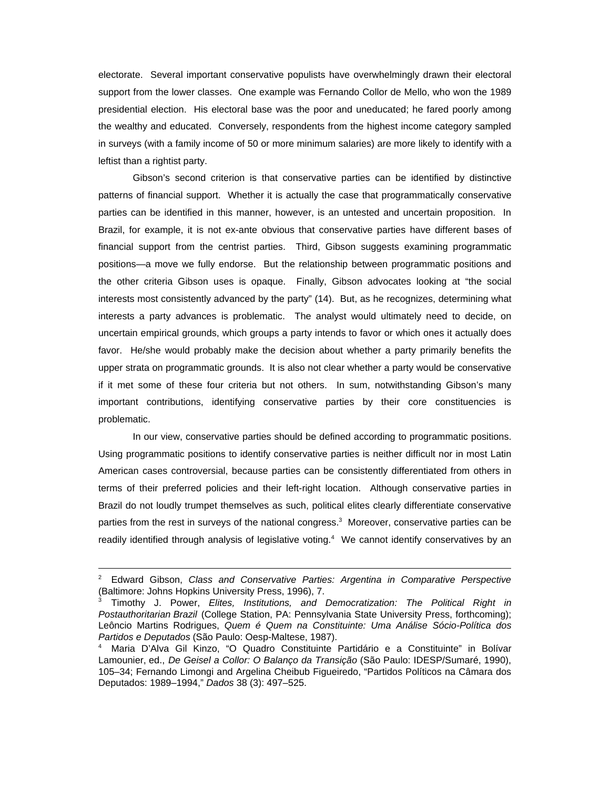electorate. Several important conservative populists have overwhelmingly drawn their electoral support from the lower classes. One example was Fernando Collor de Mello, who won the 1989 presidential election. His electoral base was the poor and uneducated; he fared poorly among the wealthy and educated. Conversely, respondents from the highest income category sampled in surveys (with a family income of 50 or more minimum salaries) are more likely to identify with a leftist than a rightist party.

Gibson's second criterion is that conservative parties can be identified by distinctive patterns of financial support. Whether it is actually the case that programmatically conservative parties can be identified in this manner, however, is an untested and uncertain proposition. In Brazil, for example, it is not ex-ante obvious that conservative parties have different bases of financial support from the centrist parties. Third, Gibson suggests examining programmatic positions—a move we fully endorse. But the relationship between programmatic positions and the other criteria Gibson uses is opaque. Finally, Gibson advocates looking at "the social interests most consistently advanced by the party" (14). But, as he recognizes, determining what interests a party advances is problematic. The analyst would ultimately need to decide, on uncertain empirical grounds, which groups a party intends to favor or which ones it actually does favor. He/she would probably make the decision about whether a party primarily benefits the upper strata on programmatic grounds. It is also not clear whether a party would be conservative if it met some of these four criteria but not others. In sum, notwithstanding Gibson's many important contributions, identifying conservative parties by their core constituencies is problematic.

In our view, conservative parties should be defined according to programmatic positions. Using programmatic positions to identify conservative parties is neither difficult nor in most Latin American cases controversial, because parties can be consistently differentiated from others in terms of their preferred policies and their left-right location. Although conservative parties in Brazil do not loudly trumpet themselves as such, political elites clearly differentiate conservative parties from the rest in surveys of the national congress.<sup>3</sup> Moreover, conservative parties can be readily identified through analysis of legislative voting.<sup>4</sup> We cannot identify conservatives by an

<sup>2</sup> Edward Gibson, *Class and Conservative Parties: Argentina in Comparative Perspective* (Baltimore: Johns Hopkins University Press, 1996), 7.

<sup>3</sup> Timothy J. Power, *Elites, Institutions, and Democratization: The Political Right in Postauthoritarian Brazil* (College Station, PA: Pennsylvania State University Press, forthcoming); Leôncio Martins Rodrigues, *Quem é Quem na Constituinte: Uma Análise Sócio-Política dos Partidos e Deputados* (São Paulo: Oesp-Maltese, 1987).

<sup>4</sup> Maria D'Alva Gil Kinzo, "O Quadro Constituinte Partidário e a Constituinte" in Bolívar Lamounier, ed., *De Geisel a Collor: O Balanço da Transição* (São Paulo: IDESP/Sumaré, 1990), 105–34; Fernando Limongi and Argelina Cheibub Figueiredo, "Partidos Políticos na Câmara dos Deputados: 1989–1994," *Dados* 38 (3): 497–525.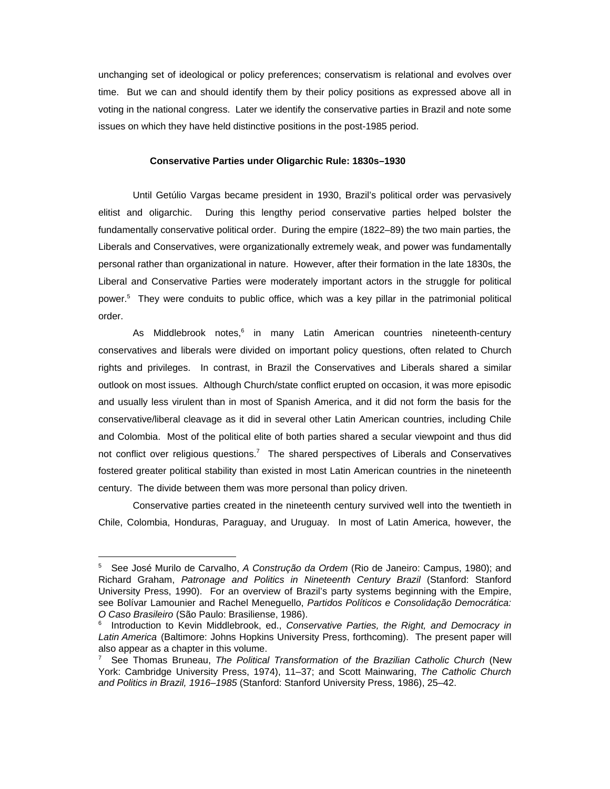unchanging set of ideological or policy preferences; conservatism is relational and evolves over time. But we can and should identify them by their policy positions as expressed above all in voting in the national congress. Later we identify the conservative parties in Brazil and note some issues on which they have held distinctive positions in the post-1985 period.

### **Conservative Parties under Oligarchic Rule: 1830s–1930**

Until Getúlio Vargas became president in 1930, Brazil's political order was pervasively elitist and oligarchic. During this lengthy period conservative parties helped bolster the fundamentally conservative political order. During the empire (1822–89) the two main parties, the Liberals and Conservatives, were organizationally extremely weak, and power was fundamentally personal rather than organizational in nature. However, after their formation in the late 1830s, the Liberal and Conservative Parties were moderately important actors in the struggle for political power.<sup>5</sup> They were conduits to public office, which was a key pillar in the patrimonial political order.

As Middlebrook notes,<sup>6</sup> in many Latin American countries nineteenth-century conservatives and liberals were divided on important policy questions, often related to Church rights and privileges. In contrast, in Brazil the Conservatives and Liberals shared a similar outlook on most issues. Although Church/state conflict erupted on occasion, it was more episodic and usually less virulent than in most of Spanish America, and it did not form the basis for the conservative/liberal cleavage as it did in several other Latin American countries, including Chile and Colombia. Most of the political elite of both parties shared a secular viewpoint and thus did not conflict over religious questions.<sup>7</sup> The shared perspectives of Liberals and Conservatives fostered greater political stability than existed in most Latin American countries in the nineteenth century. The divide between them was more personal than policy driven.

Conservative parties created in the nineteenth century survived well into the twentieth in Chile, Colombia, Honduras, Paraguay, and Uruguay. In most of Latin America, however, the

<sup>5</sup> See José Murilo de Carvalho, *A Construção da Ordem* (Rio de Janeiro: Campus, 1980); and Richard Graham, *Patronage and Politics in Nineteenth Century Brazil* (Stanford: Stanford University Press, 1990). For an overview of Brazil's party systems beginning with the Empire, see Bolívar Lamounier and Rachel Meneguello, *Partidos Políticos e Consolidação Democrática: O Caso Brasileiro* (São Paulo: Brasiliense, 1986).

<sup>6</sup> Introduction to Kevin Middlebrook, ed., *Conservative Parties, the Right, and Democracy in Latin America* (Baltimore: Johns Hopkins University Press, forthcoming). The present paper will also appear as a chapter in this volume.

<sup>7</sup> See Thomas Bruneau, *The Political Transformation of the Brazilian Catholic Church* (New York: Cambridge University Press, 1974), 11–37; and Scott Mainwaring, *The Catholic Church and Politics in Brazil, 1916–1985* (Stanford: Stanford University Press, 1986), 25–42.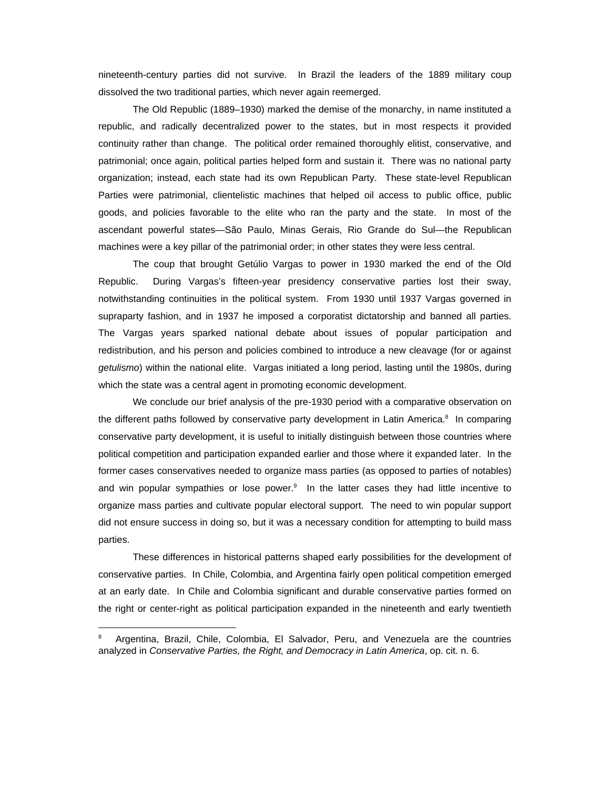nineteenth-century parties did not survive. In Brazil the leaders of the 1889 military coup dissolved the two traditional parties, which never again reemerged.

The Old Republic (1889–1930) marked the demise of the monarchy, in name instituted a republic, and radically decentralized power to the states, but in most respects it provided continuity rather than change. The political order remained thoroughly elitist, conservative, and patrimonial; once again, political parties helped form and sustain it. There was no national party organization; instead, each state had its own Republican Party. These state-level Republican Parties were patrimonial, clientelistic machines that helped oil access to public office, public goods, and policies favorable to the elite who ran the party and the state. In most of the ascendant powerful states—São Paulo, Minas Gerais, Rio Grande do Sul—the Republican machines were a key pillar of the patrimonial order; in other states they were less central.

The coup that brought Getúlio Vargas to power in 1930 marked the end of the Old Republic. During Vargas's fifteen-year presidency conservative parties lost their sway, notwithstanding continuities in the political system. From 1930 until 1937 Vargas governed in supraparty fashion, and in 1937 he imposed a corporatist dictatorship and banned all parties. The Vargas years sparked national debate about issues of popular participation and redistribution, and his person and policies combined to introduce a new cleavage (for or against *getulismo*) within the national elite. Vargas initiated a long period, lasting until the 1980s, during which the state was a central agent in promoting economic development.

We conclude our brief analysis of the pre-1930 period with a comparative observation on the different paths followed by conservative party development in Latin America.<sup>8</sup> In comparing conservative party development, it is useful to initially distinguish between those countries where political competition and participation expanded earlier and those where it expanded later. In the former cases conservatives needed to organize mass parties (as opposed to parties of notables) and win popular sympathies or lose power. $9$  In the latter cases they had little incentive to organize mass parties and cultivate popular electoral support. The need to win popular support did not ensure success in doing so, but it was a necessary condition for attempting to build mass parties.

These differences in historical patterns shaped early possibilities for the development of conservative parties. In Chile, Colombia, and Argentina fairly open political competition emerged at an early date. In Chile and Colombia significant and durable conservative parties formed on the right or center-right as political participation expanded in the nineteenth and early twentieth

<sup>8</sup> Argentina, Brazil, Chile, Colombia, El Salvador, Peru, and Venezuela are the countries analyzed in *Conservative Parties, the Right, and Democracy in Latin America*, op. cit. n. 6.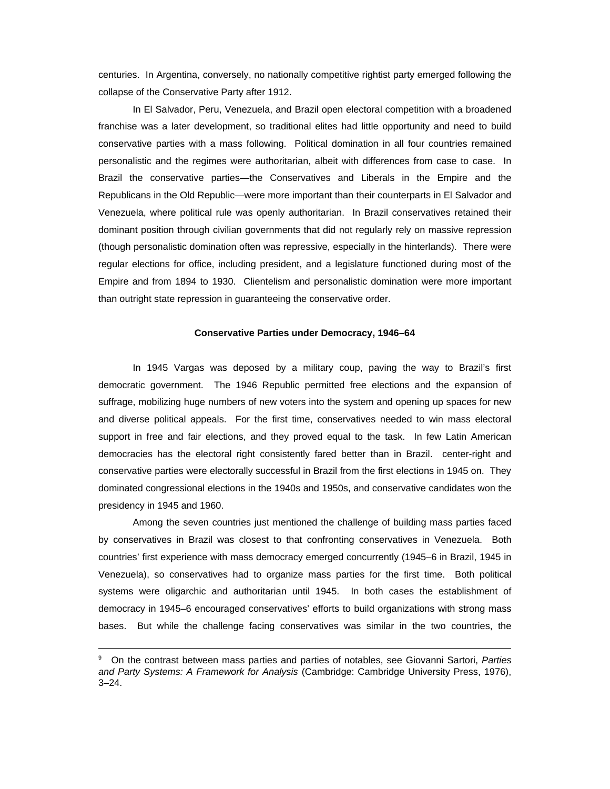centuries. In Argentina, conversely, no nationally competitive rightist party emerged following the collapse of the Conservative Party after 1912.

In El Salvador, Peru, Venezuela, and Brazil open electoral competition with a broadened franchise was a later development, so traditional elites had little opportunity and need to build conservative parties with a mass following. Political domination in all four countries remained personalistic and the regimes were authoritarian, albeit with differences from case to case. In Brazil the conservative parties—the Conservatives and Liberals in the Empire and the Republicans in the Old Republic—were more important than their counterparts in El Salvador and Venezuela, where political rule was openly authoritarian. In Brazil conservatives retained their dominant position through civilian governments that did not regularly rely on massive repression (though personalistic domination often was repressive, especially in the hinterlands). There were regular elections for office, including president, and a legislature functioned during most of the Empire and from 1894 to 1930. Clientelism and personalistic domination were more important than outright state repression in guaranteeing the conservative order.

#### **Conservative Parties under Democracy, 1946–64**

In 1945 Vargas was deposed by a military coup, paving the way to Brazil's first democratic government. The 1946 Republic permitted free elections and the expansion of suffrage, mobilizing huge numbers of new voters into the system and opening up spaces for new and diverse political appeals. For the first time, conservatives needed to win mass electoral support in free and fair elections, and they proved equal to the task. In few Latin American democracies has the electoral right consistently fared better than in Brazil. center-right and conservative parties were electorally successful in Brazil from the first elections in 1945 on. They dominated congressional elections in the 1940s and 1950s, and conservative candidates won the presidency in 1945 and 1960.

Among the seven countries just mentioned the challenge of building mass parties faced by conservatives in Brazil was closest to that confronting conservatives in Venezuela. Both countries' first experience with mass democracy emerged concurrently (1945–6 in Brazil, 1945 in Venezuela), so conservatives had to organize mass parties for the first time. Both political systems were oligarchic and authoritarian until 1945. In both cases the establishment of democracy in 1945–6 encouraged conservatives' efforts to build organizations with strong mass bases. But while the challenge facing conservatives was similar in the two countries, the

<sup>9</sup> On the contrast between mass parties and parties of notables, see Giovanni Sartori, *Parties and Party Systems: A Framework for Analysis* (Cambridge: Cambridge University Press, 1976), 3–24.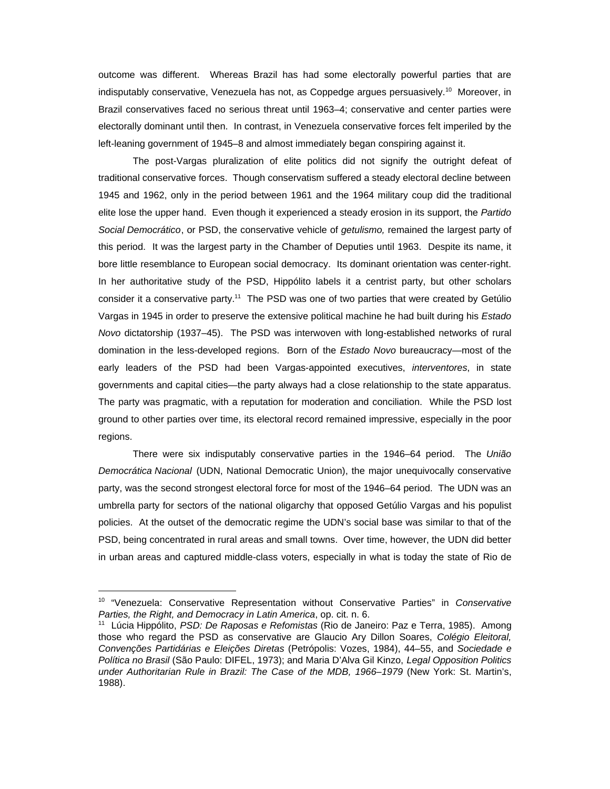outcome was different. Whereas Brazil has had some electorally powerful parties that are indisputably conservative, Venezuela has not, as Coppedge argues persuasively.<sup>10</sup> Moreover, in Brazil conservatives faced no serious threat until 1963–4; conservative and center parties were electorally dominant until then. In contrast, in Venezuela conservative forces felt imperiled by the left-leaning government of 1945–8 and almost immediately began conspiring against it.

The post-Vargas pluralization of elite politics did not signify the outright defeat of traditional conservative forces. Though conservatism suffered a steady electoral decline between 1945 and 1962, only in the period between 1961 and the 1964 military coup did the traditional elite lose the upper hand. Even though it experienced a steady erosion in its support, the *Partido Social Democrático*, or PSD, the conservative vehicle of *getulismo,* remained the largest party of this period. It was the largest party in the Chamber of Deputies until 1963. Despite its name, it bore little resemblance to European social democracy. Its dominant orientation was center-right. In her authoritative study of the PSD, Hippólito labels it a centrist party, but other scholars consider it a conservative party.<sup>11</sup> The PSD was one of two parties that were created by Getúlio Vargas in 1945 in order to preserve the extensive political machine he had built during his *Estado Novo* dictatorship (1937–45). The PSD was interwoven with long-established networks of rural domination in the less-developed regions. Born of the *Estado Novo* bureaucracy—most of the early leaders of the PSD had been Vargas-appointed executives, *interventores*, in state governments and capital cities—the party always had a close relationship to the state apparatus. The party was pragmatic, with a reputation for moderation and conciliation. While the PSD lost ground to other parties over time, its electoral record remained impressive, especially in the poor regions.

There were six indisputably conservative parties in the 1946–64 period. The *União Democrática Nacional* (UDN, National Democratic Union), the major unequivocally conservative party, was the second strongest electoral force for most of the 1946–64 period. The UDN was an umbrella party for sectors of the national oligarchy that opposed Getúlio Vargas and his populist policies. At the outset of the democratic regime the UDN's social base was similar to that of the PSD, being concentrated in rural areas and small towns. Over time, however, the UDN did better in urban areas and captured middle-class voters, especially in what is today the state of Rio de

<sup>10</sup> "Venezuela: Conservative Representation without Conservative Parties" in *Conservative Parties, the Right, and Democracy in Latin America*, op. cit. n. 6.

<sup>11</sup> Lúcia Hippólito, *PSD: De Raposas e Refomistas* (Rio de Janeiro: Paz e Terra, 1985). Among those who regard the PSD as conservative are Glaucio Ary Dillon Soares, *Colégio Eleitoral, Convenções Partidárias e Eleições Diretas* (Petrópolis: Vozes, 1984), 44–55, and *Sociedade e Política no Brasil* (São Paulo: DIFEL, 1973); and Maria D'Alva Gil Kinzo, *Legal Opposition Politics under Authoritarian Rule in Brazil: The Case of the MDB, 1966–1979* (New York: St. Martin's, 1988).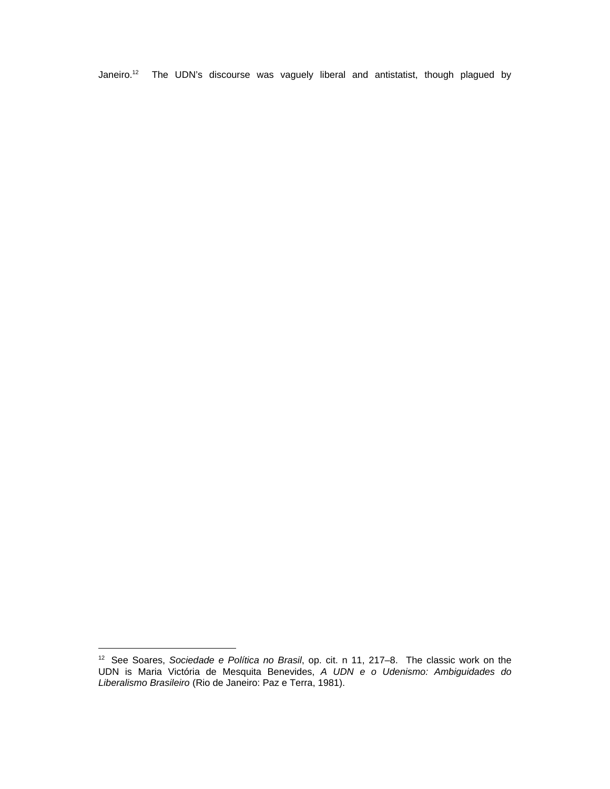Janeiro.<sup>12</sup> The UDN's discourse was vaguely liberal and antistatist, though plagued by

<sup>12</sup> See Soares, *Sociedade e Política no Brasil*, op. cit. n 11, 217–8. The classic work on the UDN is Maria Victória de Mesquita Benevides, *A UDN e o Udenismo: Ambiguidades do Liberalismo Brasileiro* (Rio de Janeiro: Paz e Terra, 1981).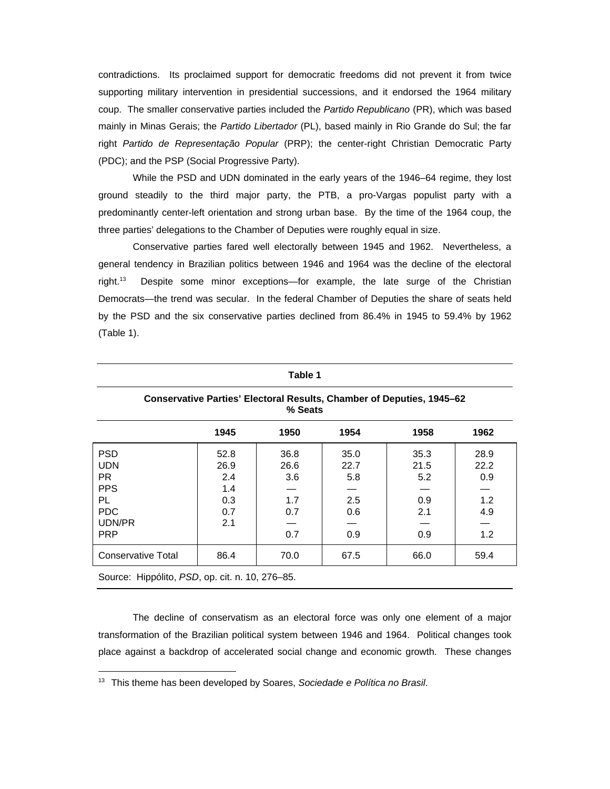contradictions. Its proclaimed support for democratic freedoms did not prevent it from twice supporting military intervention in presidential successions, and it endorsed the 1964 military coup. The smaller conservative parties included the *Partido Republicano* (PR), which was based mainly in Minas Gerais; the *Partido Libertador* (PL), based mainly in Rio Grande do Sul; the far right *Partido de Representação Popular* (PRP); the center-right Christian Democratic Party (PDC); and the PSP (Social Progressive Party).

While the PSD and UDN dominated in the early years of the 1946–64 regime, they lost ground steadily to the third major party, the PTB, a pro-Vargas populist party with a predominantly center-left orientation and strong urban base. By the time of the 1964 coup, the three parties' delegations to the Chamber of Deputies were roughly equal in size.

Conservative parties fared well electorally between 1945 and 1962. Nevertheless, a general tendency in Brazilian politics between 1946 and 1964 was the decline of the electoral right.<sup>13</sup> Despite some minor exceptions—for example, the late surge of the Christian Democrats—the trend was secular. In the federal Chamber of Deputies the share of seats held by the PSD and the six conservative parties declined from 86.4% in 1945 to 59.4% by 1962 (Table 1).

|                                                 |      | Table 1 |      |                                                                       |      |
|-------------------------------------------------|------|---------|------|-----------------------------------------------------------------------|------|
|                                                 |      | % Seats |      | Conservative Parties' Electoral Results, Chamber of Deputies, 1945-62 |      |
|                                                 | 1945 | 1950    | 1954 | 1958                                                                  | 1962 |
| <b>PSD</b>                                      | 52.8 | 36.8    | 35.0 | 35.3                                                                  | 28.9 |
| <b>UDN</b>                                      | 26.9 | 26.6    | 22.7 | 21.5                                                                  | 22.2 |
| <b>PR</b>                                       | 2.4  | 3.6     | 5.8  | 5.2                                                                   | 0.9  |
| <b>PPS</b>                                      | 1.4  |         |      |                                                                       |      |
| PL                                              | 0.3  | 1.7     | 2.5  | 0.9                                                                   | 1.2  |
| PDC                                             | 0.7  | 0.7     | 0.6  | 2.1                                                                   | 4.9  |
| UDN/PR                                          | 2.1  |         |      |                                                                       |      |
| <b>PRP</b>                                      |      | 0.7     | 0.9  | 0.9                                                                   | 1.2  |
| Conservative Total                              | 86.4 | 70.0    | 67.5 | 66.0                                                                  | 59.4 |
| Source: Hippólito, PSD, op. cit. n. 10, 276-85. |      |         |      |                                                                       |      |

The decline of conservatism as an electoral force was only one element of a major transformation of the Brazilian political system between 1946 and 1964. Political changes took place against a backdrop of accelerated social change and economic growth. These changes

<sup>13</sup> This theme has been developed by Soares, *Sociedade e Política no Brasil*.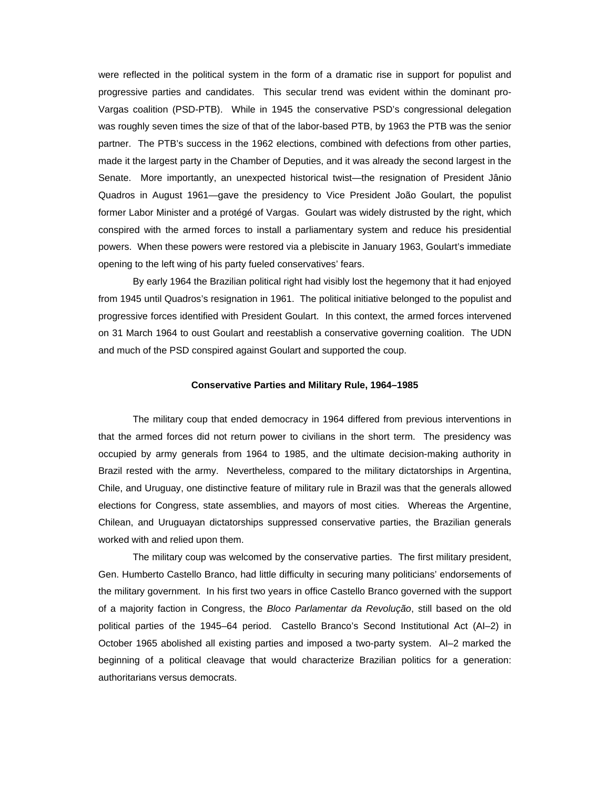were reflected in the political system in the form of a dramatic rise in support for populist and progressive parties and candidates. This secular trend was evident within the dominant pro-Vargas coalition (PSD-PTB). While in 1945 the conservative PSD's congressional delegation was roughly seven times the size of that of the labor-based PTB, by 1963 the PTB was the senior partner. The PTB's success in the 1962 elections, combined with defections from other parties, made it the largest party in the Chamber of Deputies, and it was already the second largest in the Senate. More importantly, an unexpected historical twist—the resignation of President Jânio Quadros in August 1961—gave the presidency to Vice President João Goulart, the populist former Labor Minister and a protégé of Vargas. Goulart was widely distrusted by the right, which conspired with the armed forces to install a parliamentary system and reduce his presidential powers. When these powers were restored via a plebiscite in January 1963, Goulart's immediate opening to the left wing of his party fueled conservatives' fears.

By early 1964 the Brazilian political right had visibly lost the hegemony that it had enjoyed from 1945 until Quadros's resignation in 1961. The political initiative belonged to the populist and progressive forces identified with President Goulart. In this context, the armed forces intervened on 31 March 1964 to oust Goulart and reestablish a conservative governing coalition. The UDN and much of the PSD conspired against Goulart and supported the coup.

### **Conservative Parties and Military Rule, 1964–1985**

The military coup that ended democracy in 1964 differed from previous interventions in that the armed forces did not return power to civilians in the short term. The presidency was occupied by army generals from 1964 to 1985, and the ultimate decision-making authority in Brazil rested with the army. Nevertheless, compared to the military dictatorships in Argentina, Chile, and Uruguay, one distinctive feature of military rule in Brazil was that the generals allowed elections for Congress, state assemblies, and mayors of most cities. Whereas the Argentine, Chilean, and Uruguayan dictatorships suppressed conservative parties, the Brazilian generals worked with and relied upon them.

The military coup was welcomed by the conservative parties. The first military president, Gen. Humberto Castello Branco, had little difficulty in securing many politicians' endorsements of the military government. In his first two years in office Castello Branco governed with the support of a majority faction in Congress, the *Bloco Parlamentar da Revolução*, still based on the old political parties of the 1945–64 period. Castello Branco's Second Institutional Act (AI–2) in October 1965 abolished all existing parties and imposed a two-party system. AI–2 marked the beginning of a political cleavage that would characterize Brazilian politics for a generation: authoritarians versus democrats.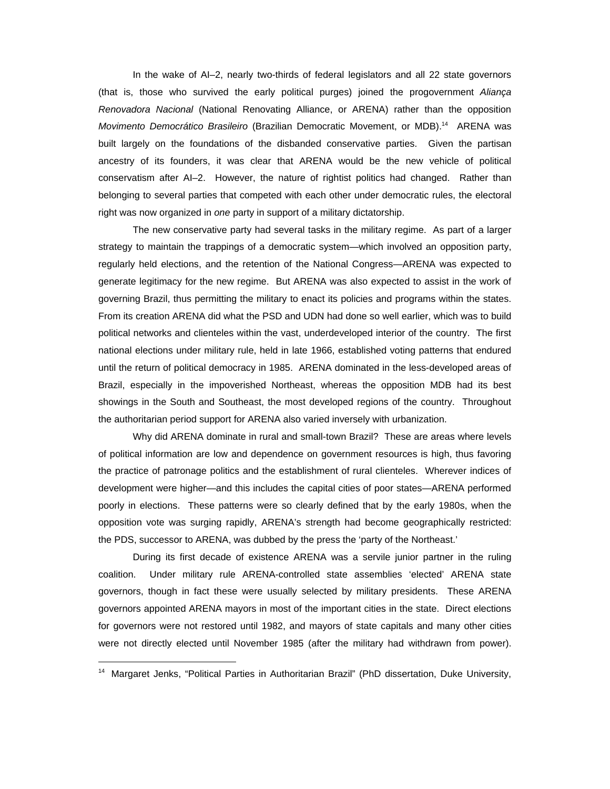In the wake of AI–2, nearly two-thirds of federal legislators and all 22 state governors (that is, those who survived the early political purges) joined the progovernment *Aliança Renovadora Nacional* (National Renovating Alliance, or ARENA) rather than the opposition *Movimento Democrático Brasileiro* (Brazilian Democratic Movement, or MDB).<sup>14</sup> ARENA was built largely on the foundations of the disbanded conservative parties. Given the partisan ancestry of its founders, it was clear that ARENA would be the new vehicle of political conservatism after AI–2. However, the nature of rightist politics had changed. Rather than belonging to several parties that competed with each other under democratic rules, the electoral right was now organized in *one* party in support of a military dictatorship.

The new conservative party had several tasks in the military regime. As part of a larger strategy to maintain the trappings of a democratic system—which involved an opposition party, regularly held elections, and the retention of the National Congress—ARENA was expected to generate legitimacy for the new regime. But ARENA was also expected to assist in the work of governing Brazil, thus permitting the military to enact its policies and programs within the states. From its creation ARENA did what the PSD and UDN had done so well earlier, which was to build political networks and clienteles within the vast, underdeveloped interior of the country. The first national elections under military rule, held in late 1966, established voting patterns that endured until the return of political democracy in 1985. ARENA dominated in the less-developed areas of Brazil, especially in the impoverished Northeast, whereas the opposition MDB had its best showings in the South and Southeast, the most developed regions of the country. Throughout the authoritarian period support for ARENA also varied inversely with urbanization.

Why did ARENA dominate in rural and small-town Brazil? These are areas where levels of political information are low and dependence on government resources is high, thus favoring the practice of patronage politics and the establishment of rural clienteles. Wherever indices of development were higher—and this includes the capital cities of poor states—ARENA performed poorly in elections. These patterns were so clearly defined that by the early 1980s, when the opposition vote was surging rapidly, ARENA's strength had become geographically restricted: the PDS, successor to ARENA, was dubbed by the press the 'party of the Northeast.'

During its first decade of existence ARENA was a servile junior partner in the ruling coalition. Under military rule ARENA-controlled state assemblies 'elected' ARENA state governors, though in fact these were usually selected by military presidents. These ARENA governors appointed ARENA mayors in most of the important cities in the state. Direct elections for governors were not restored until 1982, and mayors of state capitals and many other cities were not directly elected until November 1985 (after the military had withdrawn from power).

<sup>14</sup> Margaret Jenks, "Political Parties in Authoritarian Brazil" (PhD dissertation, Duke University,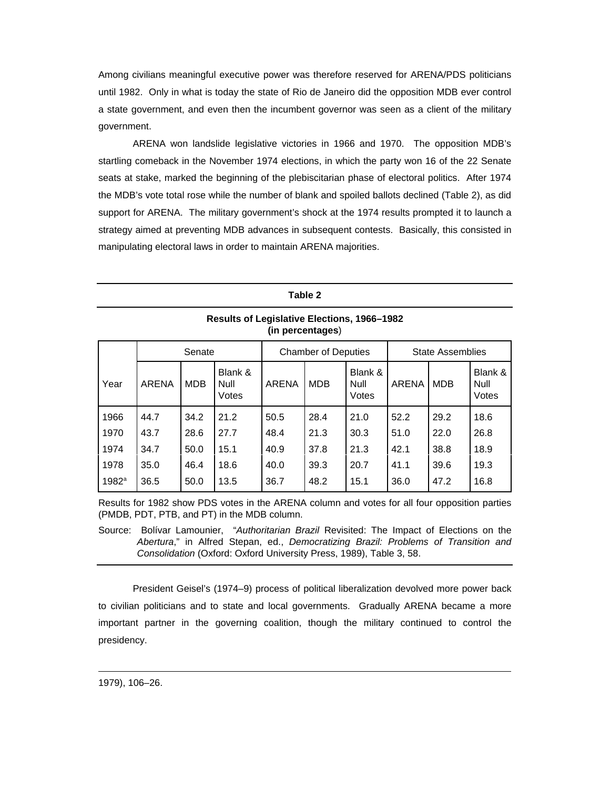Among civilians meaningful executive power was therefore reserved for ARENA/PDS politicians until 1982. Only in what is today the state of Rio de Janeiro did the opposition MDB ever control a state government, and even then the incumbent governor was seen as a client of the military government.

ARENA won landslide legislative victories in 1966 and 1970. The opposition MDB's startling comeback in the November 1974 elections, in which the party won 16 of the 22 Senate seats at stake, marked the beginning of the plebiscitarian phase of electoral politics. After 1974 the MDB's vote total rose while the number of blank and spoiled ballots declined (Table 2), as did support for ARENA. The military government's shock at the 1974 results prompted it to launch a strategy aimed at preventing MDB advances in subsequent contests. Basically, this consisted in manipulating electoral laws in order to maintain ARENA majorities.

|                   | Table 2                                                         |            |                          |              |            |                          |              |            |                          |
|-------------------|-----------------------------------------------------------------|------------|--------------------------|--------------|------------|--------------------------|--------------|------------|--------------------------|
|                   | Results of Legislative Elections, 1966-1982<br>(in percentages) |            |                          |              |            |                          |              |            |                          |
|                   | Senate<br><b>Chamber of Deputies</b><br><b>State Assemblies</b> |            |                          |              |            |                          |              |            |                          |
| Year              | <b>ARENA</b>                                                    | <b>MDB</b> | Blank &<br>Null<br>Votes | <b>ARENA</b> | <b>MDB</b> | Blank &<br>Null<br>Votes | <b>ARENA</b> | <b>MDB</b> | Blank &<br>Null<br>Votes |
| 1966              | 44.7                                                            | 34.2       | 21.2                     | 50.5         | 28.4       | 21.0                     | 52.2         | 29.2       | 18.6                     |
| 1970              | 43.7                                                            | 28.6       | 27.7                     | 48.4         | 21.3       | 30.3                     | 51.0         | 22.0       | 26.8                     |
| 1974              | 34.7                                                            | 50.0       | 15.1                     | 40.9         | 37.8       | 21.3                     | 42.1         | 38.8       | 18.9                     |
| 1978              | 35.0                                                            | 46.4       | 18.6                     | 40.0         | 39.3       | 20.7                     | 41.1         | 39.6       | 19.3                     |
| 1982 <sup>a</sup> | 36.5                                                            | 50.0       | 13.5                     | 36.7         | 48.2       | 15.1                     | 36.0         | 47.2       | 16.8                     |

Results for 1982 show PDS votes in the ARENA column and votes for all four opposition parties (PMDB, PDT, PTB, and PT) in the MDB column.

Source: Bolívar Lamounier, "*Authoritarian Brazil* Revisited: The Impact of Elections on the *Abertura*," in Alfred Stepan, ed., *Democratizing Brazil: Problems of Transition and Consolidation* (Oxford: Oxford University Press, 1989), Table 3, 58.

President Geisel's (1974–9) process of political liberalization devolved more power back to civilian politicians and to state and local governments. Gradually ARENA became a more important partner in the governing coalition, though the military continued to control the presidency.

1979), 106–26.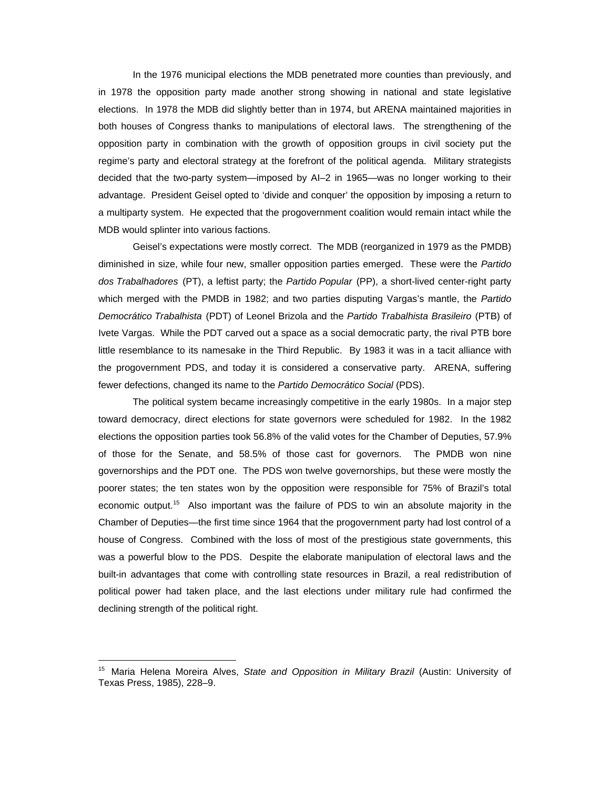In the 1976 municipal elections the MDB penetrated more counties than previously, and in 1978 the opposition party made another strong showing in national and state legislative elections. In 1978 the MDB did slightly better than in 1974, but ARENA maintained majorities in both houses of Congress thanks to manipulations of electoral laws. The strengthening of the opposition party in combination with the growth of opposition groups in civil society put the regime's party and electoral strategy at the forefront of the political agenda. Military strategists decided that the two-party system—imposed by AI–2 in 1965—was no longer working to their advantage. President Geisel opted to 'divide and conquer' the opposition by imposing a return to a multiparty system. He expected that the progovernment coalition would remain intact while the MDB would splinter into various factions.

Geisel's expectations were mostly correct. The MDB (reorganized in 1979 as the PMDB) diminished in size, while four new, smaller opposition parties emerged. These were the *Partido dos Trabalhadores* (PT), a leftist party; the *Partido Popular* (PP), a short-lived center-right party which merged with the PMDB in 1982; and two parties disputing Vargas's mantle, the *Partido Democrático Trabalhista* (PDT) of Leonel Brizola and the *Partido Trabalhista Brasileiro* (PTB) of Ivete Vargas. While the PDT carved out a space as a social democratic party, the rival PTB bore little resemblance to its namesake in the Third Republic. By 1983 it was in a tacit alliance with the progovernment PDS, and today it is considered a conservative party. ARENA, suffering fewer defections, changed its name to the *Partido Democrático Social* (PDS).

The political system became increasingly competitive in the early 1980s. In a major step toward democracy, direct elections for state governors were scheduled for 1982. In the 1982 elections the opposition parties took 56.8% of the valid votes for the Chamber of Deputies, 57.9% of those for the Senate, and 58.5% of those cast for governors. The PMDB won nine governorships and the PDT one. The PDS won twelve governorships, but these were mostly the poorer states; the ten states won by the opposition were responsible for 75% of Brazil's total economic output.<sup>15</sup> Also important was the failure of PDS to win an absolute majority in the Chamber of Deputies—the first time since 1964 that the progovernment party had lost control of a house of Congress. Combined with the loss of most of the prestigious state governments, this was a powerful blow to the PDS. Despite the elaborate manipulation of electoral laws and the built-in advantages that come with controlling state resources in Brazil, a real redistribution of political power had taken place, and the last elections under military rule had confirmed the declining strength of the political right.

<sup>15</sup> Maria Helena Moreira Alves, *State and Opposition in Military Brazil* (Austin: University of Texas Press, 1985), 228–9.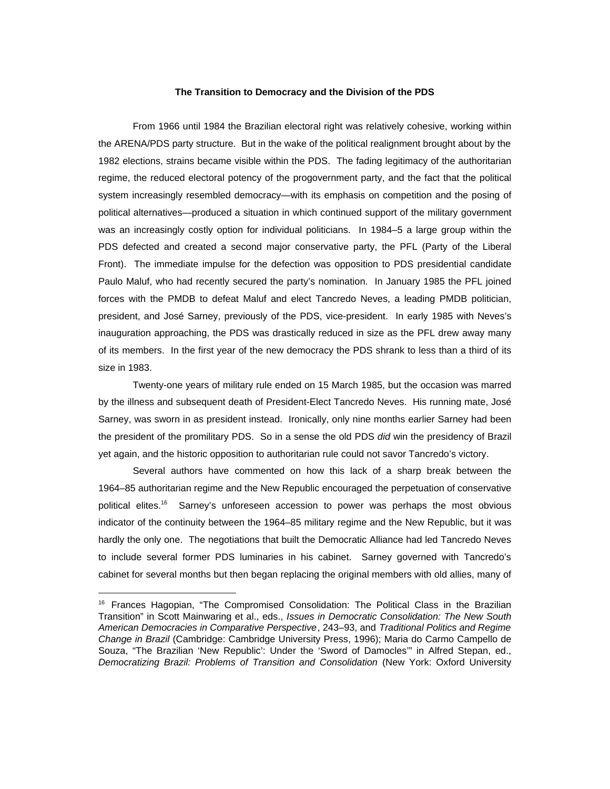### **The Transition to Democracy and the Division of the PDS**

From 1966 until 1984 the Brazilian electoral right was relatively cohesive, working within the ARENA/PDS party structure. But in the wake of the political realignment brought about by the 1982 elections, strains became visible within the PDS. The fading legitimacy of the authoritarian regime, the reduced electoral potency of the progovernment party, and the fact that the political system increasingly resembled democracy—with its emphasis on competition and the posing of political alternatives—produced a situation in which continued support of the military government was an increasingly costly option for individual politicians. In 1984–5 a large group within the PDS defected and created a second major conservative party, the PFL (Party of the Liberal Front). The immediate impulse for the defection was opposition to PDS presidential candidate Paulo Maluf, who had recently secured the party's nomination. In January 1985 the PFL joined forces with the PMDB to defeat Maluf and elect Tancredo Neves, a leading PMDB politician, president, and José Sarney, previously of the PDS, vice-president. In early 1985 with Neves's inauguration approaching, the PDS was drastically reduced in size as the PFL drew away many of its members. In the first year of the new democracy the PDS shrank to less than a third of its size in 1983.

Twenty-one years of military rule ended on 15 March 1985, but the occasion was marred by the illness and subsequent death of President-Elect Tancredo Neves. His running mate, José Sarney, was sworn in as president instead. Ironically, only nine months earlier Sarney had been the president of the promilitary PDS. So in a sense the old PDS *did* win the presidency of Brazil yet again, and the historic opposition to authoritarian rule could not savor Tancredo's victory.

Several authors have commented on how this lack of a sharp break between the 1964–85 authoritarian regime and the New Republic encouraged the perpetuation of conservative political elites.<sup>16</sup> Sarney's unforeseen accession to power was perhaps the most obvious indicator of the continuity between the 1964–85 military regime and the New Republic, but it was hardly the only one. The negotiations that built the Democratic Alliance had led Tancredo Neves to include several former PDS luminaries in his cabinet. Sarney governed with Tancredo's cabinet for several months but then began replacing the original members with old allies, many of

<sup>&</sup>lt;sup>16</sup> Frances Hagopian, "The Compromised Consolidation: The Political Class in the Brazilian Transition" in Scott Mainwaring et al., eds., *Issues in Democratic Consolidation: The New South American Democracies in Comparative Perspective*, 243–93, and *Traditional Politics and Regime Change in Brazil* (Cambridge: Cambridge University Press, 1996); Maria do Carmo Campello de Souza, "The Brazilian 'New Republic': Under the 'Sword of Damocles'" in Alfred Stepan, ed., *Democratizing Brazil: Problems of Transition and Consolidation* (New York: Oxford University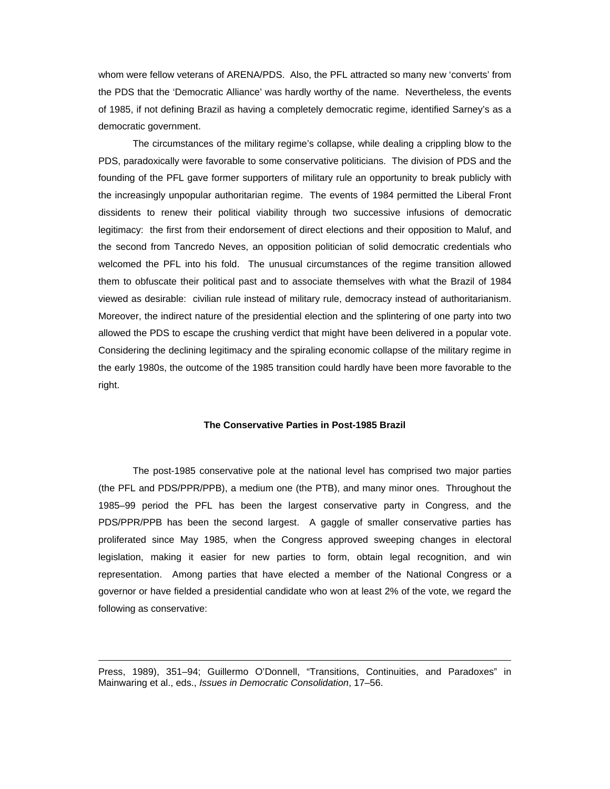whom were fellow veterans of ARENA/PDS. Also, the PFL attracted so many new 'converts' from the PDS that the 'Democratic Alliance' was hardly worthy of the name. Nevertheless, the events of 1985, if not defining Brazil as having a completely democratic regime, identified Sarney's as a democratic government.

The circumstances of the military regime's collapse, while dealing a crippling blow to the PDS, paradoxically were favorable to some conservative politicians. The division of PDS and the founding of the PFL gave former supporters of military rule an opportunity to break publicly with the increasingly unpopular authoritarian regime. The events of 1984 permitted the Liberal Front dissidents to renew their political viability through two successive infusions of democratic legitimacy: the first from their endorsement of direct elections and their opposition to Maluf, and the second from Tancredo Neves, an opposition politician of solid democratic credentials who welcomed the PFL into his fold. The unusual circumstances of the regime transition allowed them to obfuscate their political past and to associate themselves with what the Brazil of 1984 viewed as desirable: civilian rule instead of military rule, democracy instead of authoritarianism. Moreover, the indirect nature of the presidential election and the splintering of one party into two allowed the PDS to escape the crushing verdict that might have been delivered in a popular vote. Considering the declining legitimacy and the spiraling economic collapse of the military regime in the early 1980s, the outcome of the 1985 transition could hardly have been more favorable to the right.

# **The Conservative Parties in Post-1985 Brazil**

The post-1985 conservative pole at the national level has comprised two major parties (the PFL and PDS/PPR/PPB), a medium one (the PTB), and many minor ones. Throughout the 1985–99 period the PFL has been the largest conservative party in Congress, and the PDS/PPR/PPB has been the second largest. A gaggle of smaller conservative parties has proliferated since May 1985, when the Congress approved sweeping changes in electoral legislation, making it easier for new parties to form, obtain legal recognition, and win representation. Among parties that have elected a member of the National Congress or a governor or have fielded a presidential candidate who won at least 2% of the vote, we regard the following as conservative:

Press, 1989), 351–94; Guillermo O'Donnell, "Transitions, Continuities, and Paradoxes" in Mainwaring et al., eds., *Issues in Democratic Consolidation*, 17–56.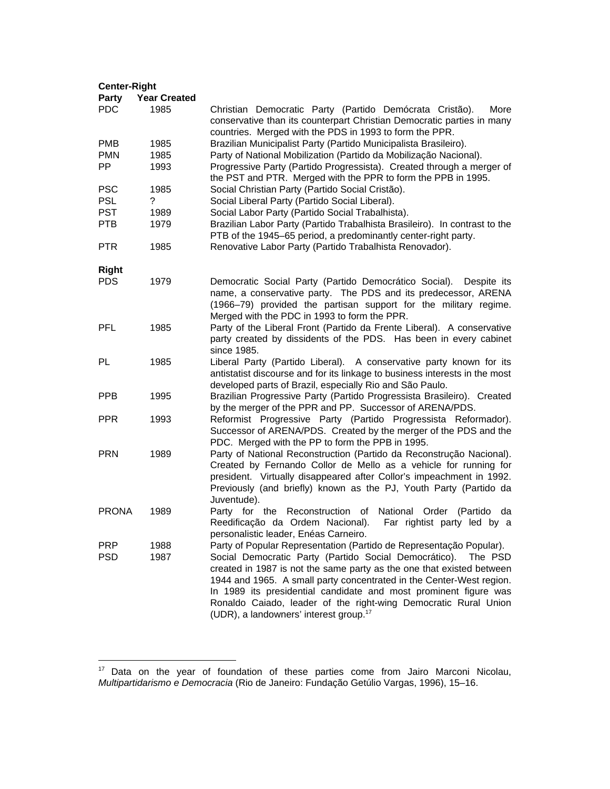| <b>Center-Right</b> |                     |                                                                                                                                                                                                                                                                                                                                                                                                                |
|---------------------|---------------------|----------------------------------------------------------------------------------------------------------------------------------------------------------------------------------------------------------------------------------------------------------------------------------------------------------------------------------------------------------------------------------------------------------------|
| Party               | <b>Year Created</b> |                                                                                                                                                                                                                                                                                                                                                                                                                |
| <b>PDC</b>          | 1985                | Christian Democratic Party (Partido Demócrata Cristão).<br>More<br>conservative than its counterpart Christian Democratic parties in many<br>countries. Merged with the PDS in 1993 to form the PPR.                                                                                                                                                                                                           |
| <b>PMB</b>          | 1985                | Brazilian Municipalist Party (Partido Municipalista Brasileiro).                                                                                                                                                                                                                                                                                                                                               |
| <b>PMN</b>          | 1985                | Party of National Mobilization (Partido da Mobilização Nacional).                                                                                                                                                                                                                                                                                                                                              |
| PP                  | 1993                | Progressive Party (Partido Progressista). Created through a merger of<br>the PST and PTR. Merged with the PPR to form the PPB in 1995.                                                                                                                                                                                                                                                                         |
| <b>PSC</b>          | 1985                | Social Christian Party (Partido Social Cristão).                                                                                                                                                                                                                                                                                                                                                               |
| <b>PSL</b>          | ?                   | Social Liberal Party (Partido Social Liberal).                                                                                                                                                                                                                                                                                                                                                                 |
| <b>PST</b>          | 1989                | Social Labor Party (Partido Social Trabalhista).                                                                                                                                                                                                                                                                                                                                                               |
| <b>PTB</b>          | 1979                | Brazilian Labor Party (Partido Trabalhista Brasileiro). In contrast to the<br>PTB of the 1945–65 period, a predominantly center-right party.                                                                                                                                                                                                                                                                   |
| <b>PTR</b>          | 1985                | Renovative Labor Party (Partido Trabalhista Renovador).                                                                                                                                                                                                                                                                                                                                                        |
| <b>Right</b>        |                     |                                                                                                                                                                                                                                                                                                                                                                                                                |
| <b>PDS</b>          | 1979                | Democratic Social Party (Partido Democrático Social).<br>Despite its<br>name, a conservative party. The PDS and its predecessor, ARENA<br>(1966-79) provided the partisan support for the military regime.<br>Merged with the PDC in 1993 to form the PPR.                                                                                                                                                     |
| <b>PFL</b>          | 1985                | Party of the Liberal Front (Partido da Frente Liberal). A conservative<br>party created by dissidents of the PDS. Has been in every cabinet<br>since 1985.                                                                                                                                                                                                                                                     |
| <b>PL</b>           | 1985                | Liberal Party (Partido Liberal). A conservative party known for its<br>antistatist discourse and for its linkage to business interests in the most<br>developed parts of Brazil, especially Rio and São Paulo.                                                                                                                                                                                                 |
| <b>PPB</b>          | 1995                | Brazilian Progressive Party (Partido Progressista Brasileiro). Created<br>by the merger of the PPR and PP. Successor of ARENA/PDS.                                                                                                                                                                                                                                                                             |
| <b>PPR</b>          | 1993                | Reformist Progressive Party (Partido Progressista Reformador).<br>Successor of ARENA/PDS. Created by the merger of the PDS and the<br>PDC. Merged with the PP to form the PPB in 1995.                                                                                                                                                                                                                         |
| <b>PRN</b>          | 1989                | Party of National Reconstruction (Partido da Reconstrução Nacional).<br>Created by Fernando Collor de Mello as a vehicle for running for<br>president. Virtually disappeared after Collor's impeachment in 1992.<br>Previously (and briefly) known as the PJ, Youth Party (Partido da<br>Juventude).                                                                                                           |
| <b>PRONA</b>        | 1989                | Party for the Reconstruction of<br>National Order (Partido<br>da<br>Reedificação da Ordem Nacional).<br>Far rightist party led by a<br>personalistic leader, Enéas Carneiro.                                                                                                                                                                                                                                   |
| <b>PRP</b>          | 1988                | Party of Popular Representation (Partido de Representação Popular).                                                                                                                                                                                                                                                                                                                                            |
| <b>PSD</b>          | 1987                | Social Democratic Party (Partido Social Democrático).<br>The PSD<br>created in 1987 is not the same party as the one that existed between<br>1944 and 1965. A small party concentrated in the Center-West region.<br>In 1989 its presidential candidate and most prominent figure was<br>Ronaldo Caiado, leader of the right-wing Democratic Rural Union<br>(UDR), a landowners' interest group. <sup>17</sup> |

 $17$  Data on the year of foundation of these parties come from Jairo Marconi Nicolau, *Multipartidarismo e Democracia* (Rio de Janeiro: Fundação Getúlio Vargas, 1996), 15–16.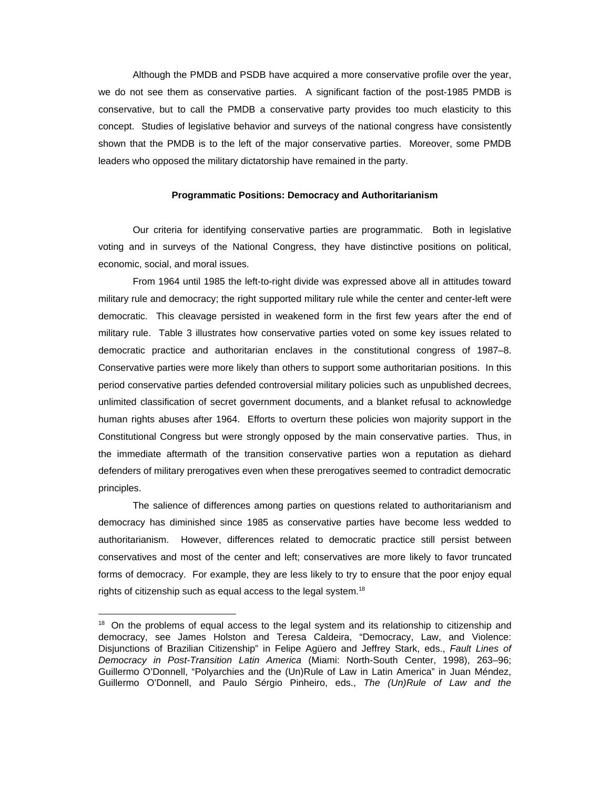Although the PMDB and PSDB have acquired a more conservative profile over the year, we do not see them as conservative parties. A significant faction of the post-1985 PMDB is conservative, but to call the PMDB a conservative party provides too much elasticity to this concept. Studies of legislative behavior and surveys of the national congress have consistently shown that the PMDB is to the left of the major conservative parties. Moreover, some PMDB leaders who opposed the military dictatorship have remained in the party.

#### **Programmatic Positions: Democracy and Authoritarianism**

Our criteria for identifying conservative parties are programmatic. Both in legislative voting and in surveys of the National Congress, they have distinctive positions on political, economic, social, and moral issues.

From 1964 until 1985 the left-to-right divide was expressed above all in attitudes toward military rule and democracy; the right supported military rule while the center and center-left were democratic. This cleavage persisted in weakened form in the first few years after the end of military rule. Table 3 illustrates how conservative parties voted on some key issues related to democratic practice and authoritarian enclaves in the constitutional congress of 1987–8. Conservative parties were more likely than others to support some authoritarian positions. In this period conservative parties defended controversial military policies such as unpublished decrees, unlimited classification of secret government documents, and a blanket refusal to acknowledge human rights abuses after 1964. Efforts to overturn these policies won majority support in the Constitutional Congress but were strongly opposed by the main conservative parties. Thus, in the immediate aftermath of the transition conservative parties won a reputation as diehard defenders of military prerogatives even when these prerogatives seemed to contradict democratic principles.

The salience of differences among parties on questions related to authoritarianism and democracy has diminished since 1985 as conservative parties have become less wedded to authoritarianism. However, differences related to democratic practice still persist between conservatives and most of the center and left; conservatives are more likely to favor truncated forms of democracy. For example, they are less likely to try to ensure that the poor enjoy equal rights of citizenship such as equal access to the legal system.<sup>18</sup>

 $18$  On the problems of equal access to the legal system and its relationship to citizenship and democracy, see James Holston and Teresa Caldeira, "Democracy, Law, and Violence: Disjunctions of Brazilian Citizenship" in Felipe Agüero and Jeffrey Stark, eds., *Fault Lines of Democracy in Post-Transition Latin America* (Miami: North-South Center, 1998), 263–96; Guillermo O'Donnell, "Polyarchies and the (Un)Rule of Law in Latin America" in Juan Méndez, Guillermo O'Donnell, and Paulo Sérgio Pinheiro, eds., *The (Un)Rule of Law and the*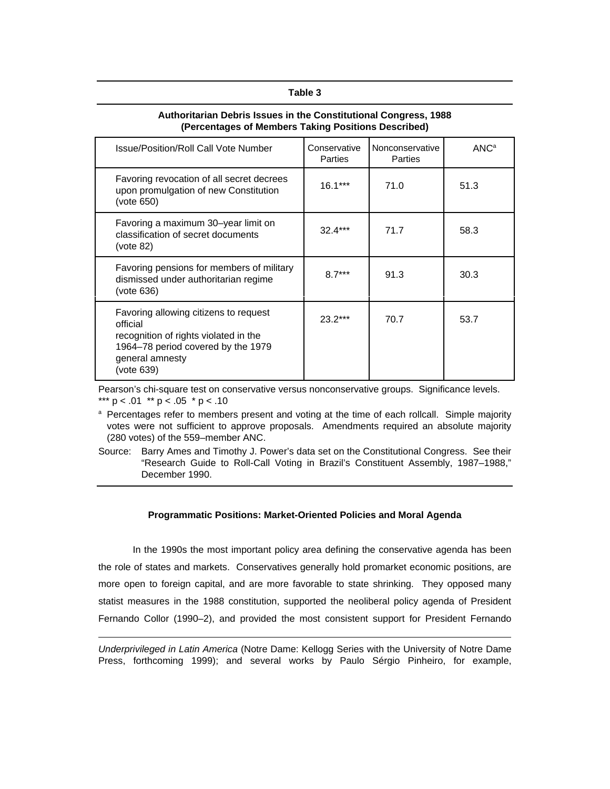# **Table 3**

#### **Issue/Position/Roll Call Vote Number | Conservative Parties** Nonconservative Parties  $ANC<sup>a</sup>$ Favoring revocation of all secret decrees upon promulgation of new Constitution (vote 650) 16.1\*\*\* 71.0 51.3 Favoring a maximum 30–year limit on classification of secret documents (vote 82) 32.4\*\*\* 71.7 58.3 Favoring pensions for members of military dismissed under authoritarian regime (vote 636) 8.7\*\*\* 91.3 30.3 Favoring allowing citizens to request official recognition of rights violated in the 1964–78 period covered by the 1979 general amnesty (vote 639) 23.2\*\*\* 70.7 53.7

# **Authoritarian Debris Issues in the Constitutional Congress, 1988 (Percentages of Members Taking Positions Described)**

Pearson's chi-square test on conservative versus nonconservative groups. Significance levels. \*\*\*  $p < .01$  \*\*  $p < .05$  \*  $p < .10$ 

<sup>a</sup> Percentages refer to members present and voting at the time of each rollcall. Simple majority votes were not sufficient to approve proposals. Amendments required an absolute majority (280 votes) of the 559–member ANC.

Source: Barry Ames and Timothy J. Power's data set on the Constitutional Congress. See their "Research Guide to Roll-Call Voting in Brazil's Constituent Assembly, 1987–1988," December 1990.

## **Programmatic Positions: Market-Oriented Policies and Moral Agenda**

In the 1990s the most important policy area defining the conservative agenda has been the role of states and markets. Conservatives generally hold promarket economic positions, are more open to foreign capital, and are more favorable to state shrinking. They opposed many statist measures in the 1988 constitution, supported the neoliberal policy agenda of President Fernando Collor (1990–2), and provided the most consistent support for President Fernando

*Underprivileged in Latin America* (Notre Dame: Kellogg Series with the University of Notre Dame Press, forthcoming 1999); and several works by Paulo Sérgio Pinheiro, for example,

l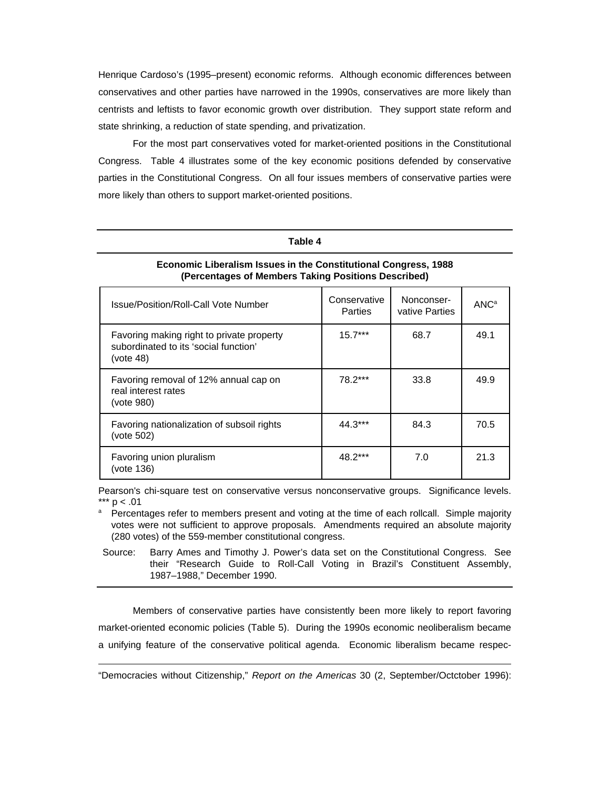Henrique Cardoso's (1995–present) economic reforms. Although economic differences between conservatives and other parties have narrowed in the 1990s, conservatives are more likely than centrists and leftists to favor economic growth over distribution. They support state reform and state shrinking, a reduction of state spending, and privatization.

For the most part conservatives voted for market-oriented positions in the Constitutional Congress. Table 4 illustrates some of the key economic positions defended by conservative parties in the Constitutional Congress. On all four issues members of conservative parties were more likely than others to support market-oriented positions.

**Table 4**

| <b>Economic Liberalism Issues in the Constitutional Congress, 1988</b><br>(Percentages of Members Taking Positions Described) |                                |                              |                  |  |  |  |
|-------------------------------------------------------------------------------------------------------------------------------|--------------------------------|------------------------------|------------------|--|--|--|
| Issue/Position/Roll-Call Vote Number                                                                                          | Conservative<br><b>Parties</b> | Nonconser-<br>vative Parties | ANC <sup>a</sup> |  |  |  |
| Favoring making right to private property<br>subordinated to its 'social function'<br>(vote 48)                               | $15.7***$                      | 68.7                         | 49.1             |  |  |  |
| Favoring removal of 12% annual cap on<br>real interest rates<br>(vote 980)                                                    | 78.2***                        | 33.8                         | 49.9             |  |  |  |
| Favoring nationalization of subsoil rights<br>(vote 502)                                                                      | 44.3***                        | 84.3                         | 70.5             |  |  |  |
| Favoring union pluralism<br>(vote 136)                                                                                        | 48.2***                        | 7.0                          | 21.3             |  |  |  |

Pearson's chi-square test on conservative versus nonconservative groups. Significance levels. \*\*\*  $p < .01$ 

<sup>a</sup> Percentages refer to members present and voting at the time of each rollcall. Simple majority votes were not sufficient to approve proposals. Amendments required an absolute majority (280 votes) of the 559-member constitutional congress.

Source: Barry Ames and Timothy J. Power's data set on the Constitutional Congress. See their "Research Guide to Roll-Call Voting in Brazil's Constituent Assembly, 1987–1988," December 1990.

Members of conservative parties have consistently been more likely to report favoring market-oriented economic policies (Table 5). During the 1990s economic neoliberalism became a unifying feature of the conservative political agenda. Economic liberalism became respec-

l

<sup>&</sup>quot;Democracies without Citizenship," *Report on the Americas* 30 (2, September/Octctober 1996):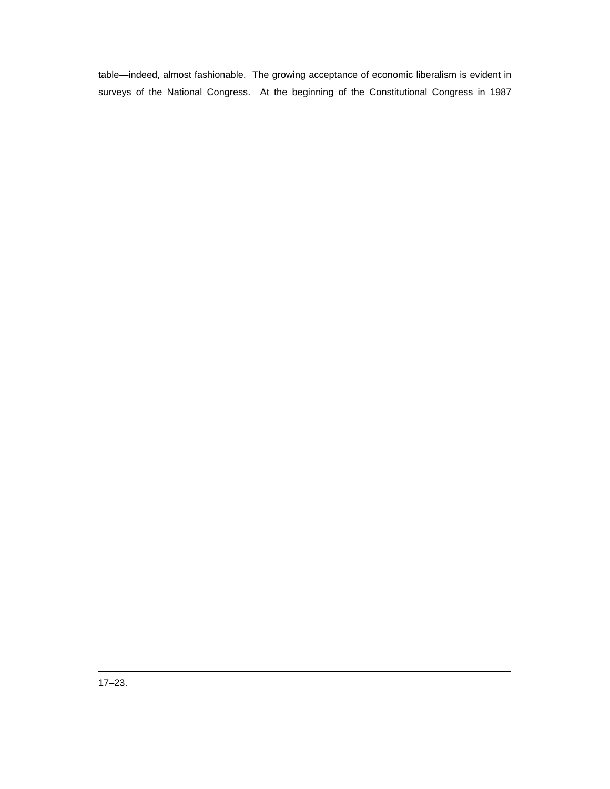table—indeed, almost fashionable. The growing acceptance of economic liberalism is evident in surveys of the National Congress. At the beginning of the Constitutional Congress in 1987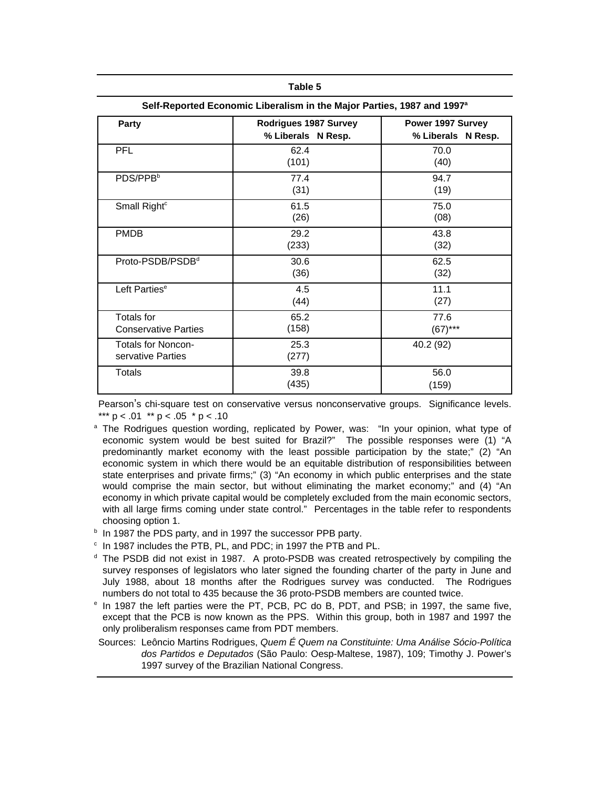| Table 5                                          |                                                                                    |                                         |  |  |  |  |
|--------------------------------------------------|------------------------------------------------------------------------------------|-----------------------------------------|--|--|--|--|
|                                                  | Self-Reported Economic Liberalism in the Major Parties, 1987 and 1997 <sup>a</sup> |                                         |  |  |  |  |
| <b>Party</b>                                     | Rodrigues 1987 Survey<br>% Liberals N Resp.                                        | Power 1997 Survey<br>% Liberals N Resp. |  |  |  |  |
| <b>PFL</b>                                       | 62.4<br>(101)                                                                      | 70.0<br>(40)                            |  |  |  |  |
| PDS/PPBb                                         | 77.4<br>(31)                                                                       | 94.7<br>(19)                            |  |  |  |  |
| Small Right <sup>c</sup>                         | 61.5<br>(26)                                                                       | 75.0<br>(08)                            |  |  |  |  |
| <b>PMDB</b>                                      | 29.2<br>(233)                                                                      | 43.8<br>(32)                            |  |  |  |  |
| Proto-PSDB/PSDB <sup>d</sup>                     | 30.6<br>(36)                                                                       | 62.5<br>(32)                            |  |  |  |  |
| Left Parties <sup>e</sup>                        | 4.5<br>(44)                                                                        | 11.1<br>(27)                            |  |  |  |  |
| <b>Totals for</b><br><b>Conservative Parties</b> | 65.2<br>(158)                                                                      | 77.6<br>$(67)$ ***                      |  |  |  |  |
| Totals for Noncon-<br>servative Parties          | 25.3<br>(277)                                                                      | 40.2 (92)                               |  |  |  |  |
| Totals                                           | 39.8<br>(435)                                                                      | 56.0<br>(159)                           |  |  |  |  |

Pearson's chi-square test on conservative versus nonconservative groups. Significance levels. \*\*\*  $p < .01$  \*\*  $p < .05$  \*  $p < .10$ 

- <sup>a</sup> The Rodrigues question wording, replicated by Power, was: "In your opinion, what type of economic system would be best suited for Brazil?" The possible responses were (1) "A predominantly market economy with the least possible participation by the state;" (2) "An economic system in which there would be an equitable distribution of responsibilities between state enterprises and private firms;" (3) "An economy in which public enterprises and the state would comprise the main sector, but without eliminating the market economy;" and (4) "An economy in which private capital would be completely excluded from the main economic sectors, with all large firms coming under state control." Percentages in the table refer to respondents choosing option 1.
- <sup>b</sup> In 1987 the PDS party, and in 1997 the successor PPB party.
- $\textdegree$  In 1987 includes the PTB, PL, and PDC; in 1997 the PTB and PL.
- $d$  The PSDB did not exist in 1987. A proto-PSDB was created retrospectively by compiling the survey responses of legislators who later signed the founding charter of the party in June and July 1988, about 18 months after the Rodrigues survey was conducted. The Rodrigues numbers do not total to 435 because the 36 proto-PSDB members are counted twice.
- e In 1987 the left parties were the PT, PCB, PC do B, PDT, and PSB; in 1997, the same five, except that the PCB is now known as the PPS. Within this group, both in 1987 and 1997 the only proliberalism responses came from PDT members.
- Sources: Leôncio Martins Rodrigues, *Quem É Quem na Constituinte: Uma Análise Sócio-Política dos Partidos e Deputados* (São Paulo: Oesp-Maltese, 1987), 109; Timothy J. Power's 1997 survey of the Brazilian National Congress.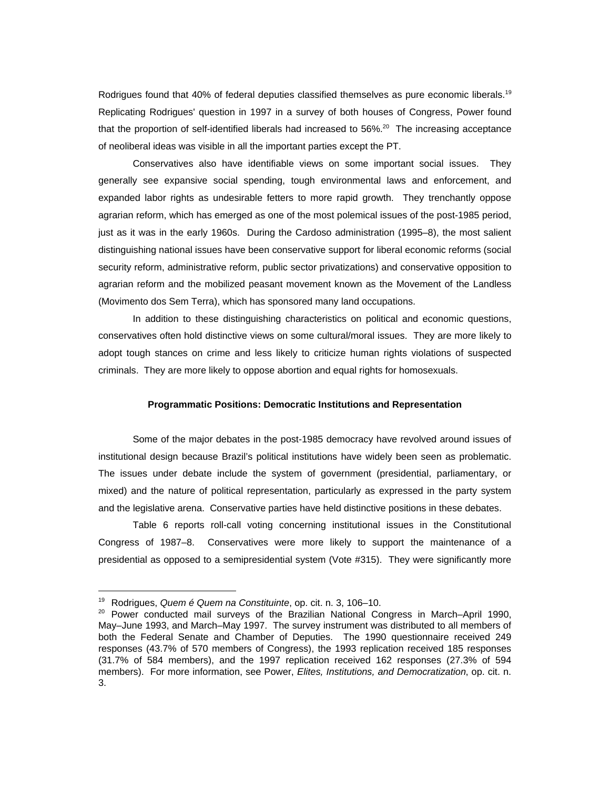Rodrigues found that 40% of federal deputies classified themselves as pure economic liberals.<sup>19</sup> Replicating Rodrigues' question in 1997 in a survey of both houses of Congress, Power found that the proportion of self-identified liberals had increased to  $56\%$ <sup>20</sup> The increasing acceptance of neoliberal ideas was visible in all the important parties except the PT.

Conservatives also have identifiable views on some important social issues. They generally see expansive social spending, tough environmental laws and enforcement, and expanded labor rights as undesirable fetters to more rapid growth. They trenchantly oppose agrarian reform, which has emerged as one of the most polemical issues of the post-1985 period, just as it was in the early 1960s. During the Cardoso administration (1995–8), the most salient distinguishing national issues have been conservative support for liberal economic reforms (social security reform, administrative reform, public sector privatizations) and conservative opposition to agrarian reform and the mobilized peasant movement known as the Movement of the Landless (Movimento dos Sem Terra), which has sponsored many land occupations.

In addition to these distinguishing characteristics on political and economic questions, conservatives often hold distinctive views on some cultural/moral issues. They are more likely to adopt tough stances on crime and less likely to criticize human rights violations of suspected criminals. They are more likely to oppose abortion and equal rights for homosexuals.

#### **Programmatic Positions: Democratic Institutions and Representation**

Some of the major debates in the post-1985 democracy have revolved around issues of institutional design because Brazil's political institutions have widely been seen as problematic. The issues under debate include the system of government (presidential, parliamentary, or mixed) and the nature of political representation, particularly as expressed in the party system and the legislative arena. Conservative parties have held distinctive positions in these debates.

Table 6 reports roll-call voting concerning institutional issues in the Constitutional Congress of 1987–8. Conservatives were more likely to support the maintenance of a presidential as opposed to a semipresidential system (Vote #315). They were significantly more

<sup>19</sup> Rodrigues, *Quem é Quem na Constituinte*, op. cit. n. 3, 106–10.

<sup>&</sup>lt;sup>20</sup> Power conducted mail surveys of the Brazilian National Congress in March–April 1990, May–June 1993, and March–May 1997. The survey instrument was distributed to all members of both the Federal Senate and Chamber of Deputies. The 1990 questionnaire received 249 responses (43.7% of 570 members of Congress), the 1993 replication received 185 responses (31.7% of 584 members), and the 1997 replication received 162 responses (27.3% of 594 members). For more information, see Power, *Elites, Institutions, and Democratization*, op. cit. n. 3.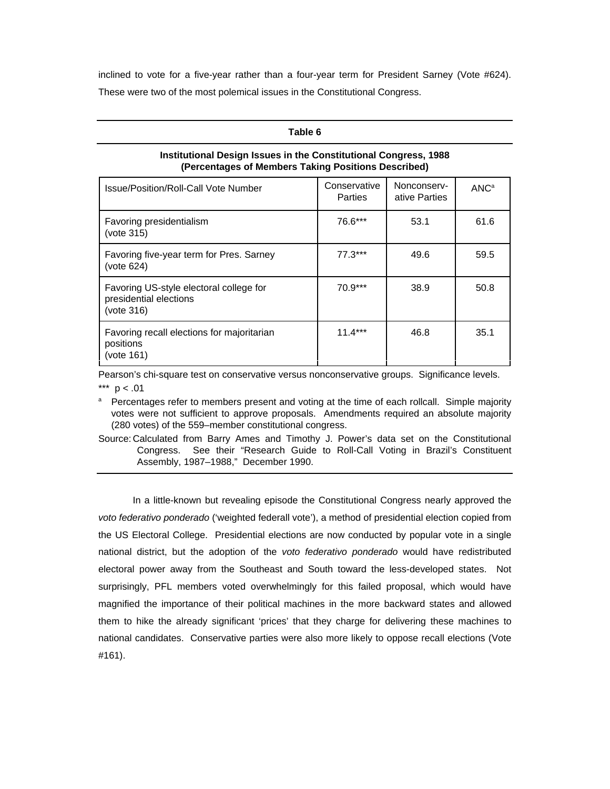inclined to vote for a five-year rather than a four-year term for President Sarney (Vote #624). These were two of the most polemical issues in the Constitutional Congress.

| ۰,<br>×<br>۰, |  |
|---------------|--|
|---------------|--|

# **Institutional Design Issues in the Constitutional Congress, 1988 (Percentages of Members Taking Positions Described)**

| Issue/Position/Roll-Call Vote Number                                            | Conservative<br><b>Parties</b> | Nonconserv-<br>ative Parties | ANC <sup>a</sup> |
|---------------------------------------------------------------------------------|--------------------------------|------------------------------|------------------|
| Favoring presidentialism<br>(vote 315)                                          | 76.6***                        | 53.1                         | 61.6             |
| Favoring five-year term for Pres. Sarney<br>(vote 624)                          | $77.3***$                      | 49.6                         | 59.5             |
| Favoring US-style electoral college for<br>presidential elections<br>(vote 316) | $70.9***$                      | 38.9                         | 50.8             |
| Favoring recall elections for majoritarian<br>positions<br>(vote 161)           | $11.4***$                      | 46.8                         | 35.1             |

Pearson's chi-square test on conservative versus nonconservative groups. Significance levels. \*\*\*  $p < .01$ 

<sup>a</sup> Percentages refer to members present and voting at the time of each rollcall. Simple majority votes were not sufficient to approve proposals. Amendments required an absolute majority (280 votes) of the 559–member constitutional congress.

Source: Calculated from Barry Ames and Timothy J. Power's data set on the Constitutional Congress. See their "Research Guide to Roll-Call Voting in Brazil's Constituent Assembly, 1987–1988," December 1990.

In a little-known but revealing episode the Constitutional Congress nearly approved the *voto federativo ponderado* ('weighted federall vote'), a method of presidential election copied from the US Electoral College. Presidential elections are now conducted by popular vote in a single national district, but the adoption of the *voto federativo ponderado* would have redistributed electoral power away from the Southeast and South toward the less-developed states. Not surprisingly, PFL members voted overwhelmingly for this failed proposal, which would have magnified the importance of their political machines in the more backward states and allowed them to hike the already significant 'prices' that they charge for delivering these machines to national candidates. Conservative parties were also more likely to oppose recall elections (Vote #161).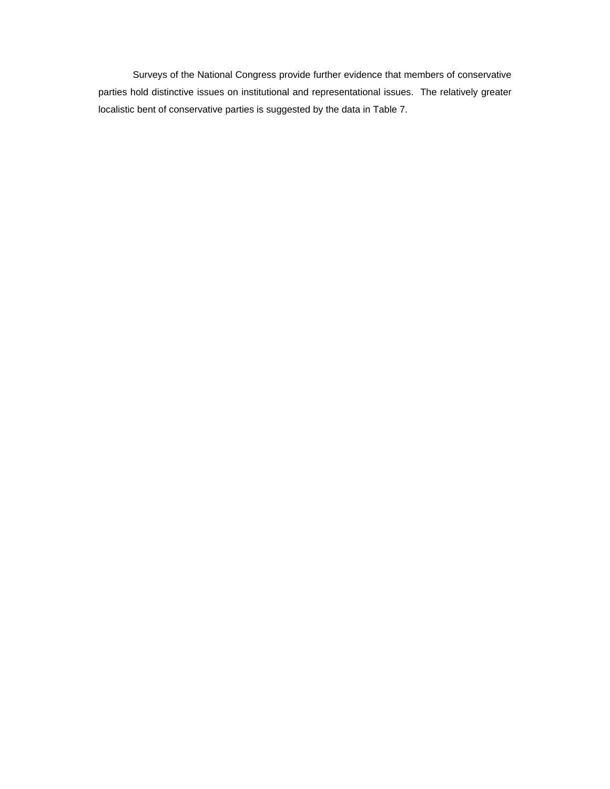Surveys of the National Congress provide further evidence that members of conservative parties hold distinctive issues on institutional and representational issues. The relatively greater localistic bent of conservative parties is suggested by the data in Table 7.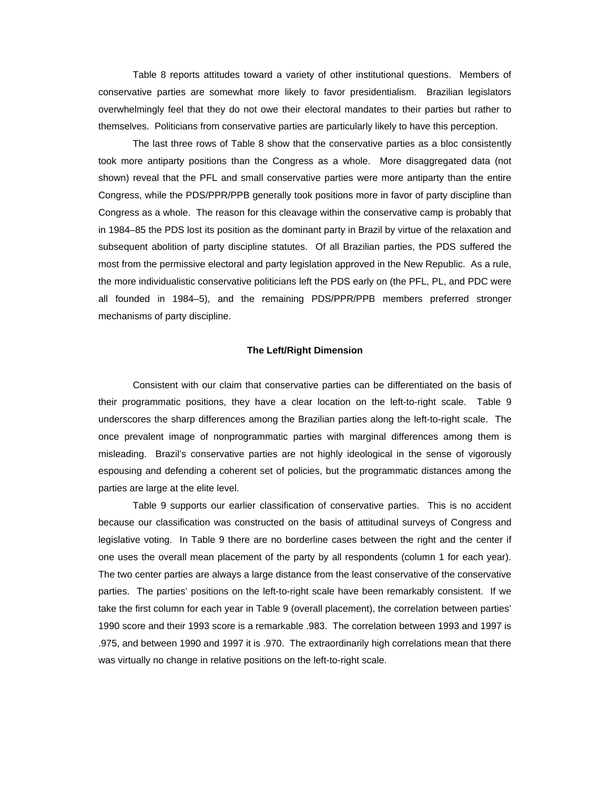Table 8 reports attitudes toward a variety of other institutional questions. Members of conservative parties are somewhat more likely to favor presidentialism. Brazilian legislators overwhelmingly feel that they do not owe their electoral mandates to their parties but rather to themselves. Politicians from conservative parties are particularly likely to have this perception.

The last three rows of Table 8 show that the conservative parties as a bloc consistently took more antiparty positions than the Congress as a whole. More disaggregated data (not shown) reveal that the PFL and small conservative parties were more antiparty than the entire Congress, while the PDS/PPR/PPB generally took positions more in favor of party discipline than Congress as a whole. The reason for this cleavage within the conservative camp is probably that in 1984–85 the PDS lost its position as the dominant party in Brazil by virtue of the relaxation and subsequent abolition of party discipline statutes. Of all Brazilian parties, the PDS suffered the most from the permissive electoral and party legislation approved in the New Republic. As a rule, the more individualistic conservative politicians left the PDS early on (the PFL, PL, and PDC were all founded in 1984–5), and the remaining PDS/PPR/PPB members preferred stronger mechanisms of party discipline.

# **The Left/Right Dimension**

Consistent with our claim that conservative parties can be differentiated on the basis of their programmatic positions, they have a clear location on the left-to-right scale. Table 9 underscores the sharp differences among the Brazilian parties along the left-to-right scale. The once prevalent image of nonprogrammatic parties with marginal differences among them is misleading. Brazil's conservative parties are not highly ideological in the sense of vigorously espousing and defending a coherent set of policies, but the programmatic distances among the parties are large at the elite level.

Table 9 supports our earlier classification of conservative parties. This is no accident because our classification was constructed on the basis of attitudinal surveys of Congress and legislative voting. In Table 9 there are no borderline cases between the right and the center if one uses the overall mean placement of the party by all respondents (column 1 for each year). The two center parties are always a large distance from the least conservative of the conservative parties. The parties' positions on the left-to-right scale have been remarkably consistent. If we take the first column for each year in Table 9 (overall placement), the correlation between parties' 1990 score and their 1993 score is a remarkable .983. The correlation between 1993 and 1997 is .975, and between 1990 and 1997 it is .970. The extraordinarily high correlations mean that there was virtually no change in relative positions on the left-to-right scale.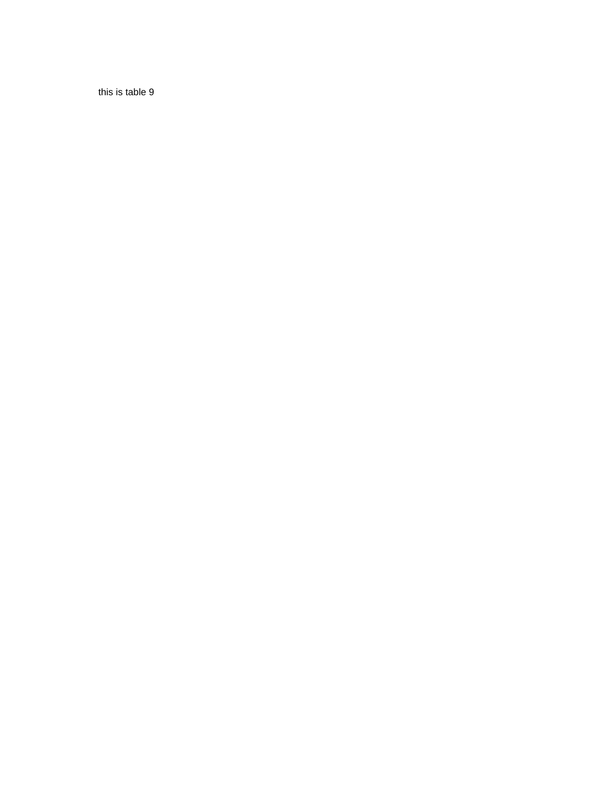this is table 9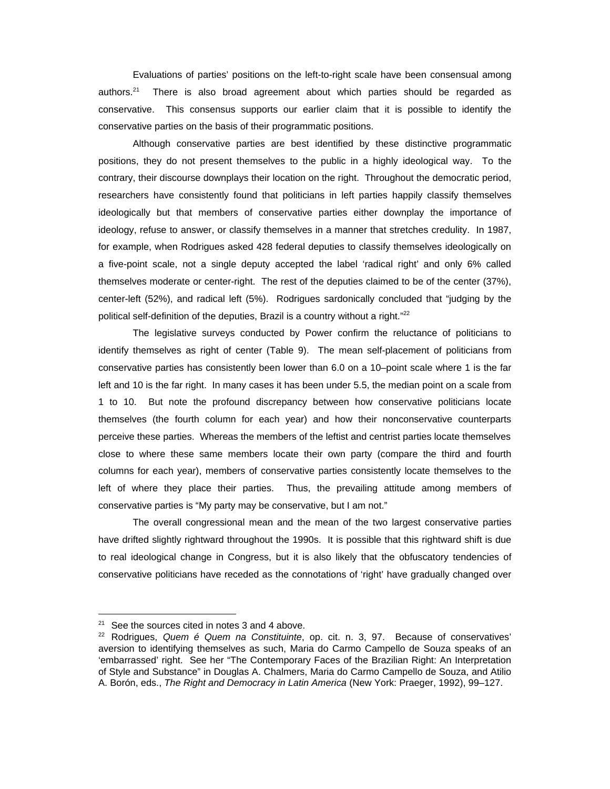Evaluations of parties' positions on the left-to-right scale have been consensual among authors.<sup>21</sup> There is also broad agreement about which parties should be regarded as conservative. This consensus supports our earlier claim that it is possible to identify the conservative parties on the basis of their programmatic positions.

Although conservative parties are best identified by these distinctive programmatic positions, they do not present themselves to the public in a highly ideological way. To the contrary, their discourse downplays their location on the right. Throughout the democratic period, researchers have consistently found that politicians in left parties happily classify themselves ideologically but that members of conservative parties either downplay the importance of ideology, refuse to answer, or classify themselves in a manner that stretches credulity. In 1987, for example, when Rodrigues asked 428 federal deputies to classify themselves ideologically on a five-point scale, not a single deputy accepted the label 'radical right' and only 6% called themselves moderate or center-right. The rest of the deputies claimed to be of the center (37%), center-left (52%), and radical left (5%). Rodrigues sardonically concluded that "judging by the political self-definition of the deputies, Brazil is a country without a right."<sup>22</sup>

The legislative surveys conducted by Power confirm the reluctance of politicians to identify themselves as right of center (Table 9). The mean self-placement of politicians from conservative parties has consistently been lower than 6.0 on a 10–point scale where 1 is the far left and 10 is the far right. In many cases it has been under 5.5, the median point on a scale from 1 to 10. But note the profound discrepancy between how conservative politicians locate themselves (the fourth column for each year) and how their nonconservative counterparts perceive these parties. Whereas the members of the leftist and centrist parties locate themselves close to where these same members locate their own party (compare the third and fourth columns for each year), members of conservative parties consistently locate themselves to the left of where they place their parties. Thus, the prevailing attitude among members of conservative parties is "My party may be conservative, but I am not."

The overall congressional mean and the mean of the two largest conservative parties have drifted slightly rightward throughout the 1990s. It is possible that this rightward shift is due to real ideological change in Congress, but it is also likely that the obfuscatory tendencies of conservative politicians have receded as the connotations of 'right' have gradually changed over

 $21$  See the sources cited in notes 3 and 4 above.

<sup>22</sup> Rodrigues, *Quem é Quem na Constituinte*, op. cit. n. 3, 97. Because of conservatives' aversion to identifying themselves as such, Maria do Carmo Campello de Souza speaks of an 'embarrassed' right. See her "The Contemporary Faces of the Brazilian Right: An Interpretation of Style and Substance" in Douglas A. Chalmers, Maria do Carmo Campello de Souza, and Atilio A. Borón, eds., *The Right and Democracy in Latin America* (New York: Praeger, 1992), 99–127.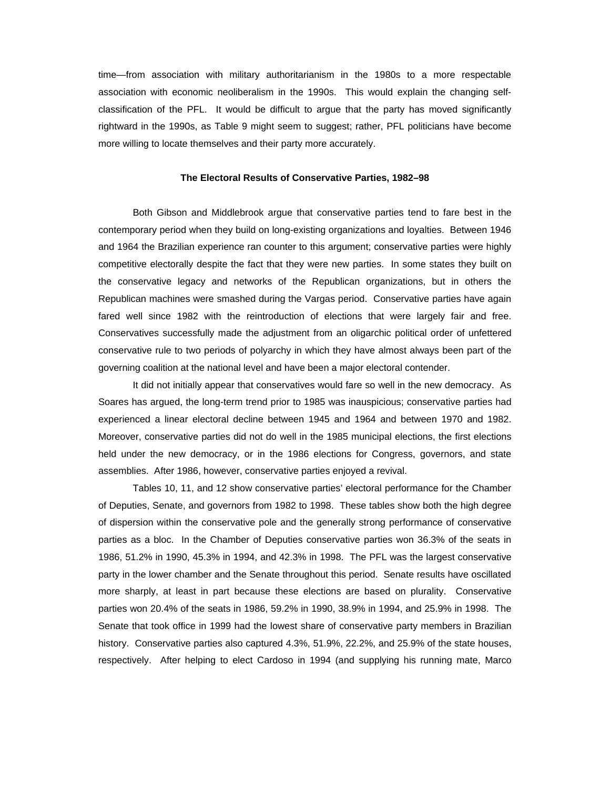time—from association with military authoritarianism in the 1980s to a more respectable association with economic neoliberalism in the 1990s. This would explain the changing selfclassification of the PFL. It would be difficult to argue that the party has moved significantly rightward in the 1990s, as Table 9 might seem to suggest; rather, PFL politicians have become more willing to locate themselves and their party more accurately.

#### **The Electoral Results of Conservative Parties, 1982–98**

Both Gibson and Middlebrook argue that conservative parties tend to fare best in the contemporary period when they build on long-existing organizations and loyalties. Between 1946 and 1964 the Brazilian experience ran counter to this argument; conservative parties were highly competitive electorally despite the fact that they were new parties. In some states they built on the conservative legacy and networks of the Republican organizations, but in others the Republican machines were smashed during the Vargas period. Conservative parties have again fared well since 1982 with the reintroduction of elections that were largely fair and free. Conservatives successfully made the adjustment from an oligarchic political order of unfettered conservative rule to two periods of polyarchy in which they have almost always been part of the governing coalition at the national level and have been a major electoral contender.

It did not initially appear that conservatives would fare so well in the new democracy. As Soares has argued, the long-term trend prior to 1985 was inauspicious; conservative parties had experienced a linear electoral decline between 1945 and 1964 and between 1970 and 1982. Moreover, conservative parties did not do well in the 1985 municipal elections, the first elections held under the new democracy, or in the 1986 elections for Congress, governors, and state assemblies. After 1986, however, conservative parties enjoyed a revival.

Tables 10, 11, and 12 show conservative parties' electoral performance for the Chamber of Deputies, Senate, and governors from 1982 to 1998. These tables show both the high degree of dispersion within the conservative pole and the generally strong performance of conservative parties as a bloc. In the Chamber of Deputies conservative parties won 36.3% of the seats in 1986, 51.2% in 1990, 45.3% in 1994, and 42.3% in 1998. The PFL was the largest conservative party in the lower chamber and the Senate throughout this period. Senate results have oscillated more sharply, at least in part because these elections are based on plurality. Conservative parties won 20.4% of the seats in 1986, 59.2% in 1990, 38.9% in 1994, and 25.9% in 1998. The Senate that took office in 1999 had the lowest share of conservative party members in Brazilian history. Conservative parties also captured 4.3%, 51.9%, 22.2%, and 25.9% of the state houses, respectively. After helping to elect Cardoso in 1994 (and supplying his running mate, Marco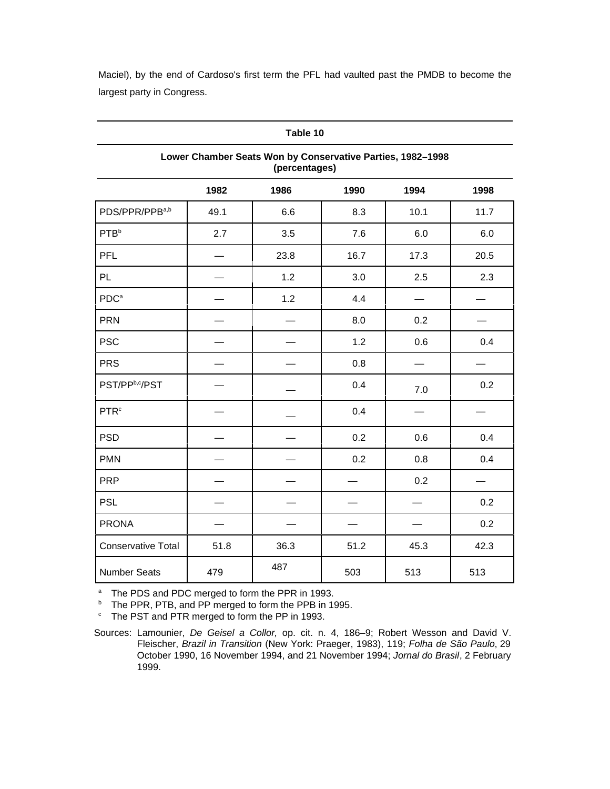| Table 10                                                                    |      |      |      |      |      |  |  |  |  |
|-----------------------------------------------------------------------------|------|------|------|------|------|--|--|--|--|
| Lower Chamber Seats Won by Conservative Parties, 1982-1998<br>(percentages) |      |      |      |      |      |  |  |  |  |
| 1982<br>1986<br>1990<br>1994<br>1998                                        |      |      |      |      |      |  |  |  |  |
| PDS/PPR/PPBa,b                                                              | 49.1 | 6.6  | 8.3  | 10.1 | 11.7 |  |  |  |  |
| PTB <sup>b</sup>                                                            | 2.7  | 3.5  | 7.6  | 6.0  | 6.0  |  |  |  |  |
| PFL                                                                         |      | 23.8 | 16.7 | 17.3 | 20.5 |  |  |  |  |
| PL                                                                          |      | 1.2  | 3.0  | 2.5  | 2.3  |  |  |  |  |
| <b>PDC</b> <sup>a</sup>                                                     |      | 1.2  | 4.4  |      |      |  |  |  |  |
| <b>PRN</b>                                                                  |      |      | 8.0  | 0.2  |      |  |  |  |  |
| <b>PSC</b>                                                                  |      |      | 1.2  | 0.6  | 0.4  |  |  |  |  |
| <b>PRS</b>                                                                  |      |      | 0.8  |      |      |  |  |  |  |
| PST/PPb,c/PST                                                               |      |      | 0.4  | 7.0  | 0.2  |  |  |  |  |
| <b>PTR</b> <sup>c</sup>                                                     |      |      | 0.4  |      |      |  |  |  |  |
| <b>PSD</b>                                                                  |      |      | 0.2  | 0.6  | 0.4  |  |  |  |  |
| <b>PMN</b>                                                                  |      |      | 0.2  | 0.8  | 0.4  |  |  |  |  |
| <b>PRP</b>                                                                  |      |      |      | 0.2  |      |  |  |  |  |
| <b>PSL</b>                                                                  |      |      |      |      | 0.2  |  |  |  |  |
| <b>PRONA</b>                                                                |      |      |      |      | 0.2  |  |  |  |  |
| <b>Conservative Total</b>                                                   | 51.8 | 36.3 | 51.2 | 45.3 | 42.3 |  |  |  |  |
| <b>Number Seats</b>                                                         | 479  | 487  | 503  | 513  | 513  |  |  |  |  |

Maciel), by the end of Cardoso's first term the PFL had vaulted past the PMDB to become the largest party in Congress.

<sup>a</sup> The PDS and PDC merged to form the PPR in 1993.

<sup>b</sup> The PPR, PTB, and PP merged to form the PPB in 1995.

<sup>c</sup> The PST and PTR merged to form the PP in 1993.

Sources: Lamounier, *De Geisel a Collor,* op. cit. n. 4, 186–9; Robert Wesson and David V. Fleischer, *Brazil in Transition* (New York: Praeger, 1983), 119; *Folha de São Paulo*, 29 October 1990, 16 November 1994, and 21 November 1994; *Jornal do Brasil*, 2 February 1999.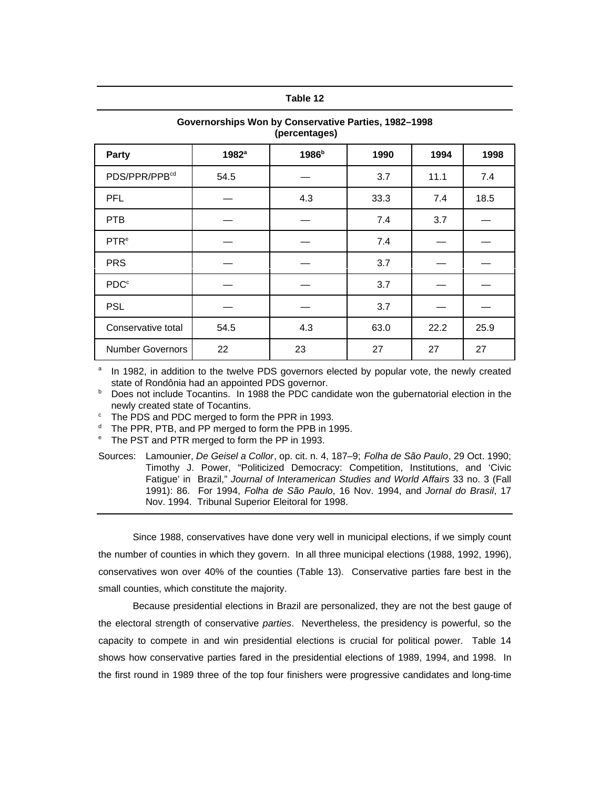| <b>able</b> |  |  |
|-------------|--|--|
|-------------|--|--|

### **Governorships Won by Conservative Parties, 1982–1998 (percentages)**

| <b>Party</b>              | 1982 <sup>a</sup> | 1986 <sup>b</sup> | 1990 | 1994 | 1998 |
|---------------------------|-------------------|-------------------|------|------|------|
| PDS/PPR/PPB <sup>cd</sup> | 54.5              |                   | 3.7  | 11.1 | 7.4  |
| <b>PFL</b>                |                   | 4.3               | 33.3 | 7.4  | 18.5 |
| <b>PTB</b>                |                   |                   | 7.4  | 3.7  |      |
| PTR <sup>e</sup>          |                   |                   | 7.4  |      |      |
| <b>PRS</b>                |                   |                   | 3.7  |      |      |
| <b>PDC</b> <sup>c</sup>   |                   |                   | 3.7  |      |      |
| <b>PSL</b>                |                   |                   | 3.7  |      |      |
| Conservative total        | 54.5              | 4.3               | 63.0 | 22.2 | 25.9 |
| <b>Number Governors</b>   | 22                | 23                | 27   | 27   | 27   |

a In 1982, in addition to the twelve PDS governors elected by popular vote, the newly created state of Rondônia had an appointed PDS governor.

 $b$  Does not include Tocantins. In 1988 the PDC candidate won the gubernatorial election in the newly created state of Tocantins.

 $^{\circ}$  The PDS and PDC merged to form the PPR in 1993.

The PPR, PTB, and PP merged to form the PPB in 1995.

The PST and PTR merged to form the PP in 1993.

Sources: Lamounier, *De Geisel a Collor*, op. cit. n. 4, 187–9; *Folha de São Paulo*, 29 Oct. 1990; Timothy J. Power, "Politicized Democracy: Competition, Institutions, and 'Civic Fatigue' in Brazil," *Journal of Interamerican Studies and World Affairs* 33 no. 3 (Fall 1991): 86. For 1994, *Folha de São Paulo*, 16 Nov. 1994, and *Jornal do Brasil*, 17 Nov. 1994. Tribunal Superior Eleitoral for 1998.

Since 1988, conservatives have done very well in municipal elections, if we simply count the number of counties in which they govern. In all three municipal elections (1988, 1992, 1996), conservatives won over 40% of the counties (Table 13). Conservative parties fare best in the small counties, which constitute the majority.

Because presidential elections in Brazil are personalized, they are not the best gauge of the electoral strength of conservative *parties*. Nevertheless, the presidency is powerful, so the capacity to compete in and win presidential elections is crucial for political power. Table 14 shows how conservative parties fared in the presidential elections of 1989, 1994, and 1998. In the first round in 1989 three of the top four finishers were progressive candidates and long-time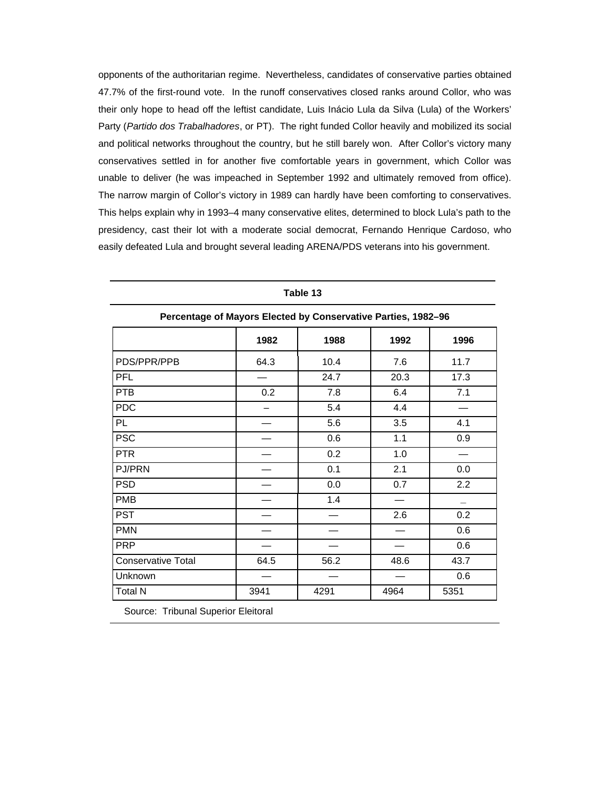opponents of the authoritarian regime. Nevertheless, candidates of conservative parties obtained 47.7% of the first-round vote. In the runoff conservatives closed ranks around Collor, who was their only hope to head off the leftist candidate, Luis Inácio Lula da Silva (Lula) of the Workers' Party (*Partido dos Trabalhadores*, or PT). The right funded Collor heavily and mobilized its social and political networks throughout the country, but he still barely won. After Collor's victory many conservatives settled in for another five comfortable years in government, which Collor was unable to deliver (he was impeached in September 1992 and ultimately removed from office). The narrow margin of Collor's victory in 1989 can hardly have been comforting to conservatives. This helps explain why in 1993–4 many conservative elites, determined to block Lula's path to the presidency, cast their lot with a moderate social democrat, Fernando Henrique Cardoso, who easily defeated Lula and brought several leading ARENA/PDS veterans into his government.

**Table 13**

| Percentage of Mayors Elected by Conservative Parties, 1982-96 |      |      |      |      |  |  |
|---------------------------------------------------------------|------|------|------|------|--|--|
|                                                               | 1982 | 1988 | 1992 | 1996 |  |  |
| PDS/PPR/PPB                                                   | 64.3 | 10.4 | 7.6  | 11.7 |  |  |
| <b>PFL</b>                                                    |      | 24.7 | 20.3 | 17.3 |  |  |
| <b>PTB</b>                                                    | 0.2  | 7.8  | 6.4  | 7.1  |  |  |
| <b>PDC</b>                                                    |      | 5.4  | 4.4  |      |  |  |
| <b>PL</b>                                                     |      | 5.6  | 3.5  | 4.1  |  |  |
| <b>PSC</b>                                                    |      | 0.6  | 1.1  | 0.9  |  |  |
| <b>PTR</b>                                                    |      | 0.2  | 1.0  |      |  |  |
| PJ/PRN                                                        |      | 0.1  | 2.1  | 0.0  |  |  |
| <b>PSD</b>                                                    |      | 0.0  | 0.7  | 2.2  |  |  |
| <b>PMB</b>                                                    |      | 1.4  |      |      |  |  |
| <b>PST</b>                                                    |      |      | 2.6  | 0.2  |  |  |
| <b>PMN</b>                                                    |      |      |      | 0.6  |  |  |
| <b>PRP</b>                                                    |      |      |      | 0.6  |  |  |
| <b>Conservative Total</b>                                     | 64.5 | 56.2 | 48.6 | 43.7 |  |  |
| Unknown                                                       |      |      |      | 0.6  |  |  |
| <b>Total N</b>                                                | 3941 | 4291 | 4964 | 5351 |  |  |

Source: Tribunal Superior Eleitoral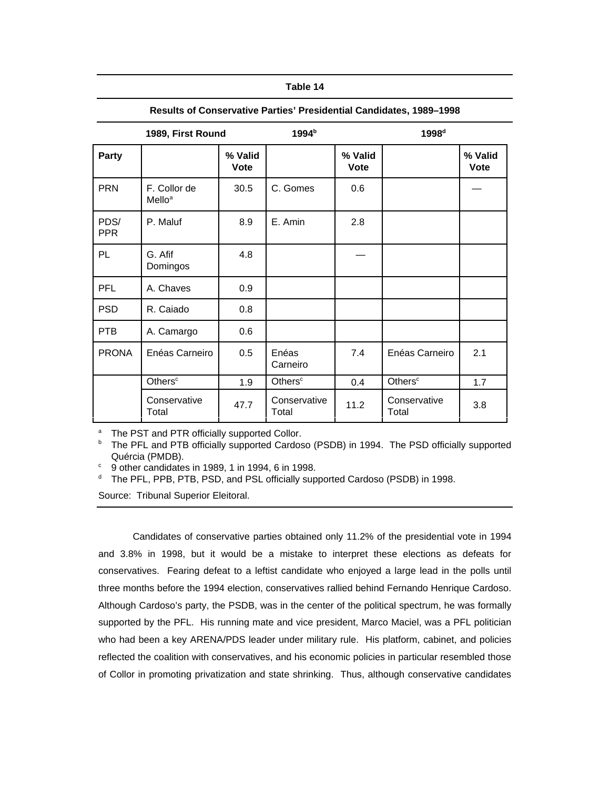# **Table 14**

|                    | 1989, First Round                  |                        | 1994 <sup>b</sup>     |                 | 1998 <sup>d</sup>     |                 |
|--------------------|------------------------------------|------------------------|-----------------------|-----------------|-----------------------|-----------------|
| Party              |                                    | % Valid<br><b>Vote</b> |                       | % Valid<br>Vote |                       | % Valid<br>Vote |
| <b>PRN</b>         | F. Collor de<br>Mello <sup>a</sup> | 30.5                   | C. Gomes              | 0.6             |                       |                 |
| PDS/<br><b>PPR</b> | P. Maluf                           | 8.9                    | E. Amin               | 2.8             |                       |                 |
| PL                 | G. Afif<br>Domingos                | 4.8                    |                       |                 |                       |                 |
| PFL                | A. Chaves                          | 0.9                    |                       |                 |                       |                 |
| <b>PSD</b>         | R. Caiado                          | 0.8                    |                       |                 |                       |                 |
| <b>PTB</b>         | A. Camargo                         | 0.6                    |                       |                 |                       |                 |
| <b>PRONA</b>       | Enéas Carneiro                     | 0.5                    | Enéas<br>Carneiro     | 7.4             | Enéas Carneiro        | 2.1             |
|                    | Others <sup>c</sup>                | 1.9                    | Others <sup>c</sup>   | 0.4             | Others <sup>c</sup>   | 1.7             |
|                    | Conservative<br>Total              | 47.7                   | Conservative<br>Total | 11.2            | Conservative<br>Total | 3.8             |

**Results of Conservative Parties' Presidential Candidates, 1989–1998**

<sup>a</sup> The PST and PTR officially supported Collor.<br><sup>b</sup> The PEL and PTR officially supported Cardos

<sup>b</sup> The PFL and PTB officially supported Cardoso (PSDB) in 1994. The PSD officially supported Quércia (PMDB).

<sup>c</sup> 9 other candidates in 1989, 1 in 1994, 6 in 1998.

<sup>d</sup> The PFL, PPB, PTB, PSD, and PSL officially supported Cardoso (PSDB) in 1998.

Source: Tribunal Superior Eleitoral.

Candidates of conservative parties obtained only 11.2% of the presidential vote in 1994 and 3.8% in 1998, but it would be a mistake to interpret these elections as defeats for conservatives. Fearing defeat to a leftist candidate who enjoyed a large lead in the polls until three months before the 1994 election, conservatives rallied behind Fernando Henrique Cardoso. Although Cardoso's party, the PSDB, was in the center of the political spectrum, he was formally supported by the PFL. His running mate and vice president, Marco Maciel, was a PFL politician who had been a key ARENA/PDS leader under military rule. His platform, cabinet, and policies reflected the coalition with conservatives, and his economic policies in particular resembled those of Collor in promoting privatization and state shrinking. Thus, although conservative candidates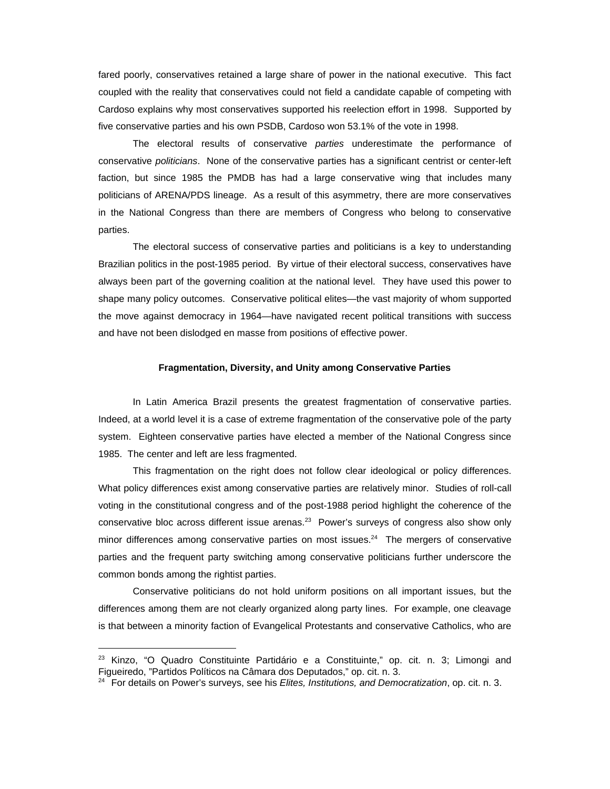fared poorly, conservatives retained a large share of power in the national executive. This fact coupled with the reality that conservatives could not field a candidate capable of competing with Cardoso explains why most conservatives supported his reelection effort in 1998. Supported by five conservative parties and his own PSDB, Cardoso won 53.1% of the vote in 1998.

The electoral results of conservative *parties* underestimate the performance of conservative *politicians*. None of the conservative parties has a significant centrist or center-left faction, but since 1985 the PMDB has had a large conservative wing that includes many politicians of ARENA/PDS lineage. As a result of this asymmetry, there are more conservatives in the National Congress than there are members of Congress who belong to conservative parties.

The electoral success of conservative parties and politicians is a key to understanding Brazilian politics in the post-1985 period. By virtue of their electoral success, conservatives have always been part of the governing coalition at the national level. They have used this power to shape many policy outcomes. Conservative political elites—the vast majority of whom supported the move against democracy in 1964—have navigated recent political transitions with success and have not been dislodged en masse from positions of effective power.

#### **Fragmentation, Diversity, and Unity among Conservative Parties**

In Latin America Brazil presents the greatest fragmentation of conservative parties. Indeed, at a world level it is a case of extreme fragmentation of the conservative pole of the party system. Eighteen conservative parties have elected a member of the National Congress since 1985. The center and left are less fragmented.

This fragmentation on the right does not follow clear ideological or policy differences. What policy differences exist among conservative parties are relatively minor. Studies of roll-call voting in the constitutional congress and of the post-1988 period highlight the coherence of the conservative bloc across different issue arenas. $23$  Power's surveys of congress also show only minor differences among conservative parties on most issues.<sup>24</sup> The mergers of conservative parties and the frequent party switching among conservative politicians further underscore the common bonds among the rightist parties.

Conservative politicians do not hold uniform positions on all important issues, but the differences among them are not clearly organized along party lines. For example, one cleavage is that between a minority faction of Evangelical Protestants and conservative Catholics, who are

<sup>&</sup>lt;sup>23</sup> Kinzo, "O Quadro Constituinte Partidário e a Constituinte," op. cit. n. 3; Limongi and Figueiredo, "Partidos Políticos na Câmara dos Deputados," op. cit. n. 3.

<sup>24</sup> For details on Power's surveys, see his *Elites, Institutions, and Democratization*, op. cit. n. 3.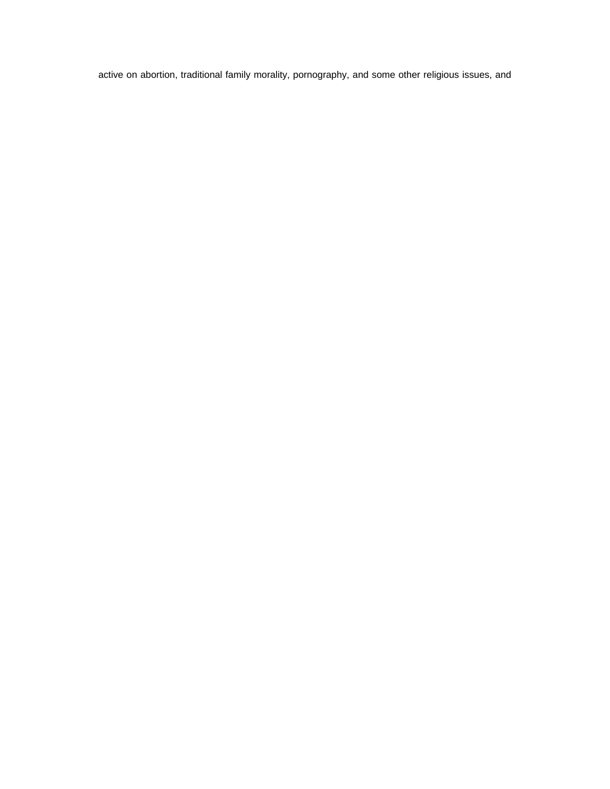active on abortion, traditional family morality, pornography, and some other religious issues, and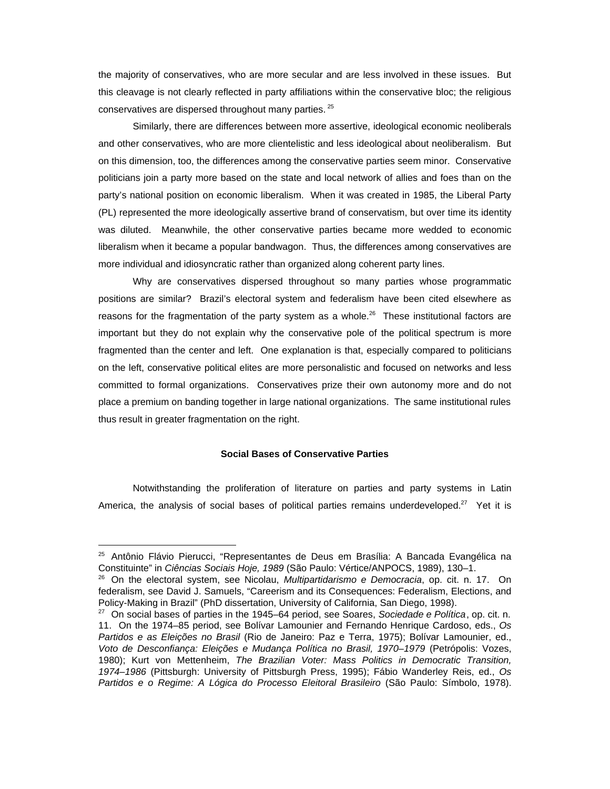the majority of conservatives, who are more secular and are less involved in these issues. But this cleavage is not clearly reflected in party affiliations within the conservative bloc; the religious conservatives are dispersed throughout many parties.<sup>25</sup>

Similarly, there are differences between more assertive, ideological economic neoliberals and other conservatives, who are more clientelistic and less ideological about neoliberalism. But on this dimension, too, the differences among the conservative parties seem minor. Conservative politicians join a party more based on the state and local network of allies and foes than on the party's national position on economic liberalism. When it was created in 1985, the Liberal Party (PL) represented the more ideologically assertive brand of conservatism, but over time its identity was diluted. Meanwhile, the other conservative parties became more wedded to economic liberalism when it became a popular bandwagon. Thus, the differences among conservatives are more individual and idiosyncratic rather than organized along coherent party lines.

Why are conservatives dispersed throughout so many parties whose programmatic positions are similar? Brazil's electoral system and federalism have been cited elsewhere as reasons for the fragmentation of the party system as a whole. $26$  These institutional factors are important but they do not explain why the conservative pole of the political spectrum is more fragmented than the center and left. One explanation is that, especially compared to politicians on the left, conservative political elites are more personalistic and focused on networks and less committed to formal organizations. Conservatives prize their own autonomy more and do not place a premium on banding together in large national organizations. The same institutional rules thus result in greater fragmentation on the right.

## **Social Bases of Conservative Parties**

Notwithstanding the proliferation of literature on parties and party systems in Latin America, the analysis of social bases of political parties remains underdeveloped.<sup>27</sup> Yet it is

l

<sup>25</sup> Antônio Flávio Pierucci, "Representantes de Deus em Brasília: A Bancada Evangélica na Constituinte" in *Ciências Sociais Hoje, 1989* (São Paulo: Vértice/ANPOCS, 1989), 130–1.

<sup>26</sup> On the electoral system, see Nicolau, *Multipartidarismo e Democracia*, op. cit. n. 17. On federalism, see David J. Samuels, "Careerism and its Consequences: Federalism, Elections, and Policy-Making in Brazil" (PhD dissertation, University of California, San Diego, 1998).

<sup>27</sup> On social bases of parties in the 1945–64 period, see Soares, *Sociedade e Política*, op. cit. n. 11. On the 1974–85 period, see Bolívar Lamounier and Fernando Henrique Cardoso, eds., *Os Partidos e as Eleições no Brasil* (Rio de Janeiro: Paz e Terra, 1975); Bolívar Lamounier, ed., *Voto de Desconfiança: Eleições e Mudança Política no Brasil, 1970–1979* (Petrópolis: Vozes, 1980); Kurt von Mettenheim, *The Brazilian Voter: Mass Politics in Democratic Transition, 1974–1986* (Pittsburgh: University of Pittsburgh Press, 1995); Fábio Wanderley Reis, ed., *Os Partidos e o Regime: A Lógica do Processo Eleitoral Brasileiro* (São Paulo: Símbolo, 1978).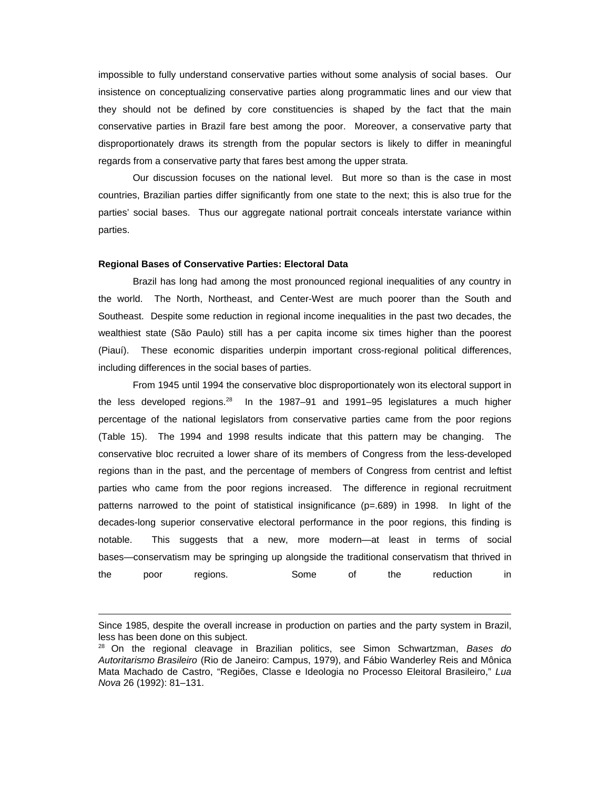impossible to fully understand conservative parties without some analysis of social bases. Our insistence on conceptualizing conservative parties along programmatic lines and our view that they should not be defined by core constituencies is shaped by the fact that the main conservative parties in Brazil fare best among the poor. Moreover, a conservative party that disproportionately draws its strength from the popular sectors is likely to differ in meaningful regards from a conservative party that fares best among the upper strata.

Our discussion focuses on the national level. But more so than is the case in most countries, Brazilian parties differ significantly from one state to the next; this is also true for the parties' social bases. Thus our aggregate national portrait conceals interstate variance within parties.

#### **Regional Bases of Conservative Parties: Electoral Data**

Brazil has long had among the most pronounced regional inequalities of any country in the world. The North, Northeast, and Center-West are much poorer than the South and Southeast. Despite some reduction in regional income inequalities in the past two decades, the wealthiest state (São Paulo) still has a per capita income six times higher than the poorest (Piauí). These economic disparities underpin important cross-regional political differences, including differences in the social bases of parties.

From 1945 until 1994 the conservative bloc disproportionately won its electoral support in the less developed regions.<sup>28</sup> In the 1987–91 and 1991–95 legislatures a much higher percentage of the national legislators from conservative parties came from the poor regions (Table 15). The 1994 and 1998 results indicate that this pattern may be changing. The conservative bloc recruited a lower share of its members of Congress from the less-developed regions than in the past, and the percentage of members of Congress from centrist and leftist parties who came from the poor regions increased. The difference in regional recruitment patterns narrowed to the point of statistical insignificance  $(p=.689)$  in 1998. In light of the decades-long superior conservative electoral performance in the poor regions, this finding is notable. This suggests that a new, more modern—at least in terms of social bases—conservatism may be springing up alongside the traditional conservatism that thrived in the poor regions. Some of the reduction in

Since 1985, despite the overall increase in production on parties and the party system in Brazil, less has been done on this subject.

<sup>28</sup> On the regional cleavage in Brazilian politics, see Simon Schwartzman, *Bases do Autoritarismo Brasileiro* (Rio de Janeiro: Campus, 1979), and Fábio Wanderley Reis and Mônica Mata Machado de Castro, "Regiões, Classe e Ideologia no Processo Eleitoral Brasileiro," *Lua Nova* 26 (1992): 81–131.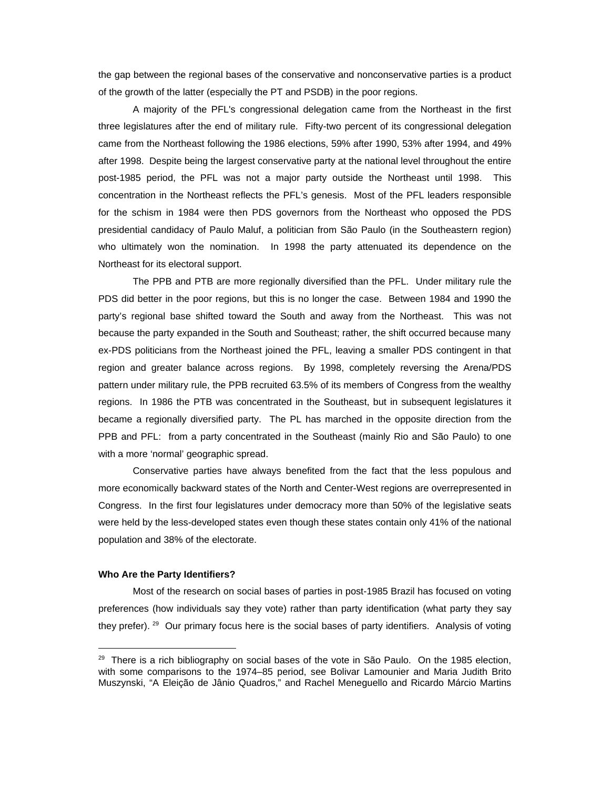the gap between the regional bases of the conservative and nonconservative parties is a product of the growth of the latter (especially the PT and PSDB) in the poor regions.

A majority of the PFL's congressional delegation came from the Northeast in the first three legislatures after the end of military rule. Fifty-two percent of its congressional delegation came from the Northeast following the 1986 elections, 59% after 1990, 53% after 1994, and 49% after 1998. Despite being the largest conservative party at the national level throughout the entire post-1985 period, the PFL was not a major party outside the Northeast until 1998. This concentration in the Northeast reflects the PFL's genesis. Most of the PFL leaders responsible for the schism in 1984 were then PDS governors from the Northeast who opposed the PDS presidential candidacy of Paulo Maluf, a politician from São Paulo (in the Southeastern region) who ultimately won the nomination. In 1998 the party attenuated its dependence on the Northeast for its electoral support.

The PPB and PTB are more regionally diversified than the PFL. Under military rule the PDS did better in the poor regions, but this is no longer the case. Between 1984 and 1990 the party's regional base shifted toward the South and away from the Northeast. This was not because the party expanded in the South and Southeast; rather, the shift occurred because many ex-PDS politicians from the Northeast joined the PFL, leaving a smaller PDS contingent in that region and greater balance across regions. By 1998, completely reversing the Arena/PDS pattern under military rule, the PPB recruited 63.5% of its members of Congress from the wealthy regions. In 1986 the PTB was concentrated in the Southeast, but in subsequent legislatures it became a regionally diversified party. The PL has marched in the opposite direction from the PPB and PFL: from a party concentrated in the Southeast (mainly Rio and São Paulo) to one with a more 'normal' geographic spread.

Conservative parties have always benefited from the fact that the less populous and more economically backward states of the North and Center-West regions are overrepresented in Congress. In the first four legislatures under democracy more than 50% of the legislative seats were held by the less-developed states even though these states contain only 41% of the national population and 38% of the electorate.

#### **Who Are the Party Identifiers?**

Most of the research on social bases of parties in post-1985 Brazil has focused on voting preferences (how individuals say they vote) rather than party identification (what party they say they prefer). <sup>29</sup> Our primary focus here is the social bases of party identifiers. Analysis of voting

<sup>&</sup>lt;sup>29</sup> There is a rich bibliography on social bases of the vote in São Paulo. On the 1985 election, with some comparisons to the 1974–85 period, see Bolivar Lamounier and Maria Judith Brito Muszynski, "A Eleição de Jânio Quadros," and Rachel Meneguello and Ricardo Márcio Martins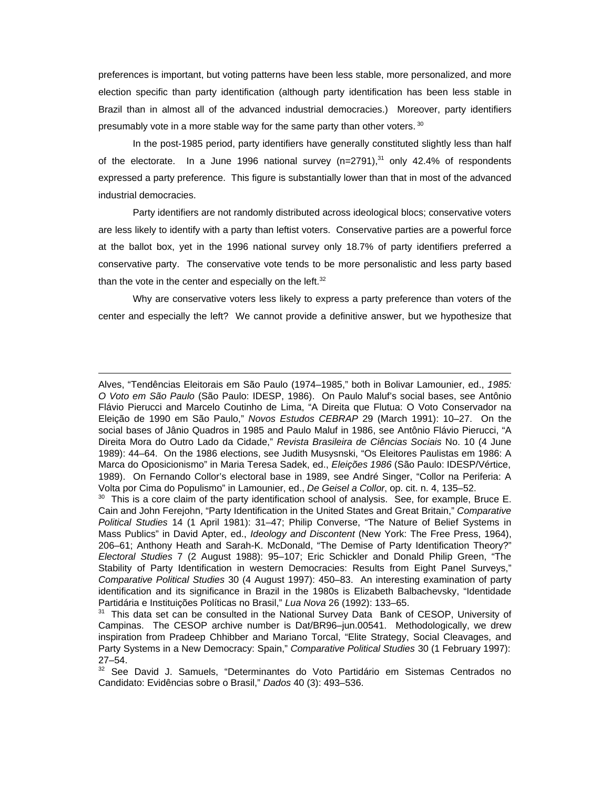preferences is important, but voting patterns have been less stable, more personalized, and more election specific than party identification (although party identification has been less stable in Brazil than in almost all of the advanced industrial democracies.) Moreover, party identifiers presumably vote in a more stable way for the same party than other voters. 30

In the post-1985 period, party identifiers have generally constituted slightly less than half of the electorate. In a June 1996 national survey  $(n=2791)^{31}$  only 42.4% of respondents expressed a party preference. This figure is substantially lower than that in most of the advanced industrial democracies.

Party identifiers are not randomly distributed across ideological blocs; conservative voters are less likely to identify with a party than leftist voters. Conservative parties are a powerful force at the ballot box, yet in the 1996 national survey only 18.7% of party identifiers preferred a conservative party. The conservative vote tends to be more personalistic and less party based than the vote in the center and especially on the left. $32$ 

Why are conservative voters less likely to express a party preference than voters of the center and especially the left? We cannot provide a definitive answer, but we hypothesize that

l

Alves, "Tendências Eleitorais em São Paulo (1974–1985," both in Bolivar Lamounier, ed., *1985: O Voto em São Paulo* (São Paulo: IDESP, 1986). On Paulo Maluf's social bases, see Antônio Flávio Pierucci and Marcelo Coutinho de Lima, "A Direita que Flutua: O Voto Conservador na Eleição de 1990 em São Paulo," *Novos Estudos CEBRAP* 29 (March 1991): 10–27. On the social bases of Jânio Quadros in 1985 and Paulo Maluf in 1986, see Antônio Flávio Pierucci, "A Direita Mora do Outro Lado da Cidade," *Revista Brasileira de Ciências Sociais* No. 10 (4 June 1989): 44–64. On the 1986 elections, see Judith Musysnski, "Os Eleitores Paulistas em 1986: A Marca do Oposicionismo" in Maria Teresa Sadek, ed., *Eleições 1986* (São Paulo: IDESP/Vértice, 1989). On Fernando Collor's electoral base in 1989, see André Singer, "Collor na Periferia: A Volta por Cima do Populismo" in Lamounier, ed., *De Geisel a Collor*, op. cit. n. 4, 135–52.

<sup>&</sup>lt;sup>30</sup> This is a core claim of the party identification school of analysis. See, for example, Bruce E. Cain and John Ferejohn, "Party Identification in the United States and Great Britain," *Comparative Political Studies* 14 (1 April 1981): 31–47; Philip Converse, "The Nature of Belief Systems in Mass Publics" in David Apter, ed., *Ideology and Discontent* (New York: The Free Press, 1964), 206–61; Anthony Heath and Sarah-K. McDonald, "The Demise of Party Identification Theory?" *Electoral Studies* 7 (2 August 1988): 95–107; Eric Schickler and Donald Philip Green, "The Stability of Party Identification in western Democracies: Results from Eight Panel Surveys," *Comparative Political Studies* 30 (4 August 1997): 450–83. An interesting examination of party identification and its significance in Brazil in the 1980s is Elizabeth Balbachevsky, "Identidade Partidária e Instituições Políticas no Brasil," *Lua Nova* 26 (1992): 133–65.

<sup>&</sup>lt;sup>31</sup> This data set can be consulted in the National Survey Data Bank of CESOP, University of Campinas. The CESOP archive number is Dat/BR96–jun.00541. Methodologically, we drew inspiration from Pradeep Chhibber and Mariano Torcal, "Elite Strategy, Social Cleavages, and Party Systems in a New Democracy: Spain," *Comparative Political Studies* 30 (1 February 1997): 27–54.

<sup>32</sup> See David J. Samuels, "Determinantes do Voto Partidário em Sistemas Centrados no Candidato: Evidências sobre o Brasil," *Dados* 40 (3): 493–536.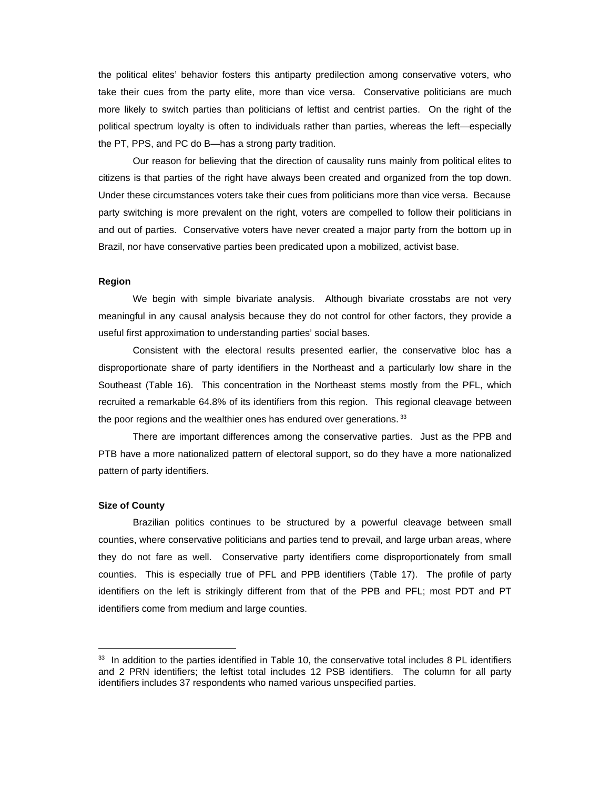the political elites' behavior fosters this antiparty predilection among conservative voters, who take their cues from the party elite, more than vice versa. Conservative politicians are much more likely to switch parties than politicians of leftist and centrist parties. On the right of the political spectrum loyalty is often to individuals rather than parties, whereas the left—especially the PT, PPS, and PC do B—has a strong party tradition.

Our reason for believing that the direction of causality runs mainly from political elites to citizens is that parties of the right have always been created and organized from the top down. Under these circumstances voters take their cues from politicians more than vice versa. Because party switching is more prevalent on the right, voters are compelled to follow their politicians in and out of parties. Conservative voters have never created a major party from the bottom up in Brazil, nor have conservative parties been predicated upon a mobilized, activist base.

#### **Region**

We begin with simple bivariate analysis. Although bivariate crosstabs are not very meaningful in any causal analysis because they do not control for other factors, they provide a useful first approximation to understanding parties' social bases.

Consistent with the electoral results presented earlier, the conservative bloc has a disproportionate share of party identifiers in the Northeast and a particularly low share in the Southeast (Table 16). This concentration in the Northeast stems mostly from the PFL, which recruited a remarkable 64.8% of its identifiers from this region. This regional cleavage between the poor regions and the wealthier ones has endured over generations.<sup>33</sup>

There are important differences among the conservative parties. Just as the PPB and PTB have a more nationalized pattern of electoral support, so do they have a more nationalized pattern of party identifiers.

#### **Size of County**

Brazilian politics continues to be structured by a powerful cleavage between small counties, where conservative politicians and parties tend to prevail, and large urban areas, where they do not fare as well. Conservative party identifiers come disproportionately from small counties. This is especially true of PFL and PPB identifiers (Table 17). The profile of party identifiers on the left is strikingly different from that of the PPB and PFL; most PDT and PT identifiers come from medium and large counties.

<sup>&</sup>lt;sup>33</sup> In addition to the parties identified in Table 10, the conservative total includes 8 PL identifiers and 2 PRN identifiers; the leftist total includes 12 PSB identifiers. The column for all party identifiers includes 37 respondents who named various unspecified parties.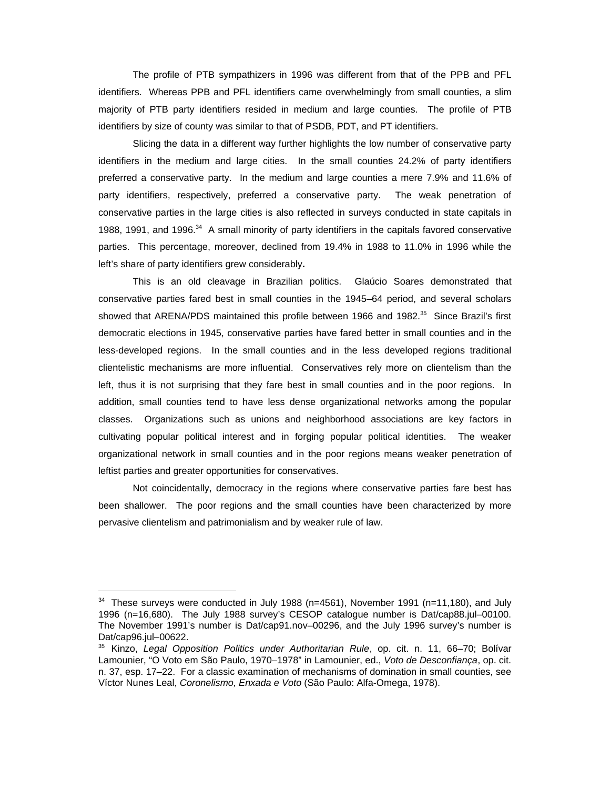The profile of PTB sympathizers in 1996 was different from that of the PPB and PFL identifiers. Whereas PPB and PFL identifiers came overwhelmingly from small counties, a slim majority of PTB party identifiers resided in medium and large counties. The profile of PTB identifiers by size of county was similar to that of PSDB, PDT, and PT identifiers.

Slicing the data in a different way further highlights the low number of conservative party identifiers in the medium and large cities. In the small counties 24.2% of party identifiers preferred a conservative party. In the medium and large counties a mere 7.9% and 11.6% of party identifiers, respectively, preferred a conservative party. The weak penetration of conservative parties in the large cities is also reflected in surveys conducted in state capitals in 1988, 1991, and 1996.<sup>34</sup> A small minority of party identifiers in the capitals favored conservative parties. This percentage, moreover, declined from 19.4% in 1988 to 11.0% in 1996 while the left's share of party identifiers grew considerably**.**

This is an old cleavage in Brazilian politics. Glaúcio Soares demonstrated that conservative parties fared best in small counties in the 1945–64 period, and several scholars showed that ARENA/PDS maintained this profile between 1966 and 1982.<sup>35</sup> Since Brazil's first democratic elections in 1945, conservative parties have fared better in small counties and in the less-developed regions. In the small counties and in the less developed regions traditional clientelistic mechanisms are more influential. Conservatives rely more on clientelism than the left, thus it is not surprising that they fare best in small counties and in the poor regions. In addition, small counties tend to have less dense organizational networks among the popular classes. Organizations such as unions and neighborhood associations are key factors in cultivating popular political interest and in forging popular political identities. The weaker organizational network in small counties and in the poor regions means weaker penetration of leftist parties and greater opportunities for conservatives.

Not coincidentally, democracy in the regions where conservative parties fare best has been shallower. The poor regions and the small counties have been characterized by more pervasive clientelism and patrimonialism and by weaker rule of law.

 $\overline{a}$ 

<sup>&</sup>lt;sup>34</sup> These surveys were conducted in July 1988 (n=4561), November 1991 (n=11,180), and July 1996 (n=16,680). The July 1988 survey's CESOP catalogue number is Dat/cap88.jul–00100. The November 1991's number is Dat/cap91.nov–00296, and the July 1996 survey's number is Dat/cap96.jul–00622.

<sup>35</sup> Kinzo, *Legal Opposition Politics under Authoritarian Rule*, op. cit. n. 11, 66–70; Bolívar Lamounier, "O Voto em São Paulo, 1970–1978" in Lamounier, ed., *Voto de Desconfiança*, op. cit. n. 37, esp. 17–22. For a classic examination of mechanisms of domination in small counties, see Víctor Nunes Leal, *Coronelismo, Enxada e Voto* (São Paulo: Alfa-Omega, 1978).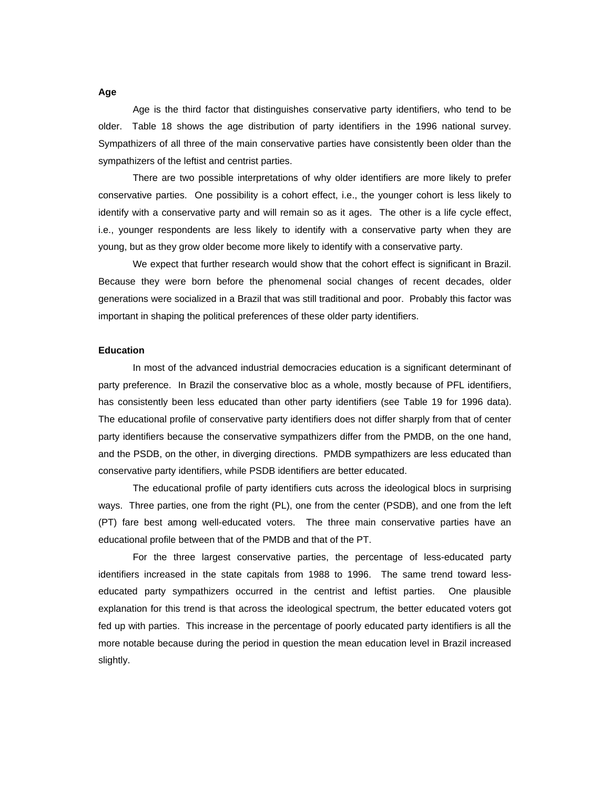# Age is the third factor that distinguishes conservative party identifiers, who tend to be older. Table 18 shows the age distribution of party identifiers in the 1996 national survey. Sympathizers of all three of the main conservative parties have consistently been older than the sympathizers of the leftist and centrist parties.

There are two possible interpretations of why older identifiers are more likely to prefer conservative parties. One possibility is a cohort effect, i.e., the younger cohort is less likely to identify with a conservative party and will remain so as it ages. The other is a life cycle effect, i.e., younger respondents are less likely to identify with a conservative party when they are young, but as they grow older become more likely to identify with a conservative party.

We expect that further research would show that the cohort effect is significant in Brazil. Because they were born before the phenomenal social changes of recent decades, older generations were socialized in a Brazil that was still traditional and poor. Probably this factor was important in shaping the political preferences of these older party identifiers.

# **Education**

In most of the advanced industrial democracies education is a significant determinant of party preference. In Brazil the conservative bloc as a whole, mostly because of PFL identifiers, has consistently been less educated than other party identifiers (see Table 19 for 1996 data). The educational profile of conservative party identifiers does not differ sharply from that of center party identifiers because the conservative sympathizers differ from the PMDB, on the one hand, and the PSDB, on the other, in diverging directions. PMDB sympathizers are less educated than conservative party identifiers, while PSDB identifiers are better educated.

The educational profile of party identifiers cuts across the ideological blocs in surprising ways. Three parties, one from the right (PL), one from the center (PSDB), and one from the left (PT) fare best among well-educated voters. The three main conservative parties have an educational profile between that of the PMDB and that of the PT.

For the three largest conservative parties, the percentage of less-educated party identifiers increased in the state capitals from 1988 to 1996. The same trend toward lesseducated party sympathizers occurred in the centrist and leftist parties. One plausible explanation for this trend is that across the ideological spectrum, the better educated voters got fed up with parties. This increase in the percentage of poorly educated party identifiers is all the more notable because during the period in question the mean education level in Brazil increased slightly.

#### **Age**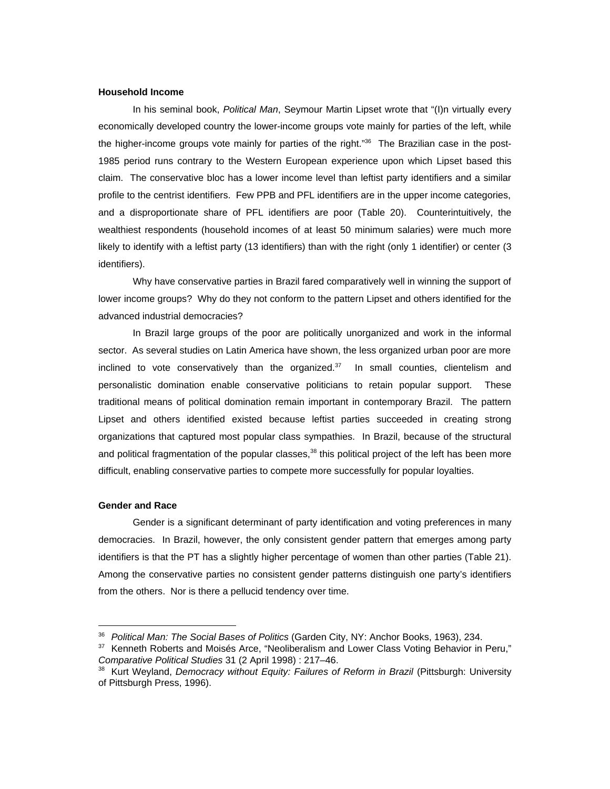# **Household Income**

In his seminal book, *Political Man*, Seymour Martin Lipset wrote that "(I)n virtually every economically developed country the lower-income groups vote mainly for parties of the left, while the higher-income groups vote mainly for parties of the right."<sup>36</sup> The Brazilian case in the post-1985 period runs contrary to the Western European experience upon which Lipset based this claim. The conservative bloc has a lower income level than leftist party identifiers and a similar profile to the centrist identifiers. Few PPB and PFL identifiers are in the upper income categories, and a disproportionate share of PFL identifiers are poor (Table 20). Counterintuitively, the wealthiest respondents (household incomes of at least 50 minimum salaries) were much more likely to identify with a leftist party (13 identifiers) than with the right (only 1 identifier) or center (3 identifiers).

Why have conservative parties in Brazil fared comparatively well in winning the support of lower income groups? Why do they not conform to the pattern Lipset and others identified for the advanced industrial democracies?

In Brazil large groups of the poor are politically unorganized and work in the informal sector. As several studies on Latin America have shown, the less organized urban poor are more inclined to vote conservatively than the organized. $37$  In small counties, clientelism and personalistic domination enable conservative politicians to retain popular support. These traditional means of political domination remain important in contemporary Brazil. The pattern Lipset and others identified existed because leftist parties succeeded in creating strong organizations that captured most popular class sympathies. In Brazil, because of the structural and political fragmentation of the popular classes,<sup>38</sup> this political project of the left has been more difficult, enabling conservative parties to compete more successfully for popular loyalties.

# **Gender and Race**

l

Gender is a significant determinant of party identification and voting preferences in many democracies. In Brazil, however, the only consistent gender pattern that emerges among party identifiers is that the PT has a slightly higher percentage of women than other parties (Table 21). Among the conservative parties no consistent gender patterns distinguish one party's identifiers from the others. Nor is there a pellucid tendency over time.

<sup>36</sup> *Political Man: The Social Bases of Politics* (Garden City, NY: Anchor Books, 1963), 234.

<sup>&</sup>lt;sup>37</sup> Kenneth Roberts and Moisés Arce, "Neoliberalism and Lower Class Voting Behavior in Peru," *Comparative Political Studies* 31 (2 April 1998) : 217–46.

<sup>38</sup> Kurt Weyland, *Democracy without Equity: Failures of Reform in Brazil* (Pittsburgh: University of Pittsburgh Press, 1996).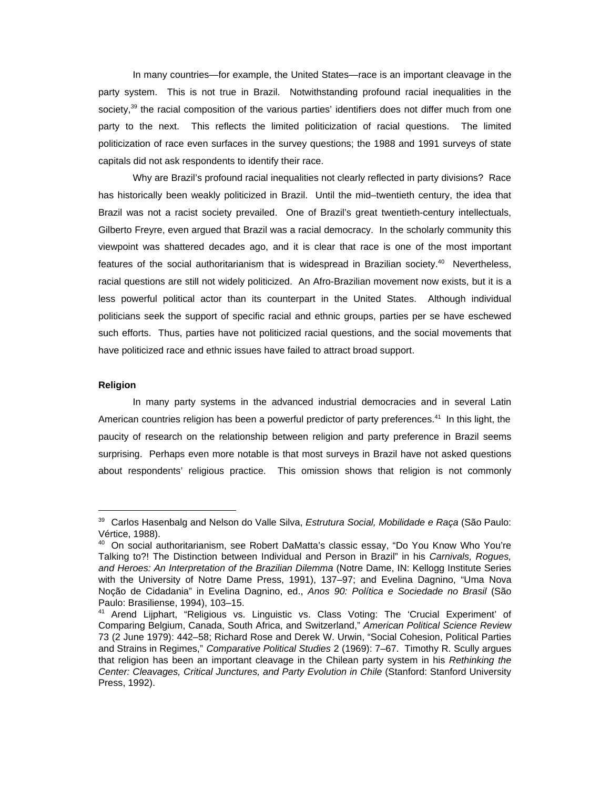In many countries—for example, the United States—race is an important cleavage in the party system. This is not true in Brazil. Notwithstanding profound racial inequalities in the society,<sup>39</sup> the racial composition of the various parties' identifiers does not differ much from one party to the next. This reflects the limited politicization of racial questions. The limited politicization of race even surfaces in the survey questions; the 1988 and 1991 surveys of state capitals did not ask respondents to identify their race.

Why are Brazil's profound racial inequalities not clearly reflected in party divisions? Race has historically been weakly politicized in Brazil. Until the mid–twentieth century, the idea that Brazil was not a racist society prevailed. One of Brazil's great twentieth-century intellectuals, Gilberto Freyre, even argued that Brazil was a racial democracy. In the scholarly community this viewpoint was shattered decades ago, and it is clear that race is one of the most important features of the social authoritarianism that is widespread in Brazilian society.<sup>40</sup> Nevertheless, racial questions are still not widely politicized. An Afro-Brazilian movement now exists, but it is a less powerful political actor than its counterpart in the United States. Although individual politicians seek the support of specific racial and ethnic groups, parties per se have eschewed such efforts. Thus, parties have not politicized racial questions, and the social movements that have politicized race and ethnic issues have failed to attract broad support.

## **Religion**

 $\overline{a}$ 

In many party systems in the advanced industrial democracies and in several Latin American countries religion has been a powerful predictor of party preferences.<sup>41</sup> In this light, the paucity of research on the relationship between religion and party preference in Brazil seems surprising. Perhaps even more notable is that most surveys in Brazil have not asked questions about respondents' religious practice. This omission shows that religion is not commonly

<sup>39</sup> Carlos Hasenbalg and Nelson do Valle Silva, *Estrutura Social, Mobilidade e Raça* (São Paulo: Vértice, 1988).

<sup>&</sup>lt;sup>40</sup> On social authoritarianism, see Robert DaMatta's classic essay, "Do You Know Who You're Talking to?! The Distinction between Individual and Person in Brazil" in his *Carnivals, Rogues,* and Heroes: An Interpretation of the Brazilian Dilemma (Notre Dame, IN: Kellogg Institute Series with the University of Notre Dame Press, 1991), 137–97; and Evelina Dagnino, "Uma Nova Noção de Cidadania" in Evelina Dagnino, ed., *Anos 90: Política e Sociedade no Brasil* (São Paulo: Brasiliense, 1994), 103–15.

<sup>41</sup> Arend Lijphart, "Religious vs. Linguistic vs. Class Voting: The 'Crucial Experiment' of Comparing Belgium, Canada, South Africa, and Switzerland," *American Political Science Review* 73 (2 June 1979): 442–58; Richard Rose and Derek W. Urwin, "Social Cohesion, Political Parties and Strains in Regimes," *Comparative Political Studies* 2 (1969): 7–67. Timothy R. Scully argues that religion has been an important cleavage in the Chilean party system in his *Rethinking the Center: Cleavages, Critical Junctures, and Party Evolution in Chile* (Stanford: Stanford University Press, 1992).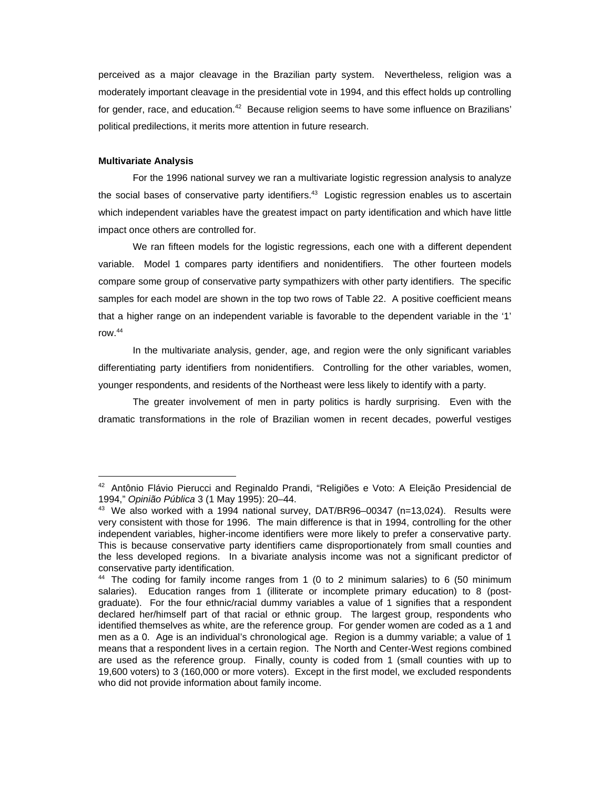perceived as a major cleavage in the Brazilian party system. Nevertheless, religion was a moderately important cleavage in the presidential vote in 1994, and this effect holds up controlling for gender, race, and education.<sup>42</sup> Because religion seems to have some influence on Brazilians' political predilections, it merits more attention in future research.

# **Multivariate Analysis**

For the 1996 national survey we ran a multivariate logistic regression analysis to analyze the social bases of conservative party identifiers.<sup>43</sup> Logistic regression enables us to ascertain which independent variables have the greatest impact on party identification and which have little impact once others are controlled for.

We ran fifteen models for the logistic regressions, each one with a different dependent variable. Model 1 compares party identifiers and nonidentifiers. The other fourteen models compare some group of conservative party sympathizers with other party identifiers. The specific samples for each model are shown in the top two rows of Table 22. A positive coefficient means that a higher range on an independent variable is favorable to the dependent variable in the '1' row.<sup>44</sup>

In the multivariate analysis, gender, age, and region were the only significant variables differentiating party identifiers from nonidentifiers. Controlling for the other variables, women, younger respondents, and residents of the Northeast were less likely to identify with a party.

The greater involvement of men in party politics is hardly surprising. Even with the dramatic transformations in the role of Brazilian women in recent decades, powerful vestiges

<sup>&</sup>lt;sup>42</sup> Antônio Flávio Pierucci and Reginaldo Prandi, "Religiões e Voto: A Eleição Presidencial de 1994," *Opinião Pública* 3 (1 May 1995): 20–44.

 $43$  We also worked with a 1994 national survey, DAT/BR96-00347 (n=13,024). Results were very consistent with those for 1996. The main difference is that in 1994, controlling for the other independent variables, higher-income identifiers were more likely to prefer a conservative party. This is because conservative party identifiers came disproportionately from small counties and the less developed regions. In a bivariate analysis income was not a significant predictor of conservative party identification.

<sup>44</sup> The coding for family income ranges from 1 (0 to 2 minimum salaries) to 6 (50 minimum salaries). Education ranges from 1 (illiterate or incomplete primary education) to 8 (postgraduate). For the four ethnic/racial dummy variables a value of 1 signifies that a respondent declared her/himself part of that racial or ethnic group. The largest group, respondents who identified themselves as white, are the reference group. For gender women are coded as a 1 and men as a 0. Age is an individual's chronological age. Region is a dummy variable; a value of 1 means that a respondent lives in a certain region. The North and Center-West regions combined are used as the reference group. Finally, county is coded from 1 (small counties with up to 19,600 voters) to 3 (160,000 or more voters). Except in the first model, we excluded respondents who did not provide information about family income.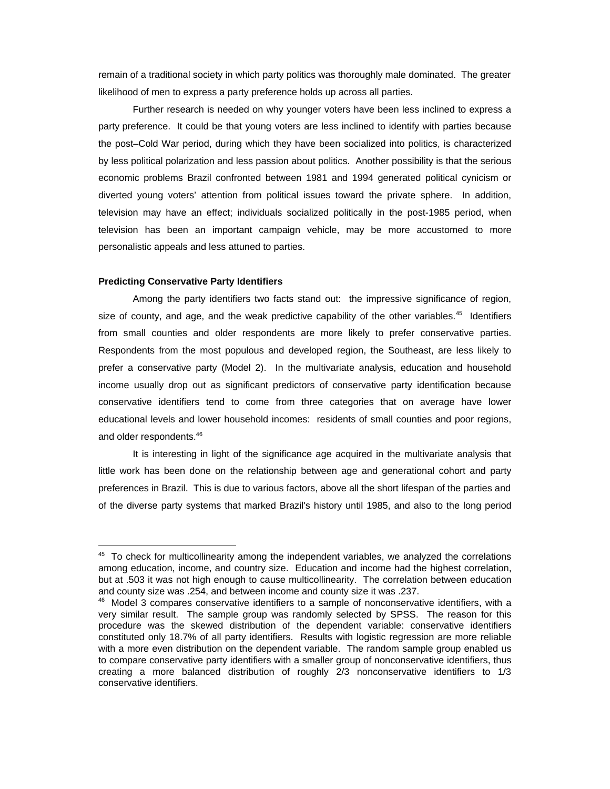remain of a traditional society in which party politics was thoroughly male dominated. The greater likelihood of men to express a party preference holds up across all parties.

Further research is needed on why younger voters have been less inclined to express a party preference. It could be that young voters are less inclined to identify with parties because the post–Cold War period, during which they have been socialized into politics, is characterized by less political polarization and less passion about politics. Another possibility is that the serious economic problems Brazil confronted between 1981 and 1994 generated political cynicism or diverted young voters' attention from political issues toward the private sphere. In addition, television may have an effect; individuals socialized politically in the post-1985 period, when television has been an important campaign vehicle, may be more accustomed to more personalistic appeals and less attuned to parties.

#### **Predicting Conservative Party Identifiers**

l

Among the party identifiers two facts stand out: the impressive significance of region, size of county, and age, and the weak predictive capability of the other variables.<sup>45</sup> Identifiers from small counties and older respondents are more likely to prefer conservative parties. Respondents from the most populous and developed region, the Southeast, are less likely to prefer a conservative party (Model 2). In the multivariate analysis, education and household income usually drop out as significant predictors of conservative party identification because conservative identifiers tend to come from three categories that on average have lower educational levels and lower household incomes: residents of small counties and poor regions, and older respondents.<sup>46</sup>

It is interesting in light of the significance age acquired in the multivariate analysis that little work has been done on the relationship between age and generational cohort and party preferences in Brazil. This is due to various factors, above all the short lifespan of the parties and of the diverse party systems that marked Brazil's history until 1985, and also to the long period

 $45$  To check for multicollinearity among the independent variables, we analyzed the correlations among education, income, and country size. Education and income had the highest correlation, but at .503 it was not high enough to cause multicollinearity. The correlation between education and county size was .254, and between income and county size it was .237.

<sup>&</sup>lt;sup>46</sup> Model 3 compares conservative identifiers to a sample of nonconservative identifiers, with a very similar result. The sample group was randomly selected by SPSS. The reason for this procedure was the skewed distribution of the dependent variable: conservative identifiers constituted only 18.7% of all party identifiers. Results with logistic regression are more reliable with a more even distribution on the dependent variable. The random sample group enabled us to compare conservative party identifiers with a smaller group of nonconservative identifiers, thus creating a more balanced distribution of roughly 2/3 nonconservative identifiers to 1/3 conservative identifiers.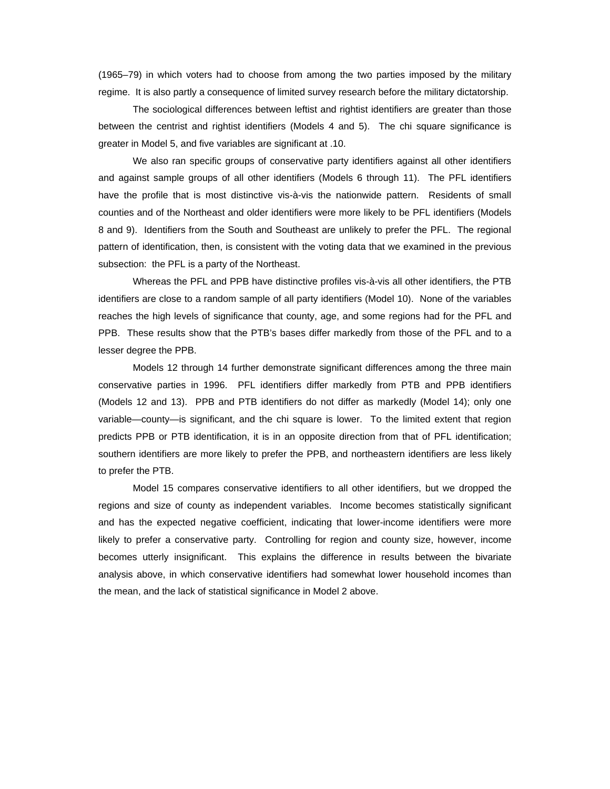(1965–79) in which voters had to choose from among the two parties imposed by the military regime. It is also partly a consequence of limited survey research before the military dictatorship.

The sociological differences between leftist and rightist identifiers are greater than those between the centrist and rightist identifiers (Models 4 and 5). The chi square significance is greater in Model 5, and five variables are significant at .10.

We also ran specific groups of conservative party identifiers against all other identifiers and against sample groups of all other identifiers (Models 6 through 11). The PFL identifiers have the profile that is most distinctive vis-à-vis the nationwide pattern. Residents of small counties and of the Northeast and older identifiers were more likely to be PFL identifiers (Models 8 and 9). Identifiers from the South and Southeast are unlikely to prefer the PFL. The regional pattern of identification, then, is consistent with the voting data that we examined in the previous subsection: the PFL is a party of the Northeast.

Whereas the PFL and PPB have distinctive profiles vis-à-vis all other identifiers, the PTB identifiers are close to a random sample of all party identifiers (Model 10). None of the variables reaches the high levels of significance that county, age, and some regions had for the PFL and PPB. These results show that the PTB's bases differ markedly from those of the PFL and to a lesser degree the PPB.

Models 12 through 14 further demonstrate significant differences among the three main conservative parties in 1996. PFL identifiers differ markedly from PTB and PPB identifiers (Models 12 and 13). PPB and PTB identifiers do not differ as markedly (Model 14); only one variable—county—is significant, and the chi square is lower. To the limited extent that region predicts PPB or PTB identification, it is in an opposite direction from that of PFL identification; southern identifiers are more likely to prefer the PPB, and northeastern identifiers are less likely to prefer the PTB.

Model 15 compares conservative identifiers to all other identifiers, but we dropped the regions and size of county as independent variables. Income becomes statistically significant and has the expected negative coefficient, indicating that lower-income identifiers were more likely to prefer a conservative party. Controlling for region and county size, however, income becomes utterly insignificant. This explains the difference in results between the bivariate analysis above, in which conservative identifiers had somewhat lower household incomes than the mean, and the lack of statistical significance in Model 2 above.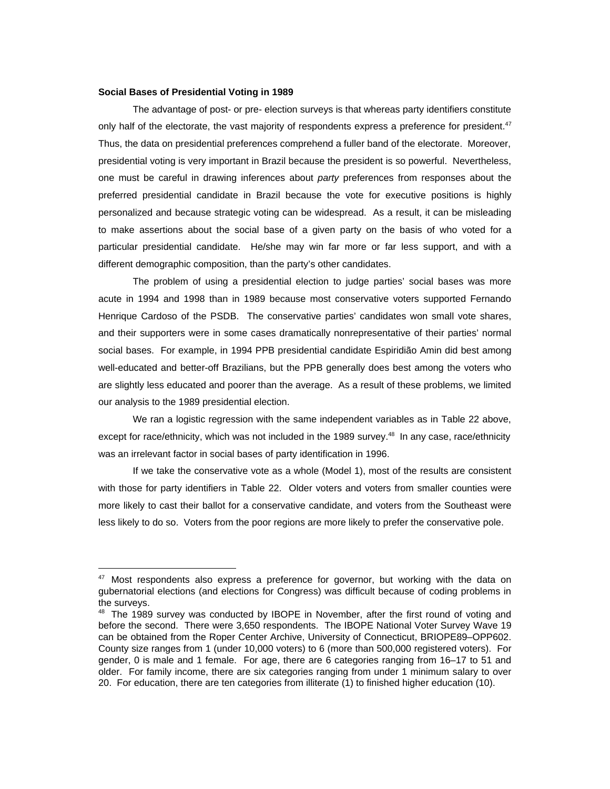#### **Social Bases of Presidential Voting in 1989**

The advantage of post- or pre- election surveys is that whereas party identifiers constitute only half of the electorate, the vast majority of respondents express a preference for president.<sup>47</sup> Thus, the data on presidential preferences comprehend a fuller band of the electorate. Moreover, presidential voting is very important in Brazil because the president is so powerful. Nevertheless, one must be careful in drawing inferences about *party* preferences from responses about the preferred presidential candidate in Brazil because the vote for executive positions is highly personalized and because strategic voting can be widespread. As a result, it can be misleading to make assertions about the social base of a given party on the basis of who voted for a particular presidential candidate. He/she may win far more or far less support, and with a different demographic composition, than the party's other candidates.

The problem of using a presidential election to judge parties' social bases was more acute in 1994 and 1998 than in 1989 because most conservative voters supported Fernando Henrique Cardoso of the PSDB. The conservative parties' candidates won small vote shares, and their supporters were in some cases dramatically nonrepresentative of their parties' normal social bases. For example, in 1994 PPB presidential candidate Espiridião Amin did best among well-educated and better-off Brazilians, but the PPB generally does best among the voters who are slightly less educated and poorer than the average. As a result of these problems, we limited our analysis to the 1989 presidential election.

We ran a logistic regression with the same independent variables as in Table 22 above, except for race/ethnicity, which was not included in the 1989 survey.<sup>48</sup> In any case, race/ethnicity was an irrelevant factor in social bases of party identification in 1996.

If we take the conservative vote as a whole (Model 1), most of the results are consistent with those for party identifiers in Table 22. Older voters and voters from smaller counties were more likely to cast their ballot for a conservative candidate, and voters from the Southeast were less likely to do so. Voters from the poor regions are more likely to prefer the conservative pole.

<sup>&</sup>lt;sup>47</sup> Most respondents also express a preference for governor, but working with the data on gubernatorial elections (and elections for Congress) was difficult because of coding problems in the surveys.

<sup>&</sup>lt;sup>48</sup> The 1989 survey was conducted by IBOPE in November, after the first round of voting and before the second. There were 3,650 respondents. The IBOPE National Voter Survey Wave 19 can be obtained from the Roper Center Archive, University of Connecticut, BRIOPE89–OPP602. County size ranges from 1 (under 10,000 voters) to 6 (more than 500,000 registered voters). For gender, 0 is male and 1 female. For age, there are 6 categories ranging from 16–17 to 51 and older. For family income, there are six categories ranging from under 1 minimum salary to over 20. For education, there are ten categories from illiterate (1) to finished higher education (10).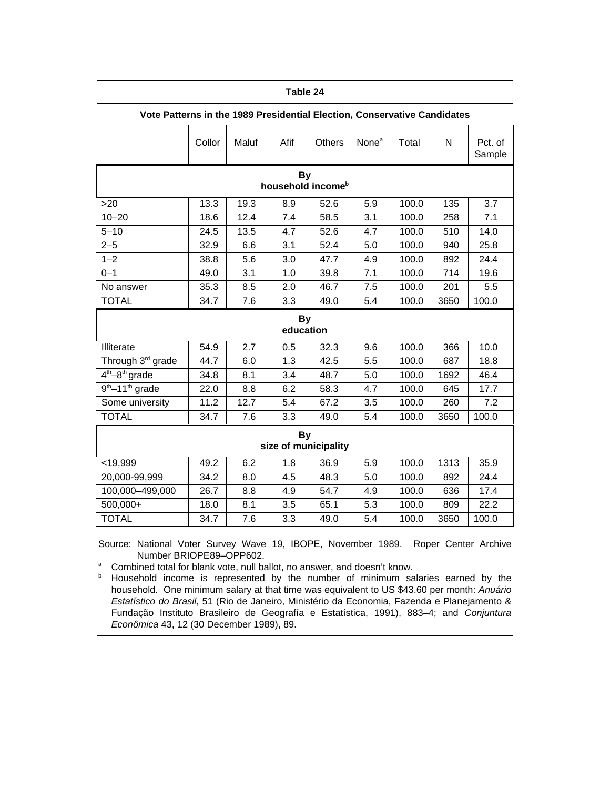| Table 24                                                                 |        |       |      |               |                   |       |      |                   |  |  |  |  |  |
|--------------------------------------------------------------------------|--------|-------|------|---------------|-------------------|-------|------|-------------------|--|--|--|--|--|
| Vote Patterns in the 1989 Presidential Election, Conservative Candidates |        |       |      |               |                   |       |      |                   |  |  |  |  |  |
|                                                                          | Collor | Maluf | Afif | <b>Others</b> | None <sup>a</sup> | Total | N    | Pct. of<br>Sample |  |  |  |  |  |
| By                                                                       |        |       |      |               |                   |       |      |                   |  |  |  |  |  |
| household income <sup>b</sup>                                            |        |       |      |               |                   |       |      |                   |  |  |  |  |  |
| >20                                                                      | 13.3   | 19.3  | 8.9  | 52.6          | 5.9               | 100.0 | 135  | 3.7               |  |  |  |  |  |
| $10 - 20$                                                                | 18.6   | 12.4  | 7.4  | 58.5          | 3.1               | 100.0 | 258  | 7.1               |  |  |  |  |  |
| $5 - 10$                                                                 | 24.5   | 13.5  | 4.7  | 52.6          | 4.7               | 100.0 | 510  | 14.0              |  |  |  |  |  |
| $2 - 5$                                                                  | 32.9   | 6.6   | 3.1  | 52.4          | 5.0               | 100.0 | 940  | 25.8              |  |  |  |  |  |
| $1 - 2$                                                                  | 38.8   | 5.6   | 3.0  | 47.7          | 4.9               | 100.0 | 892  | 24.4              |  |  |  |  |  |
| $0 - 1$                                                                  | 49.0   | 3.1   | 1.0  | 39.8          | 7.1               | 100.0 | 714  | 19.6              |  |  |  |  |  |
| No answer                                                                | 35.3   | 8.5   | 2.0  | 46.7          | 7.5               | 100.0 | 201  | 5.5               |  |  |  |  |  |
| <b>TOTAL</b>                                                             | 34.7   | 7.6   | 3.3  | 49.0          | 5.4               | 100.0 | 3650 | 100.0             |  |  |  |  |  |
| <b>By</b><br>education                                                   |        |       |      |               |                   |       |      |                   |  |  |  |  |  |
| Illiterate                                                               | 54.9   | 2.7   | 0.5  | 32.3          | 9.6               | 100.0 | 366  | 10.0              |  |  |  |  |  |
| Through 3rd grade                                                        | 44.7   | 6.0   | 1.3  | 42.5          | 5.5               | 100.0 | 687  | 18.8              |  |  |  |  |  |
| $4th-8th$ grade                                                          | 34.8   | 8.1   | 3.4  | 48.7          | 5.0               | 100.0 | 1692 | 46.4              |  |  |  |  |  |
| $9th-11th$ grade                                                         | 22.0   | 8.8   | 6.2  | 58.3          | 4.7               | 100.0 | 645  | 17.7              |  |  |  |  |  |
| Some university                                                          | 11.2   | 12.7  | 5.4  | 67.2          | 3.5               | 100.0 | 260  | 7.2               |  |  |  |  |  |
| <b>TOTAL</b>                                                             | 34.7   | 7.6   | 3.3  | 49.0          | 5.4               | 100.0 | 3650 | 100.0             |  |  |  |  |  |
| <b>By</b><br>size of municipality                                        |        |       |      |               |                   |       |      |                   |  |  |  |  |  |
| $<$ 19,999                                                               | 49.2   | 6.2   | 1.8  | 36.9          | 5.9               | 100.0 | 1313 | 35.9              |  |  |  |  |  |
| 20,000-99,999                                                            | 34.2   | 8.0   | 4.5  | 48.3          | 5.0               | 100.0 | 892  | 24.4              |  |  |  |  |  |
| 100,000-499,000                                                          | 26.7   | 8.8   | 4.9  | 54.7          | 4.9               | 100.0 | 636  | 17.4              |  |  |  |  |  |
| 500,000+                                                                 | 18.0   | 8.1   | 3.5  | 65.1          | 5.3               | 100.0 | 809  | 22.2              |  |  |  |  |  |
| <b>TOTAL</b>                                                             | 34.7   | 7.6   | 3.3  | 49.0          | 5.4               | 100.0 | 3650 | 100.0             |  |  |  |  |  |

Source: National Voter Survey Wave 19, IBOPE, November 1989. Roper Center Archive Number BRIOPE89–OPP602.

<sup>a</sup> Combined total for blank vote, null ballot, no answer, and doesn't know.<br><sup>b</sup> Household income is represented by the number of minimum sa

<sup>b</sup> Household income is represented by the number of minimum salaries earned by the household. One minimum salary at that time was equivalent to US \$43.60 per month: *Anuário Estatístico do Brasil*, 51 (Rio de Janeiro, Ministério da Economia, Fazenda e Planejamento & Fundação Instituto Brasileiro de Geografía e Estatística, 1991), 883–4; and *Conjuntura Econômica* 43, 12 (30 December 1989), 89.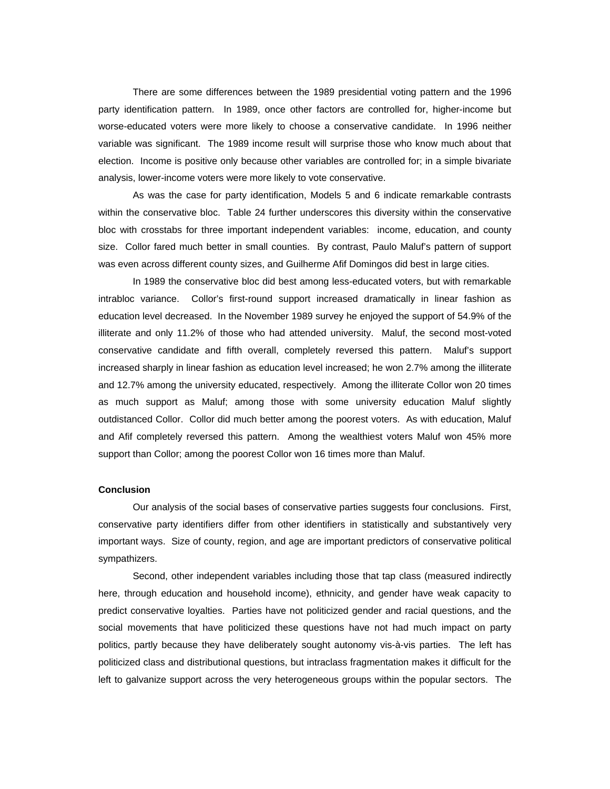There are some differences between the 1989 presidential voting pattern and the 1996 party identification pattern. In 1989, once other factors are controlled for, higher-income but worse-educated voters were more likely to choose a conservative candidate. In 1996 neither variable was significant. The 1989 income result will surprise those who know much about that election. Income is positive only because other variables are controlled for; in a simple bivariate analysis, lower-income voters were more likely to vote conservative.

As was the case for party identification, Models 5 and 6 indicate remarkable contrasts within the conservative bloc. Table 24 further underscores this diversity within the conservative bloc with crosstabs for three important independent variables: income, education, and county size. Collor fared much better in small counties. By contrast, Paulo Maluf's pattern of support was even across different county sizes, and Guilherme Afif Domingos did best in large cities.

In 1989 the conservative bloc did best among less-educated voters, but with remarkable intrabloc variance. Collor's first-round support increased dramatically in linear fashion as education level decreased. In the November 1989 survey he enjoyed the support of 54.9% of the illiterate and only 11.2% of those who had attended university. Maluf, the second most-voted conservative candidate and fifth overall, completely reversed this pattern. Maluf's support increased sharply in linear fashion as education level increased; he won 2.7% among the illiterate and 12.7% among the university educated, respectively. Among the illiterate Collor won 20 times as much support as Maluf; among those with some university education Maluf slightly outdistanced Collor. Collor did much better among the poorest voters. As with education, Maluf and Afif completely reversed this pattern. Among the wealthiest voters Maluf won 45% more support than Collor; among the poorest Collor won 16 times more than Maluf.

## **Conclusion**

Our analysis of the social bases of conservative parties suggests four conclusions. First, conservative party identifiers differ from other identifiers in statistically and substantively very important ways. Size of county, region, and age are important predictors of conservative political sympathizers.

Second, other independent variables including those that tap class (measured indirectly here, through education and household income), ethnicity, and gender have weak capacity to predict conservative loyalties. Parties have not politicized gender and racial questions, and the social movements that have politicized these questions have not had much impact on party politics, partly because they have deliberately sought autonomy vis-à-vis parties. The left has politicized class and distributional questions, but intraclass fragmentation makes it difficult for the left to galvanize support across the very heterogeneous groups within the popular sectors. The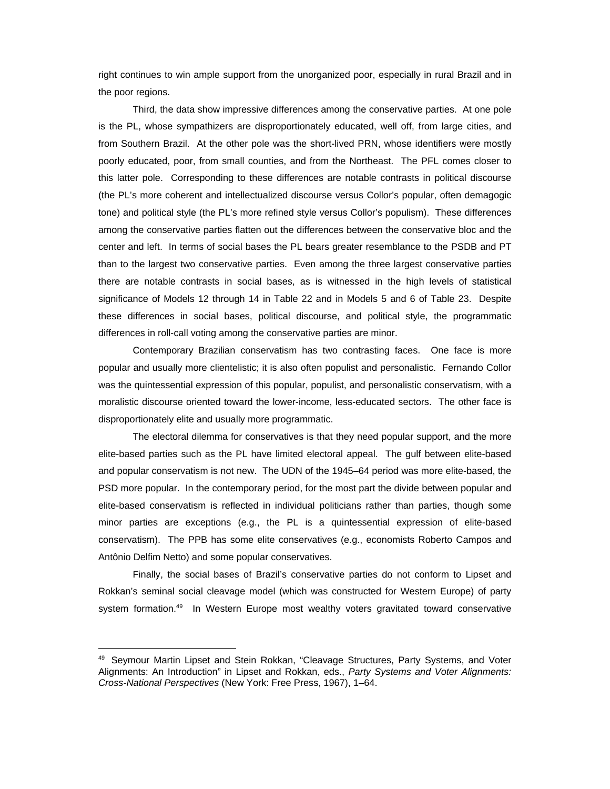right continues to win ample support from the unorganized poor, especially in rural Brazil and in the poor regions.

Third, the data show impressive differences among the conservative parties. At one pole is the PL, whose sympathizers are disproportionately educated, well off, from large cities, and from Southern Brazil. At the other pole was the short-lived PRN, whose identifiers were mostly poorly educated, poor, from small counties, and from the Northeast. The PFL comes closer to this latter pole. Corresponding to these differences are notable contrasts in political discourse (the PL's more coherent and intellectualized discourse versus Collor's popular, often demagogic tone) and political style (the PL's more refined style versus Collor's populism). These differences among the conservative parties flatten out the differences between the conservative bloc and the center and left. In terms of social bases the PL bears greater resemblance to the PSDB and PT than to the largest two conservative parties. Even among the three largest conservative parties there are notable contrasts in social bases, as is witnessed in the high levels of statistical significance of Models 12 through 14 in Table 22 and in Models 5 and 6 of Table 23. Despite these differences in social bases, political discourse, and political style, the programmatic differences in roll-call voting among the conservative parties are minor.

Contemporary Brazilian conservatism has two contrasting faces. One face is more popular and usually more clientelistic; it is also often populist and personalistic. Fernando Collor was the quintessential expression of this popular, populist, and personalistic conservatism, with a moralistic discourse oriented toward the lower-income, less-educated sectors. The other face is disproportionately elite and usually more programmatic.

The electoral dilemma for conservatives is that they need popular support, and the more elite-based parties such as the PL have limited electoral appeal. The gulf between elite-based and popular conservatism is not new. The UDN of the 1945–64 period was more elite-based, the PSD more popular. In the contemporary period, for the most part the divide between popular and elite-based conservatism is reflected in individual politicians rather than parties, though some minor parties are exceptions (e.g., the PL is a quintessential expression of elite-based conservatism). The PPB has some elite conservatives (e.g., economists Roberto Campos and Antônio Delfim Netto) and some popular conservatives.

Finally, the social bases of Brazil's conservative parties do not conform to Lipset and Rokkan's seminal social cleavage model (which was constructed for Western Europe) of party system formation.<sup>49</sup> In Western Europe most wealthy voters gravitated toward conservative

<sup>49</sup> Seymour Martin Lipset and Stein Rokkan, "Cleavage Structures, Party Systems, and Voter Alignments: An Introduction" in Lipset and Rokkan, eds., *Party Systems and Voter Alignments: Cross-National Perspectives* (New York: Free Press, 1967), 1–64.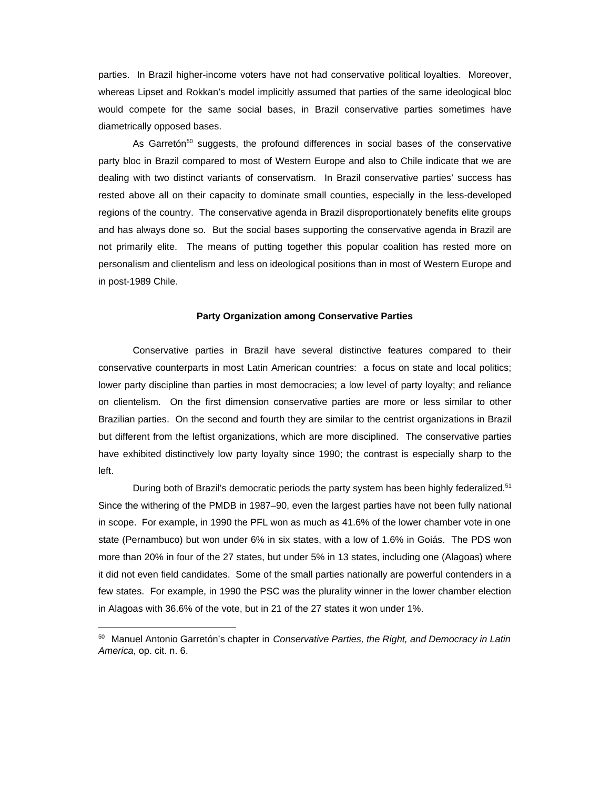parties. In Brazil higher-income voters have not had conservative political loyalties. Moreover, whereas Lipset and Rokkan's model implicitly assumed that parties of the same ideological bloc would compete for the same social bases, in Brazil conservative parties sometimes have diametrically opposed bases.

As Garretón $50$  suggests, the profound differences in social bases of the conservative party bloc in Brazil compared to most of Western Europe and also to Chile indicate that we are dealing with two distinct variants of conservatism. In Brazil conservative parties' success has rested above all on their capacity to dominate small counties, especially in the less-developed regions of the country. The conservative agenda in Brazil disproportionately benefits elite groups and has always done so. But the social bases supporting the conservative agenda in Brazil are not primarily elite. The means of putting together this popular coalition has rested more on personalism and clientelism and less on ideological positions than in most of Western Europe and in post-1989 Chile.

#### **Party Organization among Conservative Parties**

Conservative parties in Brazil have several distinctive features compared to their conservative counterparts in most Latin American countries: a focus on state and local politics; lower party discipline than parties in most democracies; a low level of party loyalty; and reliance on clientelism. On the first dimension conservative parties are more or less similar to other Brazilian parties. On the second and fourth they are similar to the centrist organizations in Brazil but different from the leftist organizations, which are more disciplined. The conservative parties have exhibited distinctively low party loyalty since 1990; the contrast is especially sharp to the left.

During both of Brazil's democratic periods the party system has been highly federalized.<sup>51</sup> Since the withering of the PMDB in 1987–90, even the largest parties have not been fully national in scope. For example, in 1990 the PFL won as much as 41.6% of the lower chamber vote in one state (Pernambuco) but won under 6% in six states, with a low of 1.6% in Goiás. The PDS won more than 20% in four of the 27 states, but under 5% in 13 states, including one (Alagoas) where it did not even field candidates. Some of the small parties nationally are powerful contenders in a few states. For example, in 1990 the PSC was the plurality winner in the lower chamber election in Alagoas with 36.6% of the vote, but in 21 of the 27 states it won under 1%.

 $\overline{a}$ 

<sup>50</sup> Manuel Antonio Garretón's chapter in *Conservative Parties, the Right, and Democracy in Latin America*, op. cit. n. 6.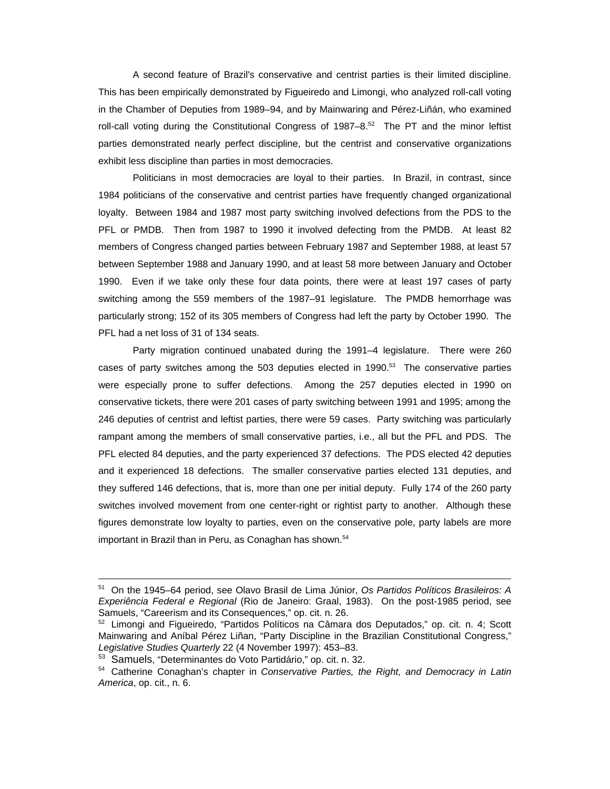A second feature of Brazil's conservative and centrist parties is their limited discipline. This has been empirically demonstrated by Figueiredo and Limongi, who analyzed roll-call voting in the Chamber of Deputies from 1989–94, and by Mainwaring and Pérez-Liñán, who examined roll-call voting during the Constitutional Congress of 1987–8.<sup>52</sup> The PT and the minor leftist parties demonstrated nearly perfect discipline, but the centrist and conservative organizations exhibit less discipline than parties in most democracies.

Politicians in most democracies are loyal to their parties. In Brazil, in contrast, since 1984 politicians of the conservative and centrist parties have frequently changed organizational loyalty. Between 1984 and 1987 most party switching involved defections from the PDS to the PFL or PMDB. Then from 1987 to 1990 it involved defecting from the PMDB. At least 82 members of Congress changed parties between February 1987 and September 1988, at least 57 between September 1988 and January 1990, and at least 58 more between January and October 1990. Even if we take only these four data points, there were at least 197 cases of party switching among the 559 members of the 1987–91 legislature. The PMDB hemorrhage was particularly strong; 152 of its 305 members of Congress had left the party by October 1990. The PFL had a net loss of 31 of 134 seats.

Party migration continued unabated during the 1991–4 legislature. There were 260 cases of party switches among the 503 deputies elected in 1990.<sup>53</sup> The conservative parties were especially prone to suffer defections. Among the 257 deputies elected in 1990 on conservative tickets, there were 201 cases of party switching between 1991 and 1995; among the 246 deputies of centrist and leftist parties, there were 59 cases. Party switching was particularly rampant among the members of small conservative parties, i.e., all but the PFL and PDS. The PFL elected 84 deputies, and the party experienced 37 defections. The PDS elected 42 deputies and it experienced 18 defections. The smaller conservative parties elected 131 deputies, and they suffered 146 defections, that is, more than one per initial deputy. Fully 174 of the 260 party switches involved movement from one center-right or rightist party to another. Although these figures demonstrate low loyalty to parties, even on the conservative pole, party labels are more important in Brazil than in Peru, as Conaghan has shown.<sup>54</sup>

<sup>51</sup> On the 1945–64 period, see Olavo Brasil de Lima Júnior, *Os Partidos Políticos Brasileiros: A Experiência Federal e Regional* (Rio de Janeiro: Graal, 1983). On the post-1985 period, see Samuels, "Careerism and its Consequences," op. cit. n. 26.

<sup>&</sup>lt;sup>52</sup> Limongi and Figueiredo, "Partidos Políticos na Câmara dos Deputados," op. cit. n. 4; Scott Mainwaring and Aníbal Pérez Liñan, "Party Discipline in the Brazilian Constitutional Congress," *Legislative Studies Quarterly* 22 (4 November 1997): 453–83.

<sup>53</sup> Samuels, "Determinantes do Voto Partidário," op. cit. n. 32.

<sup>54</sup> Catherine Conaghan's chapter in *Conservative Parties, the Right, and Democracy in Latin America*, op. cit., n. 6.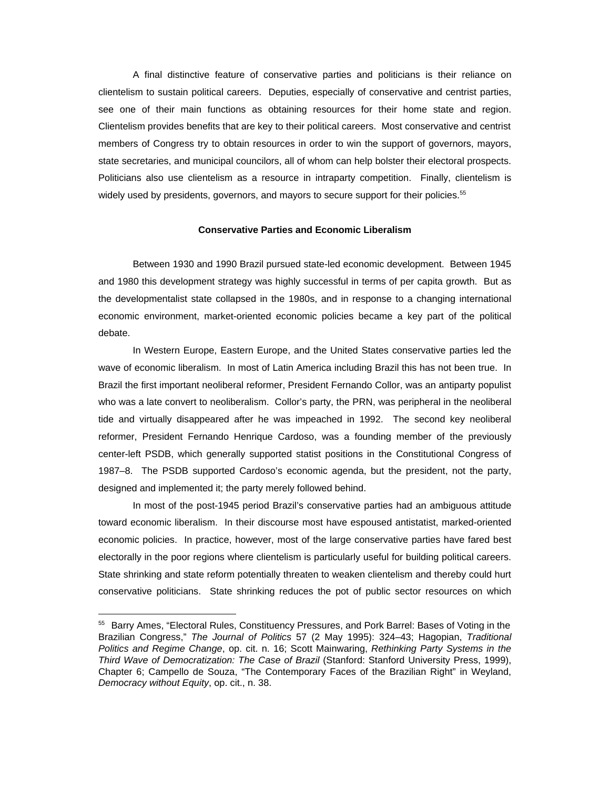A final distinctive feature of conservative parties and politicians is their reliance on clientelism to sustain political careers. Deputies, especially of conservative and centrist parties, see one of their main functions as obtaining resources for their home state and region. Clientelism provides benefits that are key to their political careers. Most conservative and centrist members of Congress try to obtain resources in order to win the support of governors, mayors, state secretaries, and municipal councilors, all of whom can help bolster their electoral prospects. Politicians also use clientelism as a resource in intraparty competition. Finally, clientelism is widely used by presidents, governors, and mayors to secure support for their policies.<sup>55</sup>

# **Conservative Parties and Economic Liberalism**

Between 1930 and 1990 Brazil pursued state-led economic development. Between 1945 and 1980 this development strategy was highly successful in terms of per capita growth. But as the developmentalist state collapsed in the 1980s, and in response to a changing international economic environment, market-oriented economic policies became a key part of the political debate.

In Western Europe, Eastern Europe, and the United States conservative parties led the wave of economic liberalism. In most of Latin America including Brazil this has not been true. In Brazil the first important neoliberal reformer, President Fernando Collor, was an antiparty populist who was a late convert to neoliberalism. Collor's party, the PRN, was peripheral in the neoliberal tide and virtually disappeared after he was impeached in 1992. The second key neoliberal reformer, President Fernando Henrique Cardoso, was a founding member of the previously center-left PSDB, which generally supported statist positions in the Constitutional Congress of 1987–8. The PSDB supported Cardoso's economic agenda, but the president, not the party, designed and implemented it; the party merely followed behind.

In most of the post-1945 period Brazil's conservative parties had an ambiguous attitude toward economic liberalism. In their discourse most have espoused antistatist, marked-oriented economic policies. In practice, however, most of the large conservative parties have fared best electorally in the poor regions where clientelism is particularly useful for building political careers. State shrinking and state reform potentially threaten to weaken clientelism and thereby could hurt conservative politicians. State shrinking reduces the pot of public sector resources on which

<sup>55</sup> Barry Ames, "Electoral Rules, Constituency Pressures, and Pork Barrel: Bases of Voting in the Brazilian Congress," *The Journal of Politics* 57 (2 May 1995): 324–43; Hagopian, *Traditional Politics and Regime Change*, op. cit. n. 16; Scott Mainwaring, *Rethinking Party Systems in the Third Wave of Democratization: The Case of Brazil* (Stanford: Stanford University Press, 1999), Chapter 6; Campello de Souza, "The Contemporary Faces of the Brazilian Right" in Weyland, *Democracy without Equity*, op. cit., n. 38.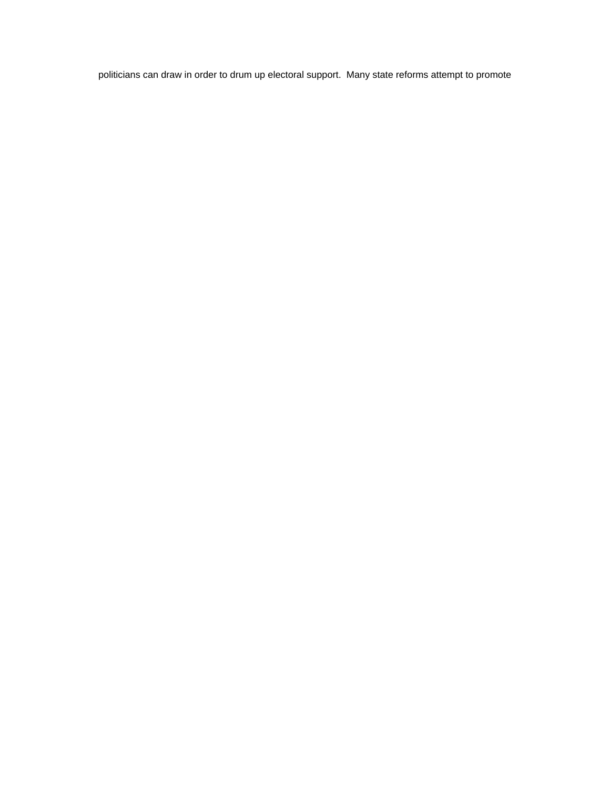politicians can draw in order to drum up electoral support. Many state reforms attempt to promote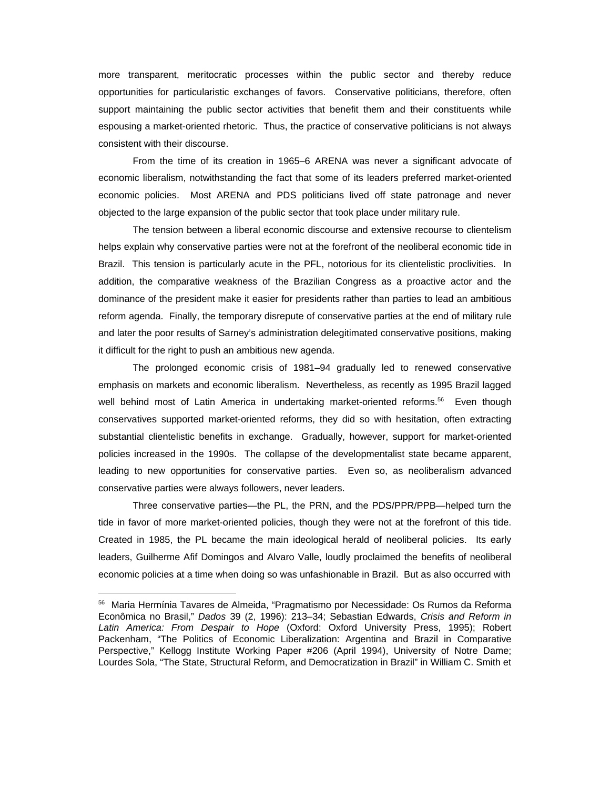more transparent, meritocratic processes within the public sector and thereby reduce opportunities for particularistic exchanges of favors. Conservative politicians, therefore, often support maintaining the public sector activities that benefit them and their constituents while espousing a market-oriented rhetoric. Thus, the practice of conservative politicians is not always consistent with their discourse.

From the time of its creation in 1965–6 ARENA was never a significant advocate of economic liberalism, notwithstanding the fact that some of its leaders preferred market-oriented economic policies. Most ARENA and PDS politicians lived off state patronage and never objected to the large expansion of the public sector that took place under military rule.

The tension between a liberal economic discourse and extensive recourse to clientelism helps explain why conservative parties were not at the forefront of the neoliberal economic tide in Brazil. This tension is particularly acute in the PFL, notorious for its clientelistic proclivities. In addition, the comparative weakness of the Brazilian Congress as a proactive actor and the dominance of the president make it easier for presidents rather than parties to lead an ambitious reform agenda. Finally, the temporary disrepute of conservative parties at the end of military rule and later the poor results of Sarney's administration delegitimated conservative positions, making it difficult for the right to push an ambitious new agenda.

The prolonged economic crisis of 1981–94 gradually led to renewed conservative emphasis on markets and economic liberalism. Nevertheless, as recently as 1995 Brazil lagged well behind most of Latin America in undertaking market-oriented reforms.<sup>56</sup> Even though conservatives supported market-oriented reforms, they did so with hesitation, often extracting substantial clientelistic benefits in exchange. Gradually, however, support for market-oriented policies increased in the 1990s. The collapse of the developmentalist state became apparent, leading to new opportunities for conservative parties. Even so, as neoliberalism advanced conservative parties were always followers, never leaders.

Three conservative parties—the PL, the PRN, and the PDS/PPR/PPB—helped turn the tide in favor of more market-oriented policies, though they were not at the forefront of this tide. Created in 1985, the PL became the main ideological herald of neoliberal policies. Its early leaders, Guilherme Afif Domingos and Alvaro Valle, loudly proclaimed the benefits of neoliberal economic policies at a time when doing so was unfashionable in Brazil. But as also occurred with

<sup>&</sup>lt;sup>56</sup> Maria Hermínia Tavares de Almeida, "Pragmatismo por Necessidade: Os Rumos da Reforma Econômica no Brasil," *Dados* 39 (2, 1996): 213–34; Sebastian Edwards, *Crisis and Reform in Latin America: From Despair to Hope* (Oxford: Oxford University Press, 1995); Robert Packenham, "The Politics of Economic Liberalization: Argentina and Brazil in Comparative Perspective," Kellogg Institute Working Paper #206 (April 1994), University of Notre Dame; Lourdes Sola, "The State, Structural Reform, and Democratization in Brazil" in William C. Smith et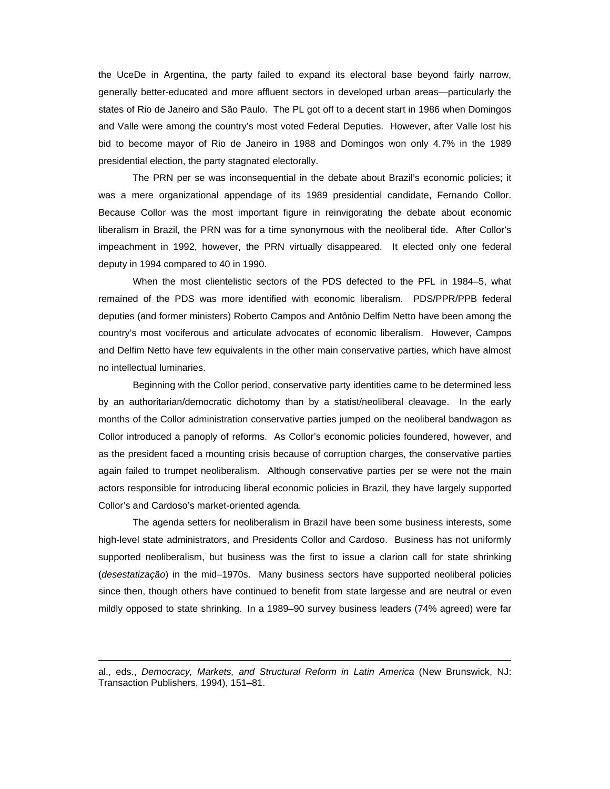the UceDe in Argentina, the party failed to expand its electoral base beyond fairly narrow, generally better-educated and more affluent sectors in developed urban areas—particularly the states of Rio de Janeiro and São Paulo. The PL got off to a decent start in 1986 when Domingos and Valle were among the country's most voted Federal Deputies. However, after Valle lost his bid to become mayor of Rio de Janeiro in 1988 and Domingos won only 4.7% in the 1989 presidential election, the party stagnated electorally.

The PRN per se was inconsequential in the debate about Brazil's economic policies; it was a mere organizational appendage of its 1989 presidential candidate, Fernando Collor. Because Collor was the most important figure in reinvigorating the debate about economic liberalism in Brazil, the PRN was for a time synonymous with the neoliberal tide. After Collor's impeachment in 1992, however, the PRN virtually disappeared. It elected only one federal deputy in 1994 compared to 40 in 1990.

When the most clientelistic sectors of the PDS defected to the PFL in 1984–5, what remained of the PDS was more identified with economic liberalism. PDS/PPR/PPB federal deputies (and former ministers) Roberto Campos and Antônio Delfim Netto have been among the country's most vociferous and articulate advocates of economic liberalism. However, Campos and Delfim Netto have few equivalents in the other main conservative parties, which have almost no intellectual luminaries.

Beginning with the Collor period, conservative party identities came to be determined less by an authoritarian/democratic dichotomy than by a statist/neoliberal cleavage. In the early months of the Collor administration conservative parties jumped on the neoliberal bandwagon as Collor introduced a panoply of reforms. As Collor's economic policies foundered, however, and as the president faced a mounting crisis because of corruption charges, the conservative parties again failed to trumpet neoliberalism. Although conservative parties per se were not the main actors responsible for introducing liberal economic policies in Brazil, they have largely supported Collor's and Cardoso's market-oriented agenda.

The agenda setters for neoliberalism in Brazil have been some business interests, some high-level state administrators, and Presidents Collor and Cardoso. Business has not uniformly supported neoliberalism, but business was the first to issue a clarion call for state shrinking (*desestatização*) in the mid–1970s. Many business sectors have supported neoliberal policies since then, though others have continued to benefit from state largesse and are neutral or even mildly opposed to state shrinking. In a 1989–90 survey business leaders (74% agreed) were far

 $\overline{a}$ 

al., eds., *Democracy, Markets, and Structural Reform in Latin America* (New Brunswick, NJ: Transaction Publishers, 1994), 151–81.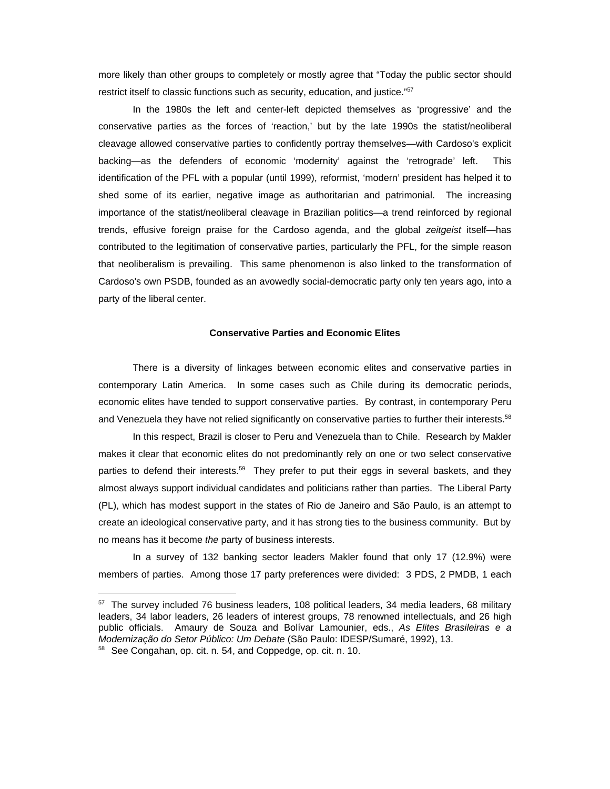more likely than other groups to completely or mostly agree that "Today the public sector should restrict itself to classic functions such as security, education, and justice."<sup>57</sup>

In the 1980s the left and center-left depicted themselves as 'progressive' and the conservative parties as the forces of 'reaction,' but by the late 1990s the statist/neoliberal cleavage allowed conservative parties to confidently portray themselves—with Cardoso's explicit backing—as the defenders of economic 'modernity' against the 'retrograde' left. This identification of the PFL with a popular (until 1999), reformist, 'modern' president has helped it to shed some of its earlier, negative image as authoritarian and patrimonial. The increasing importance of the statist/neoliberal cleavage in Brazilian politics—a trend reinforced by regional trends, effusive foreign praise for the Cardoso agenda, and the global *zeitgeist* itself—has contributed to the legitimation of conservative parties, particularly the PFL, for the simple reason that neoliberalism is prevailing. This same phenomenon is also linked to the transformation of Cardoso's own PSDB, founded as an avowedly social-democratic party only ten years ago, into a party of the liberal center.

#### **Conservative Parties and Economic Elites**

There is a diversity of linkages between economic elites and conservative parties in contemporary Latin America. In some cases such as Chile during its democratic periods, economic elites have tended to support conservative parties. By contrast, in contemporary Peru and Venezuela they have not relied significantly on conservative parties to further their interests.<sup>58</sup>

In this respect, Brazil is closer to Peru and Venezuela than to Chile. Research by Makler makes it clear that economic elites do not predominantly rely on one or two select conservative parties to defend their interests.<sup>59</sup> They prefer to put their eggs in several baskets, and they almost always support individual candidates and politicians rather than parties. The Liberal Party (PL), which has modest support in the states of Rio de Janeiro and São Paulo, is an attempt to create an ideological conservative party, and it has strong ties to the business community. But by no means has it become *the* party of business interests.

In a survey of 132 banking sector leaders Makler found that only 17 (12.9%) were members of parties. Among those 17 party preferences were divided: 3 PDS, 2 PMDB, 1 each

<sup>&</sup>lt;sup>57</sup> The survey included 76 business leaders, 108 political leaders, 34 media leaders, 68 military leaders, 34 labor leaders, 26 leaders of interest groups, 78 renowned intellectuals, and 26 high public officials. Amaury de Souza and Bolívar Lamounier, eds., *As Elites Brasileiras e a Modernização do Setor Público: Um Debate* (São Paulo: IDESP/Sumaré, 1992), 13. <sup>58</sup> See Congahan, op. cit. n. 54, and Coppedge, op. cit. n. 10.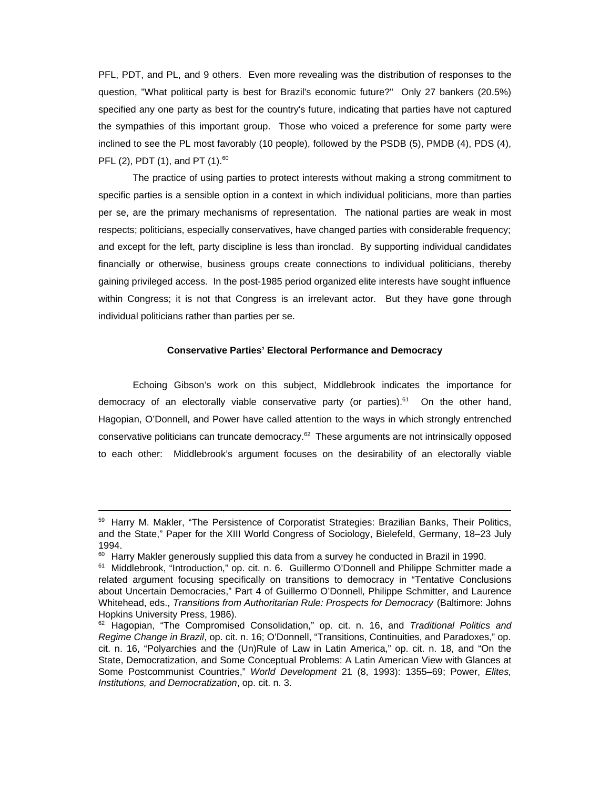PFL, PDT, and PL, and 9 others. Even more revealing was the distribution of responses to the question, "What political party is best for Brazil's economic future?" Only 27 bankers (20.5%) specified any one party as best for the country's future, indicating that parties have not captured the sympathies of this important group. Those who voiced a preference for some party were inclined to see the PL most favorably (10 people), followed by the PSDB (5), PMDB (4), PDS (4), PFL (2), PDT (1), and PT (1). $^{60}$ 

The practice of using parties to protect interests without making a strong commitment to specific parties is a sensible option in a context in which individual politicians, more than parties per se, are the primary mechanisms of representation. The national parties are weak in most respects; politicians, especially conservatives, have changed parties with considerable frequency; and except for the left, party discipline is less than ironclad. By supporting individual candidates financially or otherwise, business groups create connections to individual politicians, thereby gaining privileged access. In the post-1985 period organized elite interests have sought influence within Congress; it is not that Congress is an irrelevant actor. But they have gone through individual politicians rather than parties per se.

# **Conservative Parties' Electoral Performance and Democracy**

Echoing Gibson's work on this subject, Middlebrook indicates the importance for democracy of an electorally viable conservative party (or parties). $61$  On the other hand, Hagopian, O'Donnell, and Power have called attention to the ways in which strongly entrenched conservative politicians can truncate democracy.<sup>62</sup> These arguments are not intrinsically opposed to each other: Middlebrook's argument focuses on the desirability of an electorally viable

 $\overline{a}$ 

<sup>&</sup>lt;sup>59</sup> Harry M. Makler, "The Persistence of Corporatist Strategies: Brazilian Banks, Their Politics, and the State," Paper for the XIII World Congress of Sociology, Bielefeld, Germany, 18–23 July 1994.

<sup>&</sup>lt;sup>60</sup> Harry Makler generously supplied this data from a survey he conducted in Brazil in 1990.

<sup>&</sup>lt;sup>61</sup> Middlebrook, "Introduction," op. cit. n. 6. Guillermo O'Donnell and Philippe Schmitter made a related argument focusing specifically on transitions to democracy in "Tentative Conclusions about Uncertain Democracies," Part 4 of Guillermo O'Donnell, Philippe Schmitter, and Laurence Whitehead, eds., *Transitions from Authoritarian Rule: Prospects for Democracy* (Baltimore: Johns Hopkins University Press, 1986).

<sup>62</sup> Hagopian, "The Compromised Consolidation," op. cit. n. 16, and *Traditional Politics and Regime Change in Brazil*, op. cit. n. 16; O'Donnell, "Transitions, Continuities, and Paradoxes," op. cit. n. 16, "Polyarchies and the (Un)Rule of Law in Latin America," op. cit. n. 18, and "On the State, Democratization, and Some Conceptual Problems: A Latin American View with Glances at Some Postcommunist Countries," *World Development* 21 (8, 1993): 1355–69; Power, *Elites, Institutions, and Democratization*, op. cit. n. 3.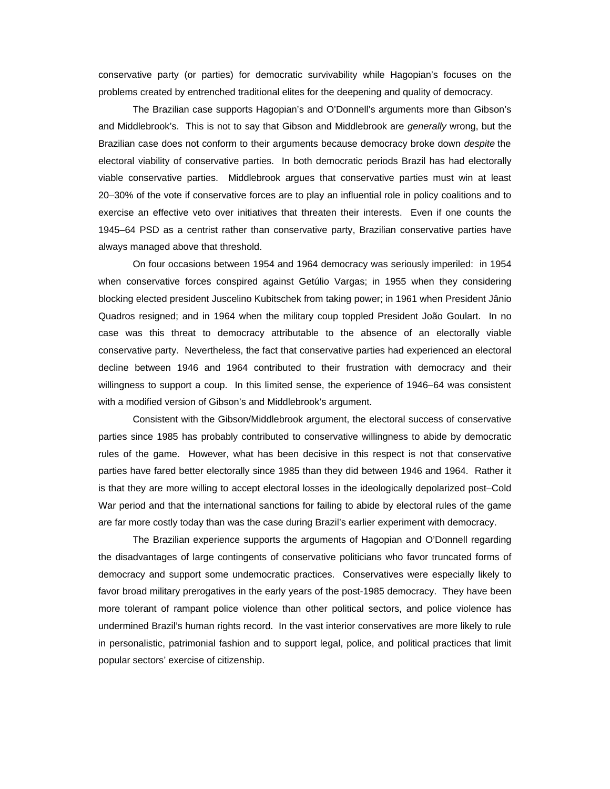conservative party (or parties) for democratic survivability while Hagopian's focuses on the problems created by entrenched traditional elites for the deepening and quality of democracy.

The Brazilian case supports Hagopian's and O'Donnell's arguments more than Gibson's and Middlebrook's. This is not to say that Gibson and Middlebrook are *generally* wrong, but the Brazilian case does not conform to their arguments because democracy broke down *despite* the electoral viability of conservative parties. In both democratic periods Brazil has had electorally viable conservative parties. Middlebrook argues that conservative parties must win at least 20–30% of the vote if conservative forces are to play an influential role in policy coalitions and to exercise an effective veto over initiatives that threaten their interests. Even if one counts the 1945–64 PSD as a centrist rather than conservative party, Brazilian conservative parties have always managed above that threshold.

On four occasions between 1954 and 1964 democracy was seriously imperiled: in 1954 when conservative forces conspired against Getúlio Vargas; in 1955 when they considering blocking elected president Juscelino Kubitschek from taking power; in 1961 when President Jânio Quadros resigned; and in 1964 when the military coup toppled President João Goulart. In no case was this threat to democracy attributable to the absence of an electorally viable conservative party. Nevertheless, the fact that conservative parties had experienced an electoral decline between 1946 and 1964 contributed to their frustration with democracy and their willingness to support a coup. In this limited sense, the experience of 1946–64 was consistent with a modified version of Gibson's and Middlebrook's argument.

Consistent with the Gibson/Middlebrook argument, the electoral success of conservative parties since 1985 has probably contributed to conservative willingness to abide by democratic rules of the game. However, what has been decisive in this respect is not that conservative parties have fared better electorally since 1985 than they did between 1946 and 1964. Rather it is that they are more willing to accept electoral losses in the ideologically depolarized post–Cold War period and that the international sanctions for failing to abide by electoral rules of the game are far more costly today than was the case during Brazil's earlier experiment with democracy.

The Brazilian experience supports the arguments of Hagopian and O'Donnell regarding the disadvantages of large contingents of conservative politicians who favor truncated forms of democracy and support some undemocratic practices. Conservatives were especially likely to favor broad military prerogatives in the early years of the post-1985 democracy. They have been more tolerant of rampant police violence than other political sectors, and police violence has undermined Brazil's human rights record. In the vast interior conservatives are more likely to rule in personalistic, patrimonial fashion and to support legal, police, and political practices that limit popular sectors' exercise of citizenship.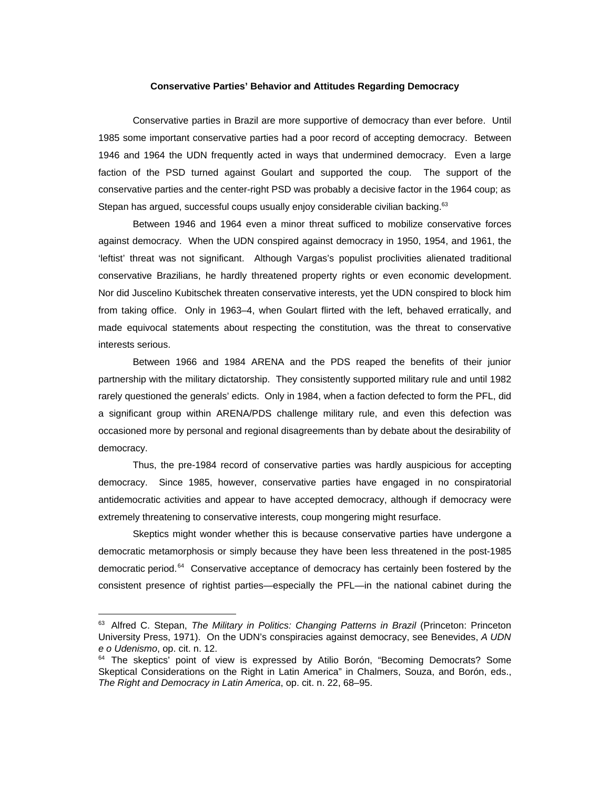## **Conservative Parties' Behavior and Attitudes Regarding Democracy**

Conservative parties in Brazil are more supportive of democracy than ever before. Until 1985 some important conservative parties had a poor record of accepting democracy. Between 1946 and 1964 the UDN frequently acted in ways that undermined democracy. Even a large faction of the PSD turned against Goulart and supported the coup. The support of the conservative parties and the center-right PSD was probably a decisive factor in the 1964 coup; as Stepan has argued, successful coups usually enjoy considerable civilian backing.<sup>63</sup>

Between 1946 and 1964 even a minor threat sufficed to mobilize conservative forces against democracy. When the UDN conspired against democracy in 1950, 1954, and 1961, the 'leftist' threat was not significant. Although Vargas's populist proclivities alienated traditional conservative Brazilians, he hardly threatened property rights or even economic development. Nor did Juscelino Kubitschek threaten conservative interests, yet the UDN conspired to block him from taking office. Only in 1963–4, when Goulart flirted with the left, behaved erratically, and made equivocal statements about respecting the constitution, was the threat to conservative interests serious.

Between 1966 and 1984 ARENA and the PDS reaped the benefits of their junior partnership with the military dictatorship. They consistently supported military rule and until 1982 rarely questioned the generals' edicts. Only in 1984, when a faction defected to form the PFL, did a significant group within ARENA/PDS challenge military rule, and even this defection was occasioned more by personal and regional disagreements than by debate about the desirability of democracy.

Thus, the pre-1984 record of conservative parties was hardly auspicious for accepting democracy. Since 1985, however, conservative parties have engaged in no conspiratorial antidemocratic activities and appear to have accepted democracy, although if democracy were extremely threatening to conservative interests, coup mongering might resurface.

Skeptics might wonder whether this is because conservative parties have undergone a democratic metamorphosis or simply because they have been less threatened in the post-1985 democratic period.<sup>64</sup> Conservative acceptance of democracy has certainly been fostered by the consistent presence of rightist parties—especially the PFL—in the national cabinet during the

<sup>&</sup>lt;sup>63</sup> Alfred C. Stepan, *The Military in Politics: Changing Patterns in Brazil* (Princeton: Princeton University Press, 1971). On the UDN's conspiracies against democracy, see Benevides, *A UDN e o Udenismo*, op. cit. n. 12.

<sup>&</sup>lt;sup>64</sup> The skeptics' point of view is expressed by Atilio Borón, "Becoming Democrats? Some Skeptical Considerations on the Right in Latin America" in Chalmers, Souza, and Borón, eds., *The Right and Democracy in Latin America*, op. cit. n. 22, 68–95.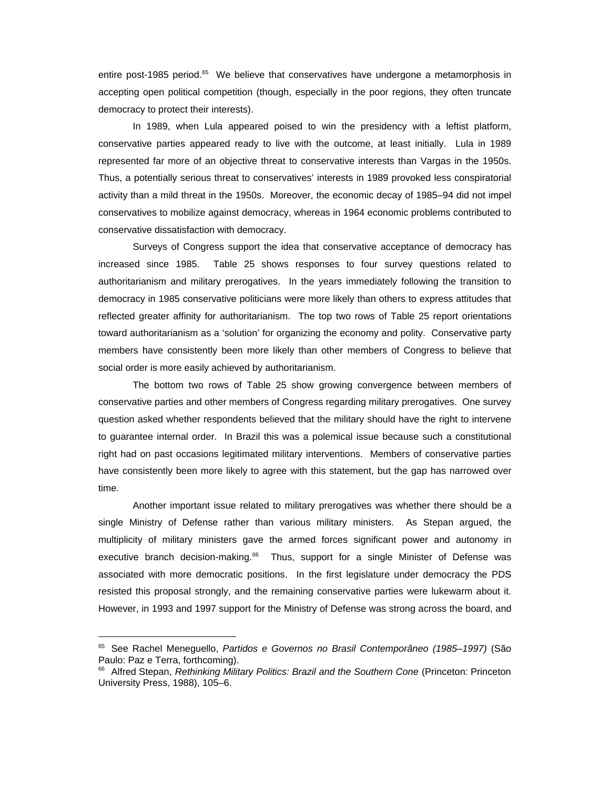entire post-1985 period.<sup>65</sup> We believe that conservatives have undergone a metamorphosis in accepting open political competition (though, especially in the poor regions, they often truncate democracy to protect their interests).

In 1989, when Lula appeared poised to win the presidency with a leftist platform, conservative parties appeared ready to live with the outcome, at least initially. Lula in 1989 represented far more of an objective threat to conservative interests than Vargas in the 1950s. Thus, a potentially serious threat to conservatives' interests in 1989 provoked less conspiratorial activity than a mild threat in the 1950s. Moreover, the economic decay of 1985–94 did not impel conservatives to mobilize against democracy, whereas in 1964 economic problems contributed to conservative dissatisfaction with democracy.

Surveys of Congress support the idea that conservative acceptance of democracy has increased since 1985. Table 25 shows responses to four survey questions related to authoritarianism and military prerogatives. In the years immediately following the transition to democracy in 1985 conservative politicians were more likely than others to express attitudes that reflected greater affinity for authoritarianism. The top two rows of Table 25 report orientations toward authoritarianism as a 'solution' for organizing the economy and polity. Conservative party members have consistently been more likely than other members of Congress to believe that social order is more easily achieved by authoritarianism.

The bottom two rows of Table 25 show growing convergence between members of conservative parties and other members of Congress regarding military prerogatives. One survey question asked whether respondents believed that the military should have the right to intervene to guarantee internal order. In Brazil this was a polemical issue because such a constitutional right had on past occasions legitimated military interventions. Members of conservative parties have consistently been more likely to agree with this statement, but the gap has narrowed over time.

Another important issue related to military prerogatives was whether there should be a single Ministry of Defense rather than various military ministers. As Stepan argued, the multiplicity of military ministers gave the armed forces significant power and autonomy in executive branch decision-making.<sup>66</sup> Thus, support for a single Minister of Defense was associated with more democratic positions. In the first legislature under democracy the PDS resisted this proposal strongly, and the remaining conservative parties were lukewarm about it. However, in 1993 and 1997 support for the Ministry of Defense was strong across the board, and

 $\overline{a}$ 

<sup>65</sup> See Rachel Meneguello, *Partidos e Governos no Brasil Contemporâneo (1985–1997)* (São Paulo: Paz e Terra, forthcoming).

<sup>&</sup>lt;sup>66</sup> Alfred Stepan, *Rethinking Military Politics: Brazil and the Southern Cone (Princeton: Princeton* University Press, 1988), 105–6.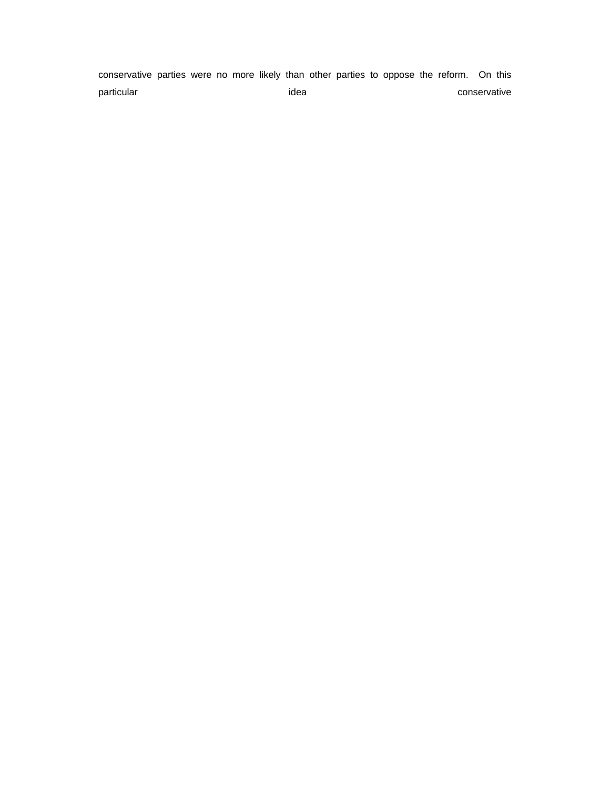conservative parties were no more likely than other parties to oppose the reform. On this particular idea conservative conservative conservative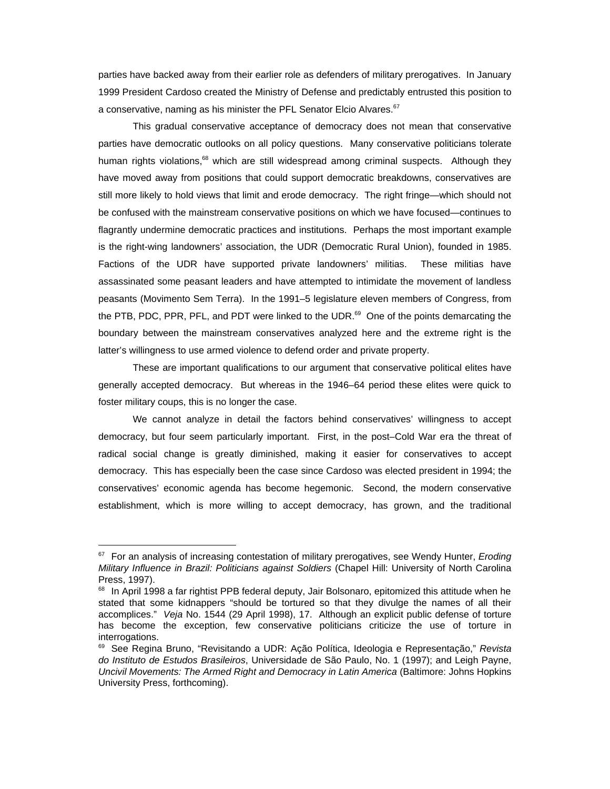parties have backed away from their earlier role as defenders of military prerogatives. In January 1999 President Cardoso created the Ministry of Defense and predictably entrusted this position to a conservative, naming as his minister the PFL Senator Elcio Alvares.<sup>67</sup>

This gradual conservative acceptance of democracy does not mean that conservative parties have democratic outlooks on all policy questions. Many conservative politicians tolerate human rights violations, $68$  which are still widespread among criminal suspects. Although they have moved away from positions that could support democratic breakdowns, conservatives are still more likely to hold views that limit and erode democracy. The right fringe—which should not be confused with the mainstream conservative positions on which we have focused—continues to flagrantly undermine democratic practices and institutions. Perhaps the most important example is the right-wing landowners' association, the UDR (Democratic Rural Union), founded in 1985. Factions of the UDR have supported private landowners' militias. These militias have assassinated some peasant leaders and have attempted to intimidate the movement of landless peasants (Movimento Sem Terra). In the 1991–5 legislature eleven members of Congress, from the PTB, PDC, PPR, PFL, and PDT were linked to the UDR.<sup>69</sup> One of the points demarcating the boundary between the mainstream conservatives analyzed here and the extreme right is the latter's willingness to use armed violence to defend order and private property.

These are important qualifications to our argument that conservative political elites have generally accepted democracy. But whereas in the 1946–64 period these elites were quick to foster military coups, this is no longer the case.

We cannot analyze in detail the factors behind conservatives' willingness to accept democracy, but four seem particularly important. First, in the post–Cold War era the threat of radical social change is greatly diminished, making it easier for conservatives to accept democracy. This has especially been the case since Cardoso was elected president in 1994; the conservatives' economic agenda has become hegemonic. Second, the modern conservative establishment, which is more willing to accept democracy, has grown, and the traditional

l

<sup>67</sup> For an analysis of increasing contestation of military prerogatives, see Wendy Hunter, *Eroding Military Influence in Brazil: Politicians against Soldiers* (Chapel Hill: University of North Carolina Press, 1997).

<sup>&</sup>lt;sup>68</sup> In April 1998 a far rightist PPB federal deputy, Jair Bolsonaro, epitomized this attitude when he stated that some kidnappers "should be tortured so that they divulge the names of all their accomplices." *Veja* No. 1544 (29 April 1998), 17. Although an explicit public defense of torture has become the exception, few conservative politicians criticize the use of torture in interrogations.

<sup>69</sup> See Regina Bruno, "Revisitando a UDR: Ação Política, Ideologia e Representação," *Revista do Instituto de Estudos Brasileiros*, Universidade de São Paulo, No. 1 (1997); and Leigh Payne, *Uncivil Movements: The Armed Right and Democracy in Latin America* (Baltimore: Johns Hopkins University Press, forthcoming).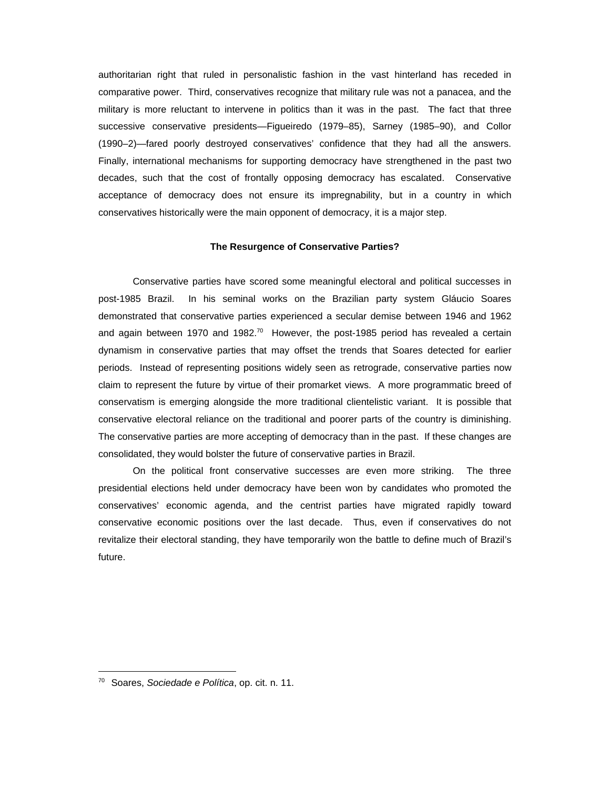authoritarian right that ruled in personalistic fashion in the vast hinterland has receded in comparative power. Third, conservatives recognize that military rule was not a panacea, and the military is more reluctant to intervene in politics than it was in the past. The fact that three successive conservative presidents—Figueiredo (1979–85), Sarney (1985–90), and Collor (1990–2)—fared poorly destroyed conservatives' confidence that they had all the answers. Finally, international mechanisms for supporting democracy have strengthened in the past two decades, such that the cost of frontally opposing democracy has escalated. Conservative acceptance of democracy does not ensure its impregnability, but in a country in which conservatives historically were the main opponent of democracy, it is a major step.

## **The Resurgence of Conservative Parties?**

Conservative parties have scored some meaningful electoral and political successes in post-1985 Brazil. In his seminal works on the Brazilian party system Gláucio Soares demonstrated that conservative parties experienced a secular demise between 1946 and 1962 and again between 1970 and 1982.<sup>70</sup> However, the post-1985 period has revealed a certain dynamism in conservative parties that may offset the trends that Soares detected for earlier periods. Instead of representing positions widely seen as retrograde, conservative parties now claim to represent the future by virtue of their promarket views. A more programmatic breed of conservatism is emerging alongside the more traditional clientelistic variant. It is possible that conservative electoral reliance on the traditional and poorer parts of the country is diminishing. The conservative parties are more accepting of democracy than in the past. If these changes are consolidated, they would bolster the future of conservative parties in Brazil.

On the political front conservative successes are even more striking. The three presidential elections held under democracy have been won by candidates who promoted the conservatives' economic agenda, and the centrist parties have migrated rapidly toward conservative economic positions over the last decade. Thus, even if conservatives do not revitalize their electoral standing, they have temporarily won the battle to define much of Brazil's future.

<sup>70</sup> Soares, *Sociedade e Política*, op. cit. n. 11.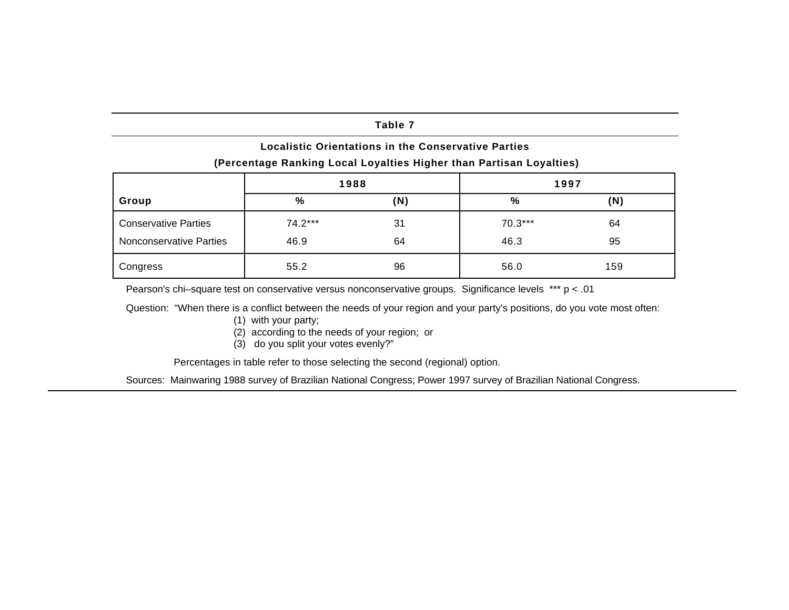## **Localistic Orientations in the Conservative Parties (Percentage Ranking Local Loyalties Higher than Partisan Loyalties)**

|                                | 1988      |                | 1997      |     |
|--------------------------------|-----------|----------------|-----------|-----|
| Group                          | %         | $(\mathsf{N})$ | %         | (N) |
| <b>Conservative Parties</b>    | $74.2***$ | 31             | $70.3***$ | 64  |
| <b>Nonconservative Parties</b> | 46.9      | 64             | 46.3      | 95  |
| Congress                       | 55.2      | 96             | 56.0      | 159 |

Pearson's chi–square test on conservative versus nonconservative groups. Significance levels \*\*\* p < .01

Question: "When there is a conflict between the needs of your region and your party's positions, do you vote most often:

- (1) with your party;
- (2) according to the needs of your region; or
- (3) do you split your votes evenly?"

Percentages in table refer to those selecting the second (regional) option.

Sources: Mainwaring 1988 survey of Brazilian National Congress; Power 1997 survey of Brazilian National Congress.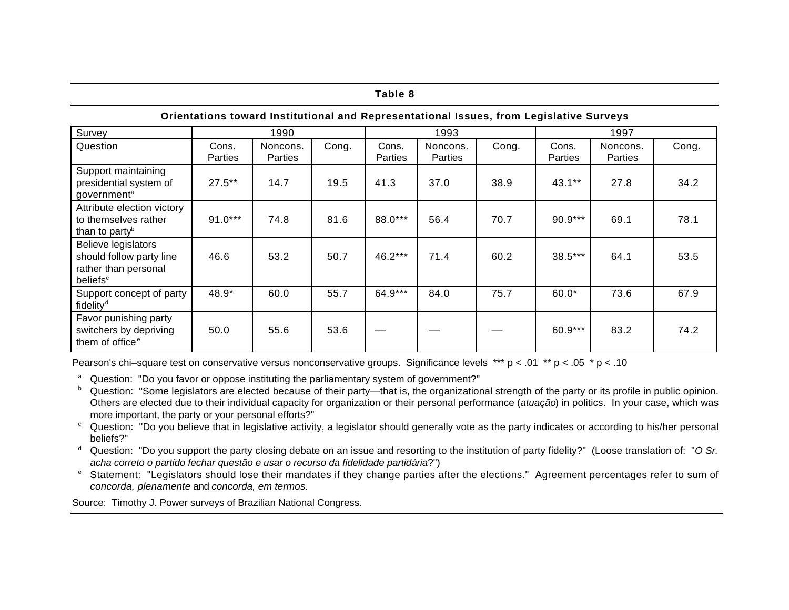| Unchlandiis toward mishtundiidii ahu Kepresentational issues, nomi Legisiative odi veys         |                         |                            |       |                         |                            |       |                  |                            |       |  |  |  |  |
|-------------------------------------------------------------------------------------------------|-------------------------|----------------------------|-------|-------------------------|----------------------------|-------|------------------|----------------------------|-------|--|--|--|--|
| Survey                                                                                          |                         | 1990                       |       |                         | 1993                       |       |                  | 1997                       |       |  |  |  |  |
| Question                                                                                        | Cons.<br><b>Parties</b> | Noncons.<br><b>Parties</b> | Cong. | Cons.<br><b>Parties</b> | Noncons.<br><b>Parties</b> | Cong. | Cons.<br>Parties | Noncons.<br><b>Parties</b> | Cong. |  |  |  |  |
| Support maintaining<br>presidential system of<br>government <sup>a</sup>                        | $27.5***$               | 14.7                       | 19.5  | 41.3                    | 37.0                       | 38.9  | $43.1***$        | 27.8                       | 34.2  |  |  |  |  |
| Attribute election victory<br>to themselves rather<br>than to party <sup>b</sup>                | $91.0***$               | 74.8                       | 81.6  | 88.0***                 | 56.4                       | 70.7  | $90.9***$        | 69.1                       | 78.1  |  |  |  |  |
| Believe legislators<br>should follow party line<br>rather than personal<br>beliefs <sup>c</sup> | 46.6                    | 53.2                       | 50.7  | $46.2***$               | 71.4                       | 60.2  | 38.5***          | 64.1                       | 53.5  |  |  |  |  |
| Support concept of party<br>fidelity <sup>d</sup>                                               | 48.9*                   | 60.0                       | 55.7  | 64.9***                 | 84.0                       | 75.7  | $60.0*$          | 73.6                       | 67.9  |  |  |  |  |
| Favor punishing party<br>switchers by depriving<br>them of office <sup>e</sup>                  | 50.0                    | 55.6                       | 53.6  |                         |                            |       | 60.9***          | 83.2                       | 74.2  |  |  |  |  |

## **Orientations toward Institutional and Representational Issues, from Legislative Surveys**

Pearson's chi–square test on conservative versus nonconservative groups. Significance levels \*\*\* p < .01 \*\* p < .05 \* p < .10

<sup>a</sup> Question: "Do you favor or oppose instituting the parliamentary system of government?"

- <sup>b</sup> Question: "Some legislators are elected because of their party—that is, the organizational strength of the party or its profile in public opinion. Others are elected due to their individual capacity for organization or their personal performance (*atuação*) in politics. In your case, which was more important, the party or your personal efforts?"
- <sup>c</sup> Question: "Do you believe that in legislative activity, a legislator should generally vote as the party indicates or according to his/her personal beliefs?"
- <sup>d</sup> Question: "Do you support the party closing debate on an issue and resorting to the institution of party fidelity?" (Loose translation of: "*O Sr. acha correto o partido fechar questão e usar o recurso da fidelidade partidária*?")
- <sup>e</sup> Statement: "Legislators should lose their mandates if they change parties after the elections." Agreement percentages refer to sum of *concorda, plenamente* and *concorda, em termos*.

Source: Timothy J. Power surveys of Brazilian National Congress.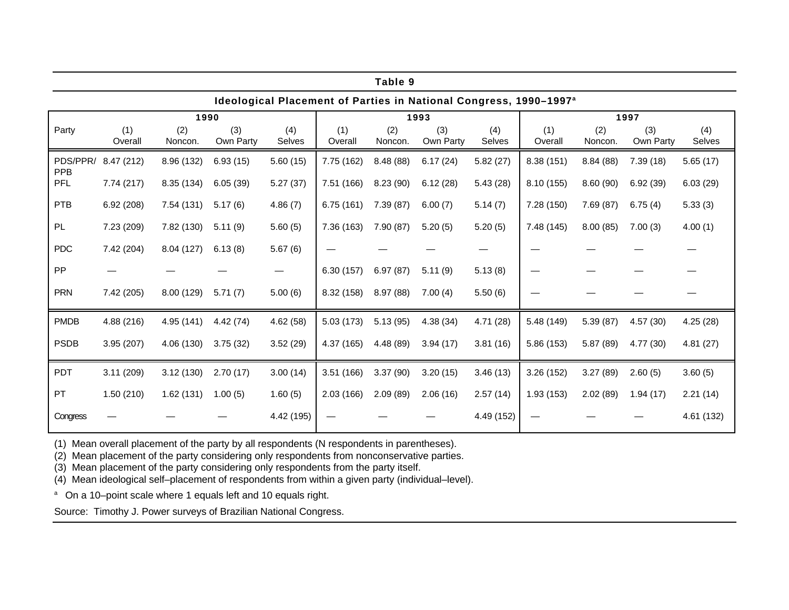|                                                                               | Table 9        |                |                  |               |                |                |                  |               |                |                |                  |               |  |
|-------------------------------------------------------------------------------|----------------|----------------|------------------|---------------|----------------|----------------|------------------|---------------|----------------|----------------|------------------|---------------|--|
| Ideological Placement of Parties in National Congress, 1990-1997 <sup>a</sup> |                |                |                  |               |                |                |                  |               |                |                |                  |               |  |
|                                                                               |                | 1990           |                  |               |                |                | 1993             |               |                |                | 1997             |               |  |
| Party                                                                         | (1)<br>Overall | (2)<br>Noncon. | (3)<br>Own Party | (4)<br>Selves | (1)<br>Overall | (2)<br>Noncon. | (3)<br>Own Party | (4)<br>Selves | (1)<br>Overall | (2)<br>Noncon. | (3)<br>Own Party | (4)<br>Selves |  |
| PDS/PPR/<br>PPB                                                               | 8.47(212)      | 8.96 (132)     | 6.93(15)         | 5.60(15)      | 7.75 (162)     | 8.48(88)       | 6.17(24)         | 5.82(27)      | 8.38(151)      | 8.84(88)       | 7.39(18)         | 5.65(17)      |  |
| PFL                                                                           | 7.74(217)      | 8.35 (134)     | 6.05(39)         | 5.27(37)      | 7.51 (166)     | 8.23(90)       | 6.12(28)         | 5.43(28)      | 8.10 (155)     | 8.60(90)       | 6.92(39)         | 6.03(29)      |  |
| PTB                                                                           | 6.92(208)      | 7.54(131)      | 5.17(6)          | 4.86(7)       | 6.75(161)      | 7.39(87)       | 6.00(7)          | 5.14(7)       | 7.28 (150)     | 7.69(87)       | 6.75(4)          | 5.33(3)       |  |
| PL                                                                            | 7.23 (209)     | 7.82 (130)     | 5.11(9)          | 5.60(5)       | 7.36 (163)     | 7.90 (87)      | 5.20(5)          | 5.20(5)       | 7.48 (145)     | 8.00(85)       | 7.00(3)          | 4.00(1)       |  |
| <b>PDC</b>                                                                    | 7.42 (204)     | 8.04 (127)     | 6.13(8)          | 5.67(6)       |                |                |                  |               |                |                |                  |               |  |
| <b>PP</b>                                                                     |                |                |                  | —             | 6.30(157)      | 6.97(87)       | 5.11(9)          | 5.13(8)       |                |                |                  |               |  |
| <b>PRN</b>                                                                    | 7.42 (205)     | 8.00 (129)     | 5.71(7)          | 5.00(6)       | 8.32(158)      | 8.97 (88)      | 7.00(4)          | 5.50(6)       |                |                |                  |               |  |
| <b>PMDB</b>                                                                   | 4.88 (216)     | 4.95(141)      | 4.42 (74)        | 4.62(58)      | 5.03(173)      | 5.13(95)       | 4.38(34)         | 4.71(28)      | 5.48 (149)     | 5.39(87)       | 4.57(30)         | 4.25 (28)     |  |
| <b>PSDB</b>                                                                   | 3.95 (207)     | 4.06 (130)     | 3.75(32)         | 3.52(29)      | 4.37 (165)     | 4.48 (89)      | 3.94(17)         | 3.81(16)      | 5.86 (153)     | 5.87 (89)      | 4.77 (30)        | 4.81 (27)     |  |
| <b>PDT</b>                                                                    | 3.11(209)      | 3.12(130)      | 2.70(17)         | 3.00(14)      | 3.51(166)      | 3.37(90)       | 3.20(15)         | 3.46(13)      | 3.26(152)      | 3.27(89)       | 2.60(5)          | 3.60(5)       |  |
| PT                                                                            | 1.50(210)      | 1.62(131)      | 1.00(5)          | 1.60(5)       | 2.03(166)      | 2.09(89)       | 2.06(16)         | 2.57(14)      | 1.93(153)      | 2.02(89)       | 1.94(17)         | 2.21(14)      |  |
| Congress                                                                      |                |                |                  | 4.42 (195)    |                |                |                  | 4.49 (152)    |                |                |                  | 4.61 (132)    |  |

(1) Mean overall placement of the party by all respondents (N respondents in parentheses).

(2) Mean placement of the party considering only respondents from nonconservative parties.

(3) Mean placement of the party considering only respondents from the party itself.

(4) Mean ideological self–placement of respondents from within a given party (individual–level).

<sup>a</sup> On a 10–point scale where 1 equals left and 10 equals right.

Source: Timothy J. Power surveys of Brazilian National Congress.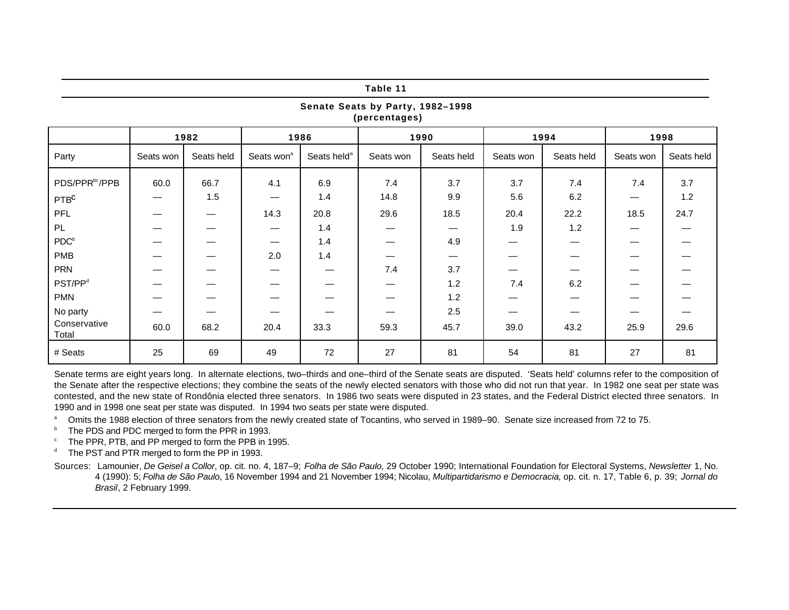|                            |                                                   |            |                        |                         | Table 11  |            |           |            |           |            |  |  |  |  |
|----------------------------|---------------------------------------------------|------------|------------------------|-------------------------|-----------|------------|-----------|------------|-----------|------------|--|--|--|--|
|                            | Senate Seats by Party, 1982-1998<br>(percentages) |            |                        |                         |           |            |           |            |           |            |  |  |  |  |
|                            |                                                   | 1982       | 1986                   |                         |           | 1990       |           | 1994       | 1998      |            |  |  |  |  |
| Party                      | Seats won                                         | Seats held | Seats won <sup>a</sup> | Seats held <sup>a</sup> | Seats won | Seats held | Seats won | Seats held | Seats won | Seats held |  |  |  |  |
| PDS/PPR <sup>bc</sup> /PPB | 60.0                                              | 66.7       | 4.1                    | 6.9                     | 7.4       | 3.7        | 3.7       | 7.4        | 7.4       | 3.7        |  |  |  |  |
| <b>PTBC</b>                | —                                                 | 1.5        |                        | 1.4                     | 14.8      | 9.9        | 5.6       | 6.2        |           | 1.2        |  |  |  |  |
| <b>PFL</b>                 |                                                   |            | 14.3                   | 20.8                    | 29.6      | 18.5       | 20.4      | 22.2       | 18.5      | 24.7       |  |  |  |  |
| PL                         |                                                   | —          | $\hspace{0.05cm}$      | 1.4                     |           | —          | 1.9       | 1.2        |           | —          |  |  |  |  |
| PDC <sup>b</sup>           |                                                   |            | $\hspace{0.05cm}$      | 1.4                     |           | 4.9        |           |            |           |            |  |  |  |  |
| <b>PMB</b>                 |                                                   |            | 2.0                    | 1.4                     | —         | —          |           |            |           |            |  |  |  |  |
| <b>PRN</b>                 |                                                   |            | —                      | —                       | 7.4       | 3.7        |           |            |           |            |  |  |  |  |
| PST/PP <sup>d</sup>        |                                                   |            | —                      |                         |           | 1.2        | 7.4       | 6.2        |           |            |  |  |  |  |
| <b>PMN</b>                 |                                                   |            |                        |                         |           | 1.2        |           |            |           |            |  |  |  |  |
| No party                   |                                                   |            |                        |                         |           | 2.5        |           |            |           |            |  |  |  |  |
| Conservative<br>Total      | 60.0                                              | 68.2       | 20.4                   | 33.3                    | 59.3      | 45.7       | 39.0      | 43.2       | 25.9      | 29.6       |  |  |  |  |
| # Seats                    | 25                                                | 69         | 49                     | 72                      | 27        | 81         | 54        | 81         | 27        | 81         |  |  |  |  |

Senate terms are eight years long. In alternate elections, two–thirds and one–third of the Senate seats are disputed. 'Seats held' columns refer to the composition of the Senate after the respective elections; they combine the seats of the newly elected senators with those who did not run that year. In 1982 one seat per state was contested, and the new state of Rondônia elected three senators. In 1986 two seats were disputed in 23 states, and the Federal District elected three senators. In 1990 and in 1998 one seat per state was disputed. In 1994 two seats per state were disputed.

<sup>a</sup> Omits the 1988 election of three senators from the newly created state of Tocantins, who served in 1989–90. Senate size increased from 72 to 75.

The PDS and PDC merged to form the PPR in 1993.

 $\degree$  The PPR, PTB, and PP merged to form the PPB in 1995.

<sup>d</sup> The PST and PTR merged to form the PP in 1993.

Sources: Lamounier, *De Geisel a Collor*, op. cit. no. 4, 187–9; *Folha de São Paulo,* 29 October 1990; International Foundation for Electoral Systems, *Newsletter* 1, No. 4 (1990): 5; *Folha de São Paulo*, 16 November 1994 and 21 November 1994; Nicolau, *Multipartidarismo e Democracia*, op. cit. n. 17, Table 6, p. 39; *Jornal do Brasil*, 2 February 1999.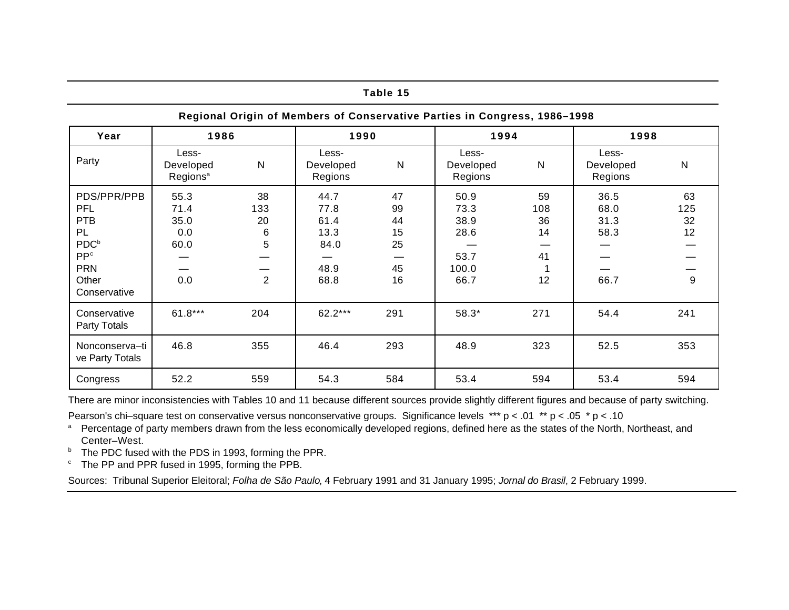|                                                                                                                                    | Table 15                                   |                                             |                                                      |                                        |                                                                           |                                   |                                      |                            |  |  |  |  |  |  |
|------------------------------------------------------------------------------------------------------------------------------------|--------------------------------------------|---------------------------------------------|------------------------------------------------------|----------------------------------------|---------------------------------------------------------------------------|-----------------------------------|--------------------------------------|----------------------------|--|--|--|--|--|--|
|                                                                                                                                    |                                            |                                             |                                                      |                                        | Regional Origin of Members of Conservative Parties in Congress, 1986-1998 |                                   |                                      |                            |  |  |  |  |  |  |
| Year                                                                                                                               | 1986                                       |                                             | 1990                                                 |                                        | 1994                                                                      |                                   | 1998                                 |                            |  |  |  |  |  |  |
| Party                                                                                                                              | Less-<br>Developed<br>Regions <sup>a</sup> | $\mathsf{N}$                                | Less-<br>Developed<br>Regions                        | $\mathsf{N}$                           | Less-<br>Developed<br>Regions                                             | N                                 | Less-<br>Developed<br>Regions        | N                          |  |  |  |  |  |  |
| PDS/PPR/PPB<br><b>PFL</b><br><b>PTB</b><br><b>PL</b><br>PDC <sup>b</sup><br>PP <sup>c</sup><br><b>PRN</b><br>Other<br>Conservative | 55.3<br>71.4<br>35.0<br>0.0<br>60.0<br>0.0 | 38<br>133<br>20<br>6<br>5<br>$\overline{2}$ | 44.7<br>77.8<br>61.4<br>13.3<br>84.0<br>48.9<br>68.8 | 47<br>99<br>44<br>15<br>25<br>45<br>16 | 50.9<br>73.3<br>38.9<br>28.6<br>53.7<br>100.0<br>66.7                     | 59<br>108<br>36<br>14<br>41<br>12 | 36.5<br>68.0<br>31.3<br>58.3<br>66.7 | 63<br>125<br>32<br>12<br>9 |  |  |  |  |  |  |
| Conservative<br>Party Totals                                                                                                       | $61.8***$                                  | 204                                         | 62.2***                                              | 291                                    | 58.3*                                                                     | 271                               | 54.4                                 | 241                        |  |  |  |  |  |  |
| Nonconserva-ti<br>ve Party Totals                                                                                                  | 46.8                                       | 355                                         | 46.4                                                 | 293                                    | 48.9                                                                      | 323                               | 52.5                                 | 353                        |  |  |  |  |  |  |
| Congress                                                                                                                           | 52.2                                       | 559                                         | 54.3                                                 | 584                                    | 53.4                                                                      | 594                               | 53.4                                 | 594                        |  |  |  |  |  |  |

There are minor inconsistencies with Tables 10 and 11 because different sources provide slightly different figures and because of party switching.

Pearson's chi–square test on conservative versus nonconservative groups. Significance levels \*\*\* p < .01 \*\* p < .05 \* p < .10

a Percentage of party members drawn from the less economically developed regions, defined here as the states of the North, Northeast, and Center–West.

<sup>b</sup> The PDC fused with the PDS in 1993, forming the PPR.

<sup>c</sup> The PP and PPR fused in 1995, forming the PPB.

Sources: Tribunal Superior Eleitoral; *Folha de São Paulo*, 4 February 1991 and 31 January 1995; *Jornal do Brasil*, 2 February 1999.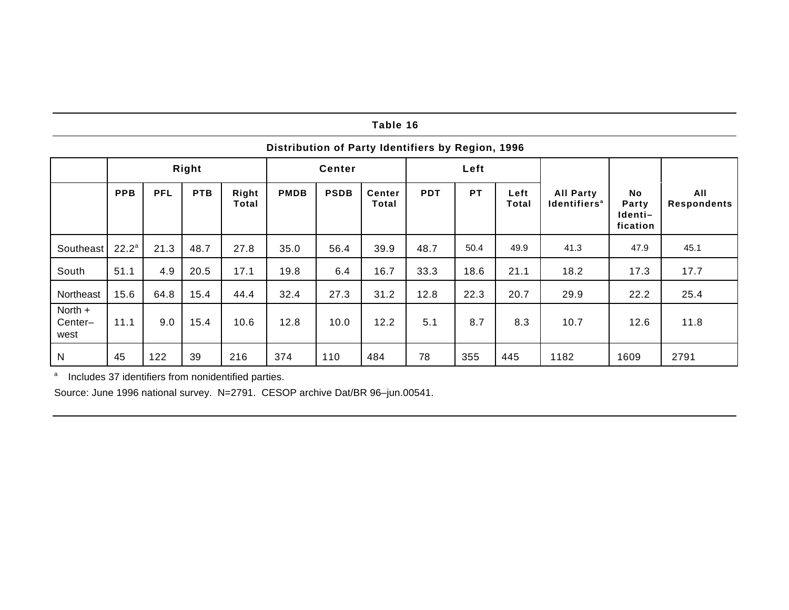|                            | Distribution of Party Identifiers by Region, 1996 |            |            |                |             |               |                        |            |           |               |                                                    |                                           |                           |  |
|----------------------------|---------------------------------------------------|------------|------------|----------------|-------------|---------------|------------------------|------------|-----------|---------------|----------------------------------------------------|-------------------------------------------|---------------------------|--|
|                            |                                                   |            | Right      |                |             | <b>Center</b> |                        |            | Left      |               |                                                    |                                           |                           |  |
|                            | <b>PPB</b>                                        | <b>PFL</b> | <b>PTB</b> | Right<br>Total | <b>PMDB</b> | <b>PSDB</b>   | <b>Center</b><br>Total | <b>PDT</b> | <b>PT</b> | Left<br>Total | <b>All Party</b><br><b>Identifiers<sup>a</sup></b> | <b>No</b><br>Party<br>Identi-<br>fication | All<br><b>Respondents</b> |  |
| Southeast                  | $22.2^a$                                          | 21.3       | 48.7       | 27.8           | 35.0        | 56.4          | 39.9                   | 48.7       | 50.4      | 49.9          | 41.3                                               | 47.9                                      | 45.1                      |  |
| South                      | 51.1                                              | 4.9        | 20.5       | 17.1           | 19.8        | 6.4           | 16.7                   | 33.3       | 18.6      | 21.1          | 18.2                                               | 17.3                                      | 17.7                      |  |
| Northeast                  | 15.6                                              | 64.8       | 15.4       | 44.4           | 32.4        | 27.3          | 31.2                   | 12.8       | 22.3      | 20.7          | 29.9                                               | 22.2                                      | 25.4                      |  |
| North +<br>Center-<br>west | 11.1                                              | 9.0        | 15.4       | 10.6           | 12.8        | 10.0          | 12.2                   | 5.1        | 8.7       | 8.3           | 10.7                                               | 12.6                                      | 11.8                      |  |
| $\mathsf{N}$               | 45                                                | 122        | 39         | 216            | 374         | 110           | 484                    | 78         | 355       | 445           | 1182                                               | 1609                                      | 2791                      |  |

# **Distribution of Party Identifiers by Region, 1996**

**Table 16**

<sup>a</sup> Includes 37 identifiers from nonidentified parties.

Source: June 1996 national survey. N=2791. CESOP archive Dat/BR 96–jun.00541.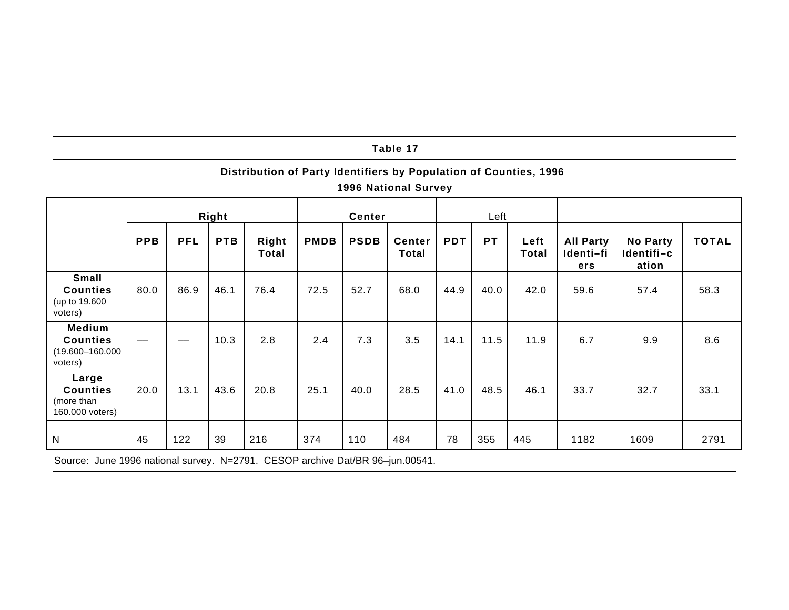|                                                                               |            |            |            |                                                                   |             |               | Table 17                      |            |           |                      |                                             |                                        |              |
|-------------------------------------------------------------------------------|------------|------------|------------|-------------------------------------------------------------------|-------------|---------------|-------------------------------|------------|-----------|----------------------|---------------------------------------------|----------------------------------------|--------------|
|                                                                               |            |            |            | Distribution of Party Identifiers by Population of Counties, 1996 |             |               | <b>1996 National Survey</b>   |            |           |                      |                                             |                                        |              |
|                                                                               |            |            | Right      |                                                                   |             | <b>Center</b> |                               |            | Left      |                      |                                             |                                        |              |
|                                                                               | <b>PPB</b> | <b>PFL</b> | <b>PTB</b> | Right<br><b>Total</b>                                             | <b>PMDB</b> | <b>PSDB</b>   | <b>Center</b><br><b>Total</b> | <b>PDT</b> | <b>PT</b> | Left<br><b>Total</b> | <b>All Party</b><br>Identi-fi<br><b>ers</b> | <b>No Party</b><br>Identifi-c<br>ation | <b>TOTAL</b> |
| Small<br><b>Counties</b><br>(up to 19.600<br>voters)                          | 80.0       | 86.9       | 46.1       | 76.4                                                              | 72.5        | 52.7          | 68.0                          | 44.9       | 40.0      | 42.0                 | 59.6                                        | 57.4                                   | 58.3         |
| <b>Medium</b><br><b>Counties</b><br>(19.600-160.000<br>voters)                | —          |            | 10.3       | 2.8                                                               | 2.4         | 7.3           | 3.5                           | 14.1       | 11.5      | 11.9                 | 6.7                                         | 9.9                                    | 8.6          |
| Large<br><b>Counties</b><br>(more than<br>160.000 voters)                     | 20.0       | 13.1       | 43.6       | 20.8                                                              | 25.1        | 40.0          | 28.5                          | 41.0       | 48.5      | 46.1                 | 33.7                                        | 32.7                                   | 33.1         |
| $\mathsf{N}$                                                                  | 45         | 122        | 39         | 216                                                               | 374         | 110           | 484                           | 78         | 355       | 445                  | 1182                                        | 1609                                   | 2791         |
| Source: June 1996 national survey. N=2791. CESOP archive Dat/BR 96-jun.00541. |            |            |            |                                                                   |             |               |                               |            |           |                      |                                             |                                        |              |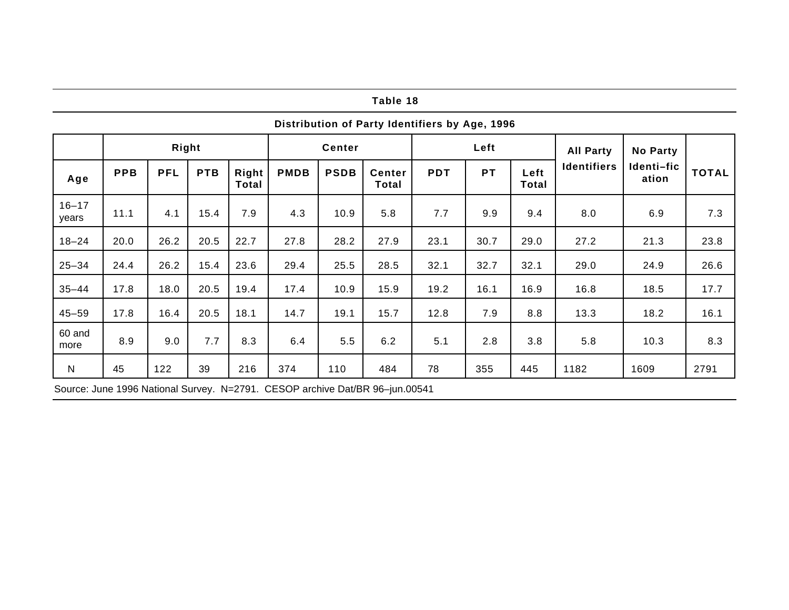|                    | Table 18   |            |            |                       |             |               |                               |                                                |           |                      |                    |                     |              |  |
|--------------------|------------|------------|------------|-----------------------|-------------|---------------|-------------------------------|------------------------------------------------|-----------|----------------------|--------------------|---------------------|--------------|--|
|                    |            |            |            |                       |             |               |                               | Distribution of Party Identifiers by Age, 1996 |           |                      |                    |                     |              |  |
|                    |            | Right      |            |                       |             | <b>Center</b> |                               |                                                | Left      |                      | <b>All Party</b>   | <b>No Party</b>     |              |  |
| Age                | <b>PPB</b> | <b>PFL</b> | <b>PTB</b> | Right<br><b>Total</b> | <b>PMDB</b> | <b>PSDB</b>   | <b>Center</b><br><b>Total</b> | <b>PDT</b>                                     | <b>PT</b> | Left<br><b>Total</b> | <b>Identifiers</b> | Identi-fic<br>ation | <b>TOTAL</b> |  |
| $16 - 17$<br>years | 11.1       | 4.1        | 15.4       | 7.9                   | 4.3         | 10.9          | 5.8                           | 7.7                                            | 9.9       | 9.4                  | 8.0                | 6.9                 | 7.3          |  |
| $18 - 24$          | 20.0       | 26.2       | 20.5       | 22.7                  | 27.8        | 28.2          | 27.9                          | 23.1                                           | 30.7      | 29.0                 | 27.2               | 21.3                | 23.8         |  |
| $25 - 34$          | 24.4       | 26.2       | 15.4       | 23.6                  | 29.4        | 25.5          | 28.5                          | 32.1                                           | 32.7      | 32.1                 | 29.0               | 24.9                | 26.6         |  |
| $35 - 44$          | 17.8       | 18.0       | 20.5       | 19.4                  | 17.4        | 10.9          | 15.9                          | 19.2                                           | 16.1      | 16.9                 | 16.8               | 18.5                | 17.7         |  |
| $45 - 59$          | 17.8       | 16.4       | 20.5       | 18.1                  | 14.7        | 19.1          | 15.7                          | 12.8                                           | 7.9       | 8.8                  | 13.3               | 18.2                | 16.1         |  |
| 60 and<br>more     | 8.9        | 9.0        | 7.7        | 8.3                   | 6.4         | 5.5           | 6.2                           | 5.1                                            | 2.8       | 3.8                  | 5.8                | 10.3                | 8.3          |  |
| N                  | 45         | 122        | 39         | 216                   | 374         | 110           | 484                           | 78                                             | 355       | 445                  | 1182               | 1609                | 2791         |  |

Source: June 1996 National Survey. N=2791. CESOP archive Dat/BR 96–jun.00541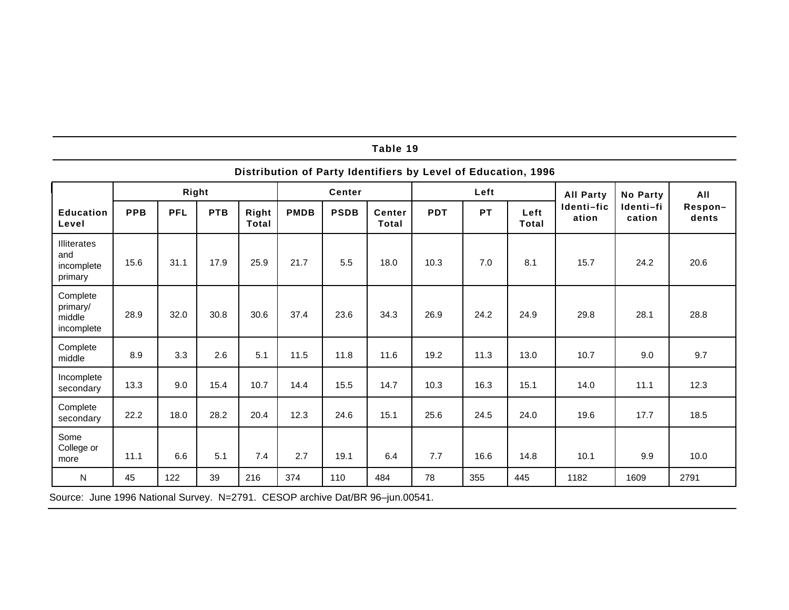| Distribution of Party Identifiers by Level of Education, 1996 |            |            |            |                |             |               |                        |            |           |               |                     |                     |                  |
|---------------------------------------------------------------|------------|------------|------------|----------------|-------------|---------------|------------------------|------------|-----------|---------------|---------------------|---------------------|------------------|
|                                                               |            | Right      |            |                |             | <b>Center</b> |                        |            | Left      |               | <b>All Party</b>    | No Party            | All              |
| <b>Education</b><br>Level                                     | <b>PPB</b> | <b>PFL</b> | <b>PTB</b> | Right<br>Total | <b>PMDB</b> | <b>PSDB</b>   | <b>Center</b><br>Total | <b>PDT</b> | <b>PT</b> | Left<br>Total | Identi-fic<br>ation | Identi-fi<br>cation | Respon-<br>dents |
| Illiterates<br>and<br>incomplete<br>primary                   | 15.6       | 31.1       | 17.9       | 25.9           | 21.7        | 5.5           | 18.0                   | 10.3       | 7.0       | 8.1           | 15.7                | 24.2                | 20.6             |
| Complete<br>primary/<br>middle<br>incomplete                  | 28.9       | 32.0       | 30.8       | 30.6           | 37.4        | 23.6          | 34.3                   | 26.9       | 24.2      | 24.9          | 29.8                | 28.1                | 28.8             |
| Complete<br>middle                                            | 8.9        | 3.3        | 2.6        | 5.1            | 11.5        | 11.8          | 11.6                   | 19.2       | 11.3      | 13.0          | 10.7                | 9.0                 | 9.7              |
| Incomplete<br>secondary                                       | 13.3       | 9.0        | 15.4       | 10.7           | 14.4        | 15.5          | 14.7                   | 10.3       | 16.3      | 15.1          | 14.0                | 11.1                | 12.3             |
| Complete<br>secondary                                         | 22.2       | 18.0       | 28.2       | 20.4           | 12.3        | 24.6          | 15.1                   | 25.6       | 24.5      | 24.0          | 19.6                | 17.7                | 18.5             |
| Some<br>College or<br>more                                    | 11.1       | 6.6        | 5.1        | 7.4            | 2.7         | 19.1          | 6.4                    | 7.7        | 16.6      | 14.8          | 10.1                | 9.9                 | 10.0             |
| N                                                             | 45         | 122        | 39         | 216            | 374         | 110           | 484                    | 78         | 355       | 445           | 1182                | 1609                | 2791             |

## **Distribution of Party Identifiers by Level of Education, 1996**

Source: June 1996 National Survey. N=2791. CESOP archive Dat/BR 96–jun.00541.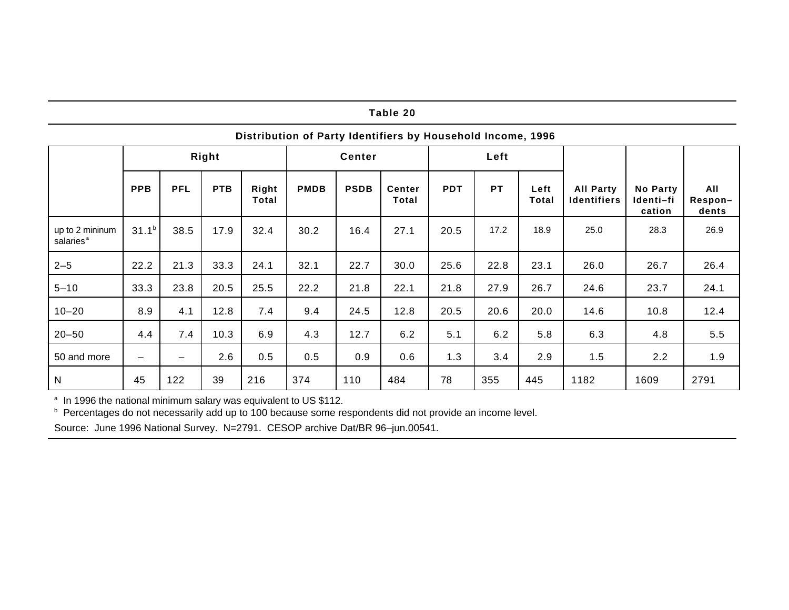|                                          | Distribution of Party Identifiers by Household Income, 1996 |                          |            |                |             |               |                        |            |           |               |                                        |                                        |                         |  |  |
|------------------------------------------|-------------------------------------------------------------|--------------------------|------------|----------------|-------------|---------------|------------------------|------------|-----------|---------------|----------------------------------------|----------------------------------------|-------------------------|--|--|
|                                          |                                                             |                          | Right      |                |             | <b>Center</b> |                        |            | Left      |               |                                        |                                        |                         |  |  |
|                                          | <b>PPB</b>                                                  | <b>PFL</b>               | <b>PTB</b> | Right<br>Total | <b>PMDB</b> | <b>PSDB</b>   | <b>Center</b><br>Total | <b>PDT</b> | <b>PT</b> | Left<br>Total | <b>All Party</b><br><b>Identifiers</b> | <b>No Party</b><br>Identi-fi<br>cation | All<br>Respon-<br>dents |  |  |
| up to 2 mininum<br>salaries <sup>a</sup> | $31.1^{b}$                                                  | 38.5                     | 17.9       | 32.4           | 30.2        | 16.4          | 27.1                   | 20.5       | 17.2      | 18.9          | 25.0                                   | 28.3                                   | 26.9                    |  |  |
| $2 - 5$                                  | 22.2                                                        | 21.3                     | 33.3       | 24.1           | 32.1        | 22.7          | 30.0                   | 25.6       | 22.8      | 23.1          | 26.0                                   | 26.7                                   | 26.4                    |  |  |
| $5 - 10$                                 | 33.3                                                        | 23.8                     | 20.5       | 25.5           | 22.2        | 21.8          | 22.1                   | 21.8       | 27.9      | 26.7          | 24.6                                   | 23.7                                   | 24.1                    |  |  |
| $10 - 20$                                | 8.9                                                         | 4.1                      | 12.8       | 7.4            | 9.4         | 24.5          | 12.8                   | 20.5       | 20.6      | 20.0          | 14.6                                   | 10.8                                   | 12.4                    |  |  |
| $20 - 50$                                | 4.4                                                         | 7.4                      | 10.3       | 6.9            | 4.3         | 12.7          | 6.2                    | 5.1        | 6.2       | 5.8           | 6.3                                    | 4.8                                    | 5.5                     |  |  |
| 50 and more                              | $\qquad \qquad -$                                           | $\overline{\phantom{m}}$ | 2.6        | 0.5            | 0.5         | 0.9           | 0.6                    | 1.3        | 3.4       | 2.9           | 1.5                                    | $2.2^{\circ}$                          | 1.9                     |  |  |
| N                                        | 45                                                          | 122                      | 39         | 216            | 374         | 110           | 484                    | 78         | 355       | 445           | 1182                                   | 1609                                   | 2791                    |  |  |

<sup>a</sup> In 1996 the national minimum salary was equivalent to US \$112.

 $\textsuperscript{b}$  Percentages do not necessarily add up to 100 because some respondents did not provide an income level.

Source: June 1996 National Survey. N=2791. CESOP archive Dat/BR 96–jun.00541.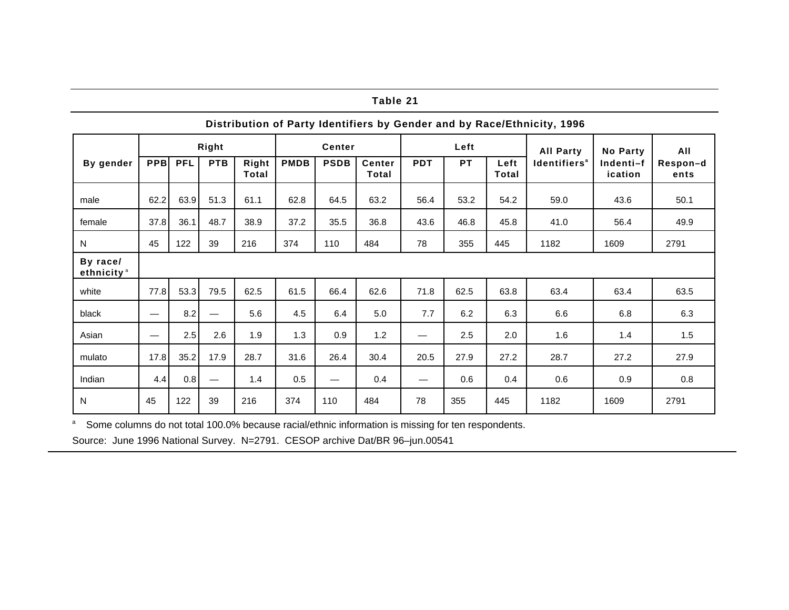|           | Distribution of Party Identifiers by Gender and by Race/Ethnicity, 1996 |         |            |                |             |               |                        |            |           |               |                          |                      |                |  |
|-----------|-------------------------------------------------------------------------|---------|------------|----------------|-------------|---------------|------------------------|------------|-----------|---------------|--------------------------|----------------------|----------------|--|
|           |                                                                         |         | Right      |                |             | <b>Center</b> |                        |            | Left      |               | <b>All Party</b>         | <b>No Party</b>      | AII            |  |
| By gender |                                                                         | PPB PFL | <b>PTB</b> | Right<br>Total | <b>PMDB</b> | <b>PSDB</b>   | <b>Center</b><br>Total | <b>PDT</b> | <b>PT</b> | Left<br>Total | Identifiers <sup>a</sup> | Indenti-f<br>ication | Respon<br>ents |  |
| male      | 62.2                                                                    | 63.9    | 51.3       | 61.1           | 62.8        | 64.5          | 63.2                   | 56.4       | 53.2      | 54.2          | 59.0                     | 43.6                 | 50.1           |  |
| female    | 37.8                                                                    | 36.1    | 48.7       | 38.9           | 37.2        | 35.5          | 36.8                   | 43.6       | 46.8      | 45.8          | 41.0                     | 56.4                 | 49.9           |  |
| N         | 45                                                                      | 122     | 39         | 216            | 374         | 110           | 484                    | 78         | 355       | 445           | 1182                     | 1609                 | 2791           |  |
|           |                                                                         |         |            |                |             |               |                        |            |           |               |                          |                      |                |  |

white | 77.8 | 53.3 | 79.5 | 62.5 | 61.5 | 66.4 | 62.6 | 71.8 | 62.5 | 63.8 | 63.4 | 63.5 |

black — 8.2 — 5.6 4.5 6.4 5.0 7.7 6.2 6.3 6.6 6.8 6.3

Asian — 2.5 2.6 1.9 1.3 0.9 1.2 — 2.5 2.0 1.6 1.4 1.5

mulato 17.8 35.2 17.9 28.7 31.6 26.4 30.4 20.5 27.9 27.2 28.7 27.2 27.9

Indian | 4.4 | 0.8 | - | 1.4 | 0.5 | -- | 0.4 | -- | 0.6 | 0.4 | 0.6 | 0.9 | 0.8 |

**Respon–d ents**

**Table 21**

N 45 122 39 216 374 110 484 78 355 445 1182 1609 2791

a Some columns do not total 100.0% because racial/ethnic information is missing for ten respondents.

Source: June 1996 National Survey. N=2791. CESOP archive Dat/BR 96–jun.00541

**By race/** ethnicity<sup>a</sup>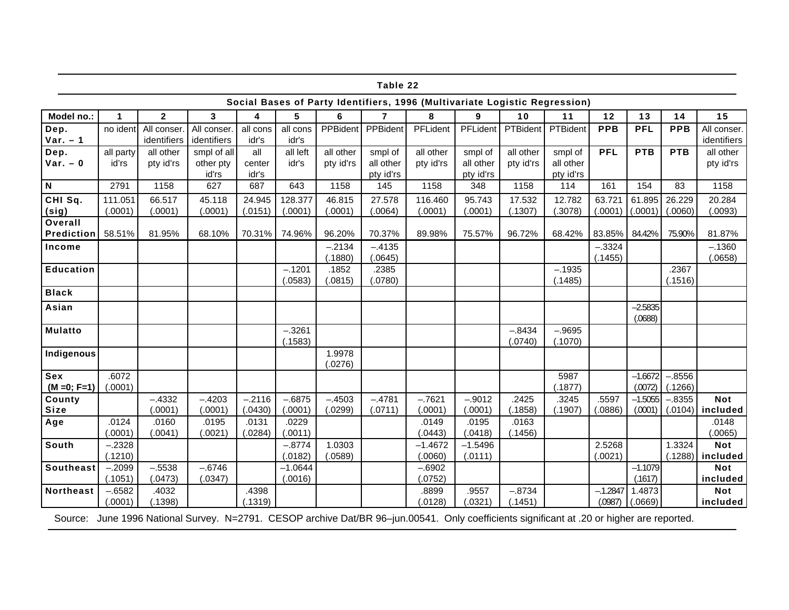| Table 22                       |                     |                            |                                   |                        |                      |                        |                                   |                                                                            |                                   |                        |                                   |                       |                      |                     |                            |
|--------------------------------|---------------------|----------------------------|-----------------------------------|------------------------|----------------------|------------------------|-----------------------------------|----------------------------------------------------------------------------|-----------------------------------|------------------------|-----------------------------------|-----------------------|----------------------|---------------------|----------------------------|
|                                |                     |                            |                                   |                        |                      |                        |                                   | Social Bases of Party Identifiers, 1996 (Multivariate Logistic Regression) |                                   |                        |                                   |                       |                      |                     |                            |
| Model no.:                     | $\mathbf{1}$        | $\overline{2}$             | $\mathbf{3}$                      | 4                      | 5                    | 6                      | $\overline{7}$                    | 8                                                                          | 9                                 | 10                     | 11                                | $12$                  | 13                   | 14                  | 15                         |
| Dep.<br>$Var. - 1$             | no ident            | All conser.<br>identifiers | All conser.<br>identifiers        | all cons<br>idr's      | all cons<br>idr's    | PPBident               | PPBident                          | PFLident                                                                   | PFLident                          | PTBident               | PTBident                          | <b>PPB</b>            | <b>PFL</b>           | PPB                 | All conser.<br>identifiers |
| Dep.<br>$Var. - 0$             | all party<br>id'rs  | all other<br>pty id'rs     | smpl of all<br>other pty<br>id'rs | all<br>center<br>idr's | all left<br>idr's    | all other<br>pty id'rs | smpl of<br>all other<br>pty id'rs | all other<br>pty id'rs                                                     | smpl of<br>all other<br>pty id'rs | all other<br>pty id'rs | smpl of<br>all other<br>pty id'rs | <b>PFL</b>            | <b>PTB</b>           | <b>PTB</b>          | all other<br>pty id'rs     |
| $\overline{\mathsf{N}}$        | 2791                | 1158                       | 627                               | 687                    | 643                  | 1158                   | 145                               | 1158                                                                       | 348                               | 1158                   | 114                               | 161                   | 154                  | 83                  | 1158                       |
| CHI Sq.<br>(sig)               | 111.051<br>(.0001)  | 66.517<br>(.0001)          | 45.118<br>(.0001)                 | 24.945<br>(.0151)      | 128.377<br>(.0001)   | 46.815<br>(.0001)      | 27.578<br>(.0064)                 | 116.460<br>(.0001)                                                         | 95.743<br>(.0001)                 | 17.532<br>(.1307)      | 12.782<br>(.3078)                 | 63.721<br>(.0001)     | 61.895<br>(.0001)    | 26.229<br>(.0060)   | 20.284<br>(.0093)          |
| Overall<br><b>Prediction</b>   | 58.51%              | 81.95%                     | 68.10%                            | 70.31%                 | 74.96%               | 96.20%                 | 70.37%                            | 89.98%                                                                     | 75.57%                            | 96.72%                 | 68.42%                            | 83.85%                | 84.42%               | 75.90%              | 81.87%                     |
| Income                         |                     |                            |                                   |                        |                      | $-.2134$<br>(.1880)    | $-.4135$<br>(.0645)               |                                                                            |                                   |                        |                                   | $-.3324$<br>(.1455)   |                      |                     | $-.1360$<br>(.0658)        |
| <b>Education</b>               |                     |                            |                                   |                        | $-.1201$<br>(.0583)  | .1852<br>(.0815)       | .2385<br>(.0780)                  |                                                                            |                                   |                        | $-.1935$<br>(.1485)               |                       |                      | .2367<br>(.1516)    |                            |
| <b>Black</b>                   |                     |                            |                                   |                        |                      |                        |                                   |                                                                            |                                   |                        |                                   |                       |                      |                     |                            |
| Asian                          |                     |                            |                                   |                        |                      |                        |                                   |                                                                            |                                   |                        |                                   |                       | $-2.5835$<br>(.0688) |                     |                            |
| <b>Mulatto</b>                 |                     |                            |                                   |                        | $-.3261$<br>(.1583)  |                        |                                   |                                                                            |                                   | $-.8434$<br>(.0740)    | $-.9695$<br>(.1070)               |                       |                      |                     |                            |
| Indigenous                     |                     |                            |                                   |                        |                      | 1.9978<br>(.0276)      |                                   |                                                                            |                                   |                        |                                   |                       |                      |                     |                            |
| <b>Sex</b><br>$(M = 0; F = 1)$ | .6072<br>(.0001)    |                            |                                   |                        |                      |                        |                                   |                                                                            |                                   |                        | 5987<br>(.1877)                   |                       | $-1.6672$<br>(.0072) | $-.8556$<br>(.1266) |                            |
| County<br><b>Size</b>          |                     | $-.4332$<br>(.0001)        | $-.4203$<br>(.0001)               | $-.2116$<br>(.0430)    | $-.6875$<br>(.0001)  | $-.4503$<br>(.0299)    | $-.4781$<br>(.0711)               | $-.7621$<br>(.0001)                                                        | $-.9012$<br>(.0001)               | .2425<br>(.1858)       | .3245<br>(.1907)                  | .5597<br>(.0886)      | $-1.5055$<br>(.0001) | $-.8355$<br>(.0104) | <b>Not</b><br>included     |
| Age                            | .0124<br>(.0001)    | .0160<br>(.0041)           | .0195<br>(.0021)                  | .0131<br>(.0284)       | .0229<br>(.0011)     |                        |                                   | .0149<br>(.0443)                                                           | .0195<br>(.0418)                  | .0163<br>(.1456)       |                                   |                       |                      |                     | .0148<br>(.0065)           |
| South                          | $-.2328$<br>(.1210) |                            |                                   |                        | $-.8774$<br>(.0182)  | 1.0303<br>(.0589)      |                                   | $-1.4672$<br>(.0060)                                                       | $-1.5496$<br>(.0111)              |                        |                                   | 2.5268<br>(.0021)     |                      | 1.3324<br>(.1288)   | <b>Not</b><br>included     |
| <b>Southeast</b>               | $-.2099$<br>(.1051) | $-.5538$<br>(.0473)        | $-.6746$<br>(.0347)               |                        | $-1.0644$<br>(.0016) |                        |                                   | $-.6902$<br>(.0752)                                                        |                                   |                        |                                   |                       | $-1.1079$<br>(.1617) |                     | <b>Not</b><br>included     |
| <b>Northeast</b>               | $-.6582$<br>(.0001) | .4032<br>(.1398)           |                                   | .4398<br>(.1319)       |                      |                        |                                   | .8899<br>(.0128)                                                           | .9557<br>(.0321)                  | $-.8734$<br>(.1451)    |                                   | $-.1.2847$<br>(.0987) | 1.4873<br>(.0669)    |                     | <b>Not</b><br>included     |

Source: June 1996 National Survey. N=2791. CESOP archive Dat/BR 96–jun.00541. Only coefficients significant at .20 or higher are reported.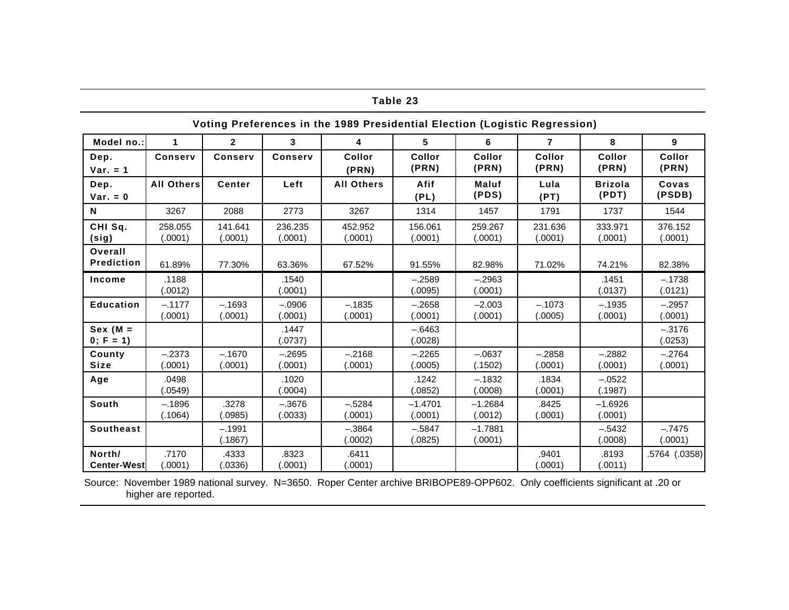| Voting Preferences in the 1989 Presidential Election (Logistic Regression) |                     |                     |                     |                        |                      |                      |                     |                         |                        |  |  |
|----------------------------------------------------------------------------|---------------------|---------------------|---------------------|------------------------|----------------------|----------------------|---------------------|-------------------------|------------------------|--|--|
| Model no.:                                                                 | 1                   | $\mathbf{2}$        | 3                   | 4                      | $5\phantom{.0}$      | 6                    | $\overline{7}$      | 8                       | 9                      |  |  |
| Dep.<br>$Var. = 1$                                                         | <b>Conserv</b>      | <b>Conserv</b>      | <b>Conserv</b>      | <b>Collor</b><br>(PRN) | Collor<br>(PRN)      | Collor<br>(PRN)      | Collor<br>(PRN)     | <b>Collor</b><br>(PRN)  | <b>Collor</b><br>(PRN) |  |  |
| Dep.<br>$Var. = 0$                                                         | <b>All Others</b>   | <b>Center</b>       | Left                | <b>All Others</b>      | Afif<br>(PL)         | Maluf<br>(PDS)       | Lula<br>(PT)        | <b>Brizola</b><br>(PDT) | Covas<br>(PSDB)        |  |  |
| N                                                                          | 3267                | 2088                | 2773                | 3267                   | 1314                 | 1457                 | 1791                | 1737                    | 1544                   |  |  |
| CHI Sq.<br>(sig)                                                           | 258.055<br>(.0001)  | 141.641<br>(.0001)  | 236.235<br>(.0001)  | 452.952<br>(.0001)     | 156.061<br>(.0001)   | 259.267<br>(.0001)   | 231.636<br>(.0001)  | 333.971<br>(.0001)      | 376.152<br>(.0001)     |  |  |
| Overall<br><b>Prediction</b>                                               | 61.89%              | 77.30%              | 63.36%              | 67.52%                 | 91.55%               | 82.98%               | 71.02%              | 74.21%                  | 82.38%                 |  |  |
| Income                                                                     | .1188<br>(.0012)    |                     | .1540<br>(.0001)    |                        | $-.2589$<br>(.0095)  | $-.2963$<br>(.0001)  |                     | .1451<br>(.0137)        | $-.1738$<br>(.0121)    |  |  |
| <b>Education</b>                                                           | $-.1177$<br>(.0001) | $-.1693$<br>(.0001) | $-.0906$<br>(.0001) | $-.1835$<br>(.0001)    | $-.2658$<br>(.0001)  | $-2.003$<br>(.0001)  | $-.1073$<br>(.0005) | $-.1935$<br>(.0001)     | $-.2957$<br>(.0001)    |  |  |
| $Sex (M =$<br>$0; F = 1)$                                                  |                     |                     | .1447<br>(.0737)    |                        | $-.6463$<br>(.0028)  |                      |                     |                         | $-.3176$<br>(.0253)    |  |  |
| County<br><b>Size</b>                                                      | $-.2373$<br>(.0001) | $-.1670$<br>(.0001) | $-.2695$<br>(.0001) | $-.2168$<br>(.0001)    | $-.2265$<br>(.0005)  | $-.0637$<br>(.1502)  | $-.2858$<br>(.0001) | $-.2882$<br>(.0001)     | $-.2764$<br>(.0001)    |  |  |
| Age                                                                        | .0498<br>(.0549)    |                     | .1020<br>(.0004)    |                        | .1242<br>(.0852)     | $-.1832$<br>(.0008)  | .1834<br>(.0001)    | $-.0522$<br>(.1987)     |                        |  |  |
| <b>South</b>                                                               | $-.1896$<br>(.1064) | .3278<br>(.0985)    | $-.3676$<br>(.0033) | $-.5284$<br>(.0001)    | $-1.4701$<br>(.0001) | $-1.2684$<br>(.0012) | .8425<br>(.0001)    | $-1.6926$<br>(.0001)    |                        |  |  |
| <b>Southeast</b>                                                           |                     | $-.1991$<br>(.1867) |                     | $-.3864$<br>(.0002)    | $-.5847$<br>(.0825)  | $-1.7881$<br>(.0001) |                     | $-.5432$<br>(.0008)     | $-.7475$<br>(.0001)    |  |  |
| North/<br><b>Center-West</b>                                               | .7170<br>(.0001)    | .4333<br>(.0336)    | .8323<br>(.0001)    | .6411<br>(.0001)       |                      |                      | .9401<br>(.0001)    | .8193<br>(.0011)        | .5764 (.0358)          |  |  |

Source: November 1989 national survey. N=3650. Roper Center archive BRIBOPE89-OPP602. Only coefficients significant at .20 or higher are reported.